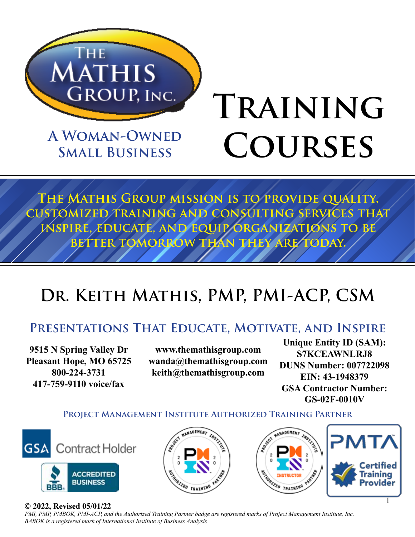

**A Woman-Owned Small Business**

# **Training Courses**

**The Mathis Group mission is to provide quality, customized training and consulting services that inspire, educate, and equip organizations to be**  BETTER TOMORROW THAN THEY ARE TODAY.

## DR. KEITH MATHIS, PMP, PMI-ACP, CSM

### **Presentations That Educate, Motivate, and Inspire**

**9515 N Spring Valley Dr Pleasant Hope, MO 65725 800-224-3731 417-759-9110 voice/fax**

**www.themathisgroup.com wanda@themathisgroup.com keith@themathisgroup.com**

**Unique Entity ID (SAM): S7KCEAWNLRJ8 DUNS Number: 007722098 EIN: 43-1948379 GSA Contractor Number: GS-02F-0010V**

1

**Project Management Institute Authorized Training Partner**







#### **© 2022, Revised 05/01/22**

*PMI, PMP, PMBOK, PMI-ACP, and the Authorized Training Partner badge are registered marks of Project Management Institute, Inc. BABOK is a registered mark of International Institute of Business Analysis*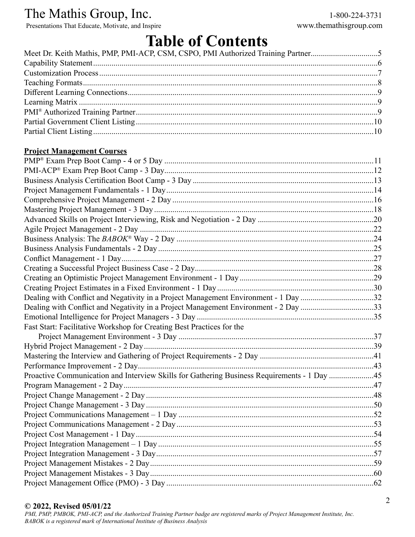Presentations That Educate, Motivate, and Inspire www.themathisgroup.com

### **Table of Contents**

| Meet Dr. Keith Mathis, PMP, PMI-ACP, CSM, CSPO, PMI Authorized Training Partner5 |  |
|----------------------------------------------------------------------------------|--|
|                                                                                  |  |
|                                                                                  |  |
|                                                                                  |  |
|                                                                                  |  |
|                                                                                  |  |
|                                                                                  |  |
|                                                                                  |  |
|                                                                                  |  |

#### **Project Management Courses**

| Dealing with Conflict and Negativity in a Project Management Environment - 1 Day 32         |  |
|---------------------------------------------------------------------------------------------|--|
| Dealing with Conflict and Negativity in a Project Management Environment - 2 Day 33         |  |
|                                                                                             |  |
| Fast Start: Facilitative Workshop for Creating Best Practices for the                       |  |
|                                                                                             |  |
|                                                                                             |  |
|                                                                                             |  |
|                                                                                             |  |
| Proactive Communication and Interview Skills for Gathering Business Requirements - 1 Day 45 |  |
|                                                                                             |  |
|                                                                                             |  |
|                                                                                             |  |
|                                                                                             |  |
|                                                                                             |  |
|                                                                                             |  |
|                                                                                             |  |
|                                                                                             |  |
|                                                                                             |  |
|                                                                                             |  |
|                                                                                             |  |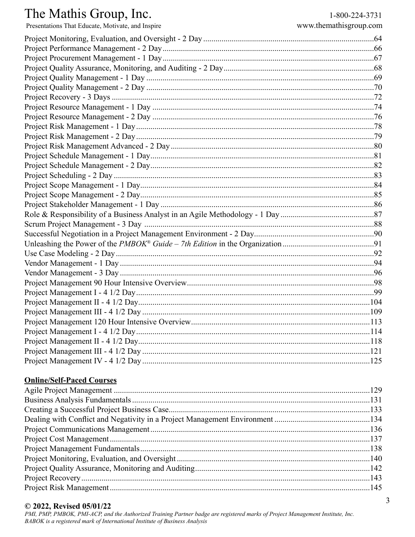### The Mathis Group, Inc.

| Presentations That Educate, Motivate, and Inspire | www.themathisgroup.com |
|---------------------------------------------------|------------------------|
|                                                   |                        |
|                                                   |                        |
|                                                   |                        |
|                                                   |                        |
|                                                   |                        |
|                                                   |                        |
|                                                   |                        |
|                                                   |                        |
|                                                   |                        |
|                                                   |                        |
|                                                   |                        |
|                                                   |                        |
|                                                   |                        |
|                                                   |                        |
|                                                   |                        |
|                                                   |                        |
|                                                   |                        |
|                                                   |                        |
|                                                   |                        |
|                                                   |                        |
|                                                   |                        |
|                                                   |                        |
|                                                   |                        |
|                                                   |                        |
|                                                   |                        |
|                                                   |                        |
|                                                   |                        |
|                                                   |                        |
|                                                   |                        |
|                                                   |                        |
|                                                   |                        |
|                                                   |                        |
|                                                   |                        |
|                                                   |                        |

#### **Online/Self-Paced Courses**

#### © 2022, Revised 05/01/22

PMI, PMP, PMBOK, PMI-ACP, and the Authorized Training Partner badge are registered marks of Project Management Institute, Inc. BABOK is a registered mark of International Institute of Business Analysis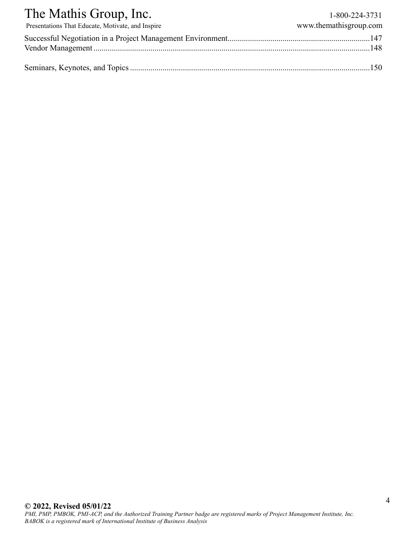| The Mathis Group, Inc.                            | 1-800-224-3731         |
|---------------------------------------------------|------------------------|
| Presentations That Educate, Motivate, and Inspire | www.themathisgroup.com |
|                                                   |                        |
|                                                   |                        |
|                                                   |                        |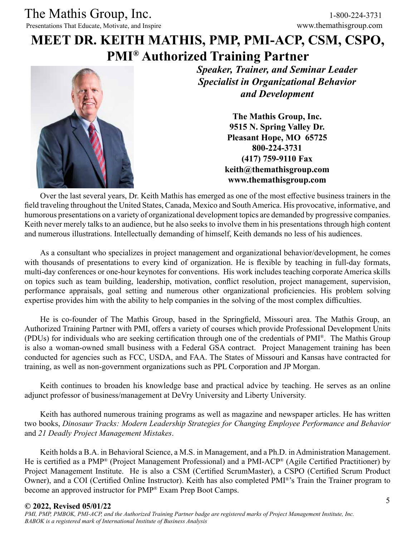### **MEET DR. KEITH MATHIS, PMP, PMI-ACP, CSM, CSPO, PMI® Authorized Training Partner**



*Speaker, Trainer, and Seminar Leader Specialist in Organizational Behavior and Development*

> **The Mathis Group, Inc. 9515 N. Spring Valley Dr. Pleasant Hope, MO 65725 800-224-3731 (417) 759-9110 Fax keith@themathisgroup.com www.themathisgroup.com**

Over the last several years, Dr. Keith Mathis has emerged as one of the most effective business trainers in the field traveling throughout the United States, Canada, Mexico and South America. His provocative, informative, and humorous presentations on a variety of organizational development topics are demanded by progressive companies. Keith never merely talks to an audience, but he also seeks to involve them in his presentations through high content and numerous illustrations. Intellectually demanding of himself, Keith demands no less of his audiences.

As a consultant who specializes in project management and organizational behavior/development, he comes with thousands of presentations to every kind of organization. He is flexible by teaching in full-day formats, multi-day conferences or one-hour keynotes for conventions. His work includes teaching corporate America skills on topics such as team building, leadership, motivation, conflict resolution, project management, supervision, performance appraisals, goal setting and numerous other organizational proficiencies. His problem solving expertise provides him with the ability to help companies in the solving of the most complex difficulties.

He is co-founder of The Mathis Group, based in the Springfield, Missouri area. The Mathis Group, an Authorized Training Partner with PMI, offers a variety of courses which provide Professional Development Units (PDUs) for individuals who are seeking certification through one of the credentials of PMI®. The Mathis Group is also a woman-owned small business with a Federal GSA contract. Project Management training has been conducted for agencies such as FCC, USDA, and FAA. The States of Missouri and Kansas have contracted for training, as well as non-government organizations such as PPL Corporation and JP Morgan.

Keith continues to broaden his knowledge base and practical advice by teaching. He serves as an online adjunct professor of business/management at DeVry University and Liberty University.

Keith has authored numerous training programs as well as magazine and newspaper articles. He has written two books, *Dinosaur Tracks: Modern Leadership Strategies for Changing Employee Performance and Behavior* and *21 Deadly Project Management Mistakes*.

Keith holds a B.A. in Behavioral Science, a M.S. in Management, and a Ph.D. in Administration Management. He is certified as a PMP® (Project Management Professional) and a PMI-ACP® (Agile Certified Practitioner) by Project Management Institute. He is also a CSM (Certified ScrumMaster), a CSPO (Certified Scrum Product Owner), and a COI (Certified Online Instructor). Keith has also completed PMI®'s Train the Trainer program to become an approved instructor for PMP® Exam Prep Boot Camps.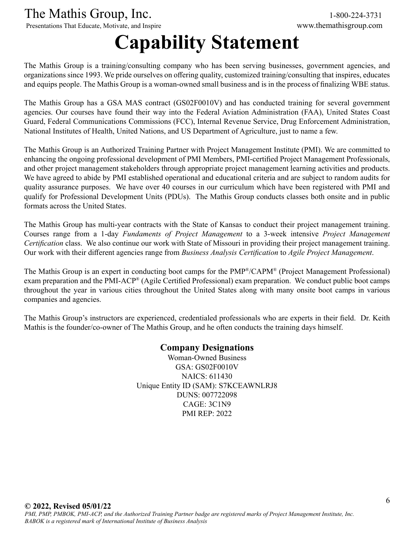Presentations That Educate, Motivate, and Inspire

## **Capability Statement**

The Mathis Group is a training/consulting company who has been serving businesses, government agencies, and organizations since 1993. We pride ourselves on offering quality, customized training/consulting that inspires, educates and equips people. The Mathis Group is a woman-owned small business and is in the process of finalizing WBE status.

The Mathis Group has a GSA MAS contract (GS02F0010V) and has conducted training for several government agencies. Our courses have found their way into the Federal Aviation Administration (FAA), United States Coast Guard, Federal Communications Commissions (FCC), Internal Revenue Service, Drug Enforcement Administration, National Institutes of Health, United Nations, and US Department of Agriculture, just to name a few.

The Mathis Group is an Authorized Training Partner with Project Management Institute (PMI). We are committed to enhancing the ongoing professional development of PMI Members, PMI-certified Project Management Professionals, and other project management stakeholders through appropriate project management learning activities and products. We have agreed to abide by PMI established operational and educational criteria and are subject to random audits for quality assurance purposes. We have over 40 courses in our curriculum which have been registered with PMI and qualify for Professional Development Units (PDUs). The Mathis Group conducts classes both onsite and in public formats across the United States.

The Mathis Group has multi-year contracts with the State of Kansas to conduct their project management training. Courses range from a 1-day *Fundaments of Project Management* to a 3-week intensive *Project Management Certification* class. We also continue our work with State of Missouri in providing their project management training. Our work with their different agencies range from *Business Analysis Certification* to *Agile Project Management*.

The Mathis Group is an expert in conducting boot camps for the PMP®/CAPM® (Project Management Professional) exam preparation and the PMI-ACP® (Agile Certified Professional) exam preparation. We conduct public boot camps throughout the year in various cities throughout the United States along with many onsite boot camps in various companies and agencies.

The Mathis Group's instructors are experienced, credentialed professionals who are experts in their field. Dr. Keith Mathis is the founder/co-owner of The Mathis Group, and he often conducts the training days himself.

> **Company Designations** Woman-Owned Business GSA: GS02F0010V NAICS: 611430 Unique Entity ID (SAM): S7KCEAWNLRJ8 DUNS: 007722098 CAGE: 3C1N9 PMI REP: 2022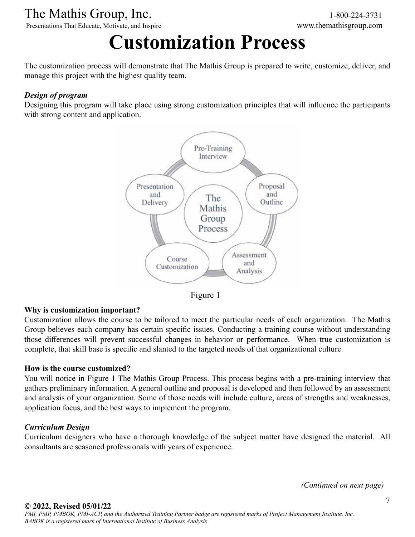Presentations That Educate, Motivate, and Inspire www.themathisgroup.com

## **Customization Process**

The customization process will demonstrate that The Mathis Group is prepared to write, customize, deliver, and manage this project with the highest quality team.

#### *Design of program*

Designing this program will take place using strong customization principles that will influence the participants with strong content and application.



Figure 1

#### **Why is customization important?**

Customization allows the course to be tailored to meet the particular needs of each organization. The Mathis Group believes each company has certain specific issues. Conducting a training course without understanding those differences will prevent successful changes in behavior or performance. When true customization is complete, that skill base is specific and slanted to the targeted needs of that organizational culture.

#### **How is the course customized?**

You will notice in Figure 1 The Mathis Group Process. This process begins with a pre-training interview that gathers preliminary information. A general outline and proposal is developed and then followed by an assessment and analysis of your organization. Some of those needs will include culture, areas of strengths and weaknesses, application focus, and the best ways to implement the program.

#### *Curriculum Design*

Curriculum designers who have a thorough knowledge of the subject matter have designed the material. All consultants are seasoned professionals with years of experience.

*(Continued on next page)*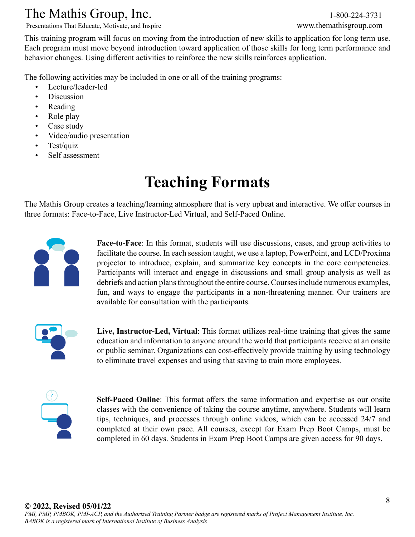Presentations That Educate, Motivate, and Inspire www.themathisgroup.com

This training program will focus on moving from the introduction of new skills to application for long term use. Each program must move beyond introduction toward application of those skills for long term performance and behavior changes. Using different activities to reinforce the new skills reinforces application.

The following activities may be included in one or all of the training programs:

- Lecture/leader-led
- Discussion
- Reading
- Role play
- Case study
- Video/audio presentation
- Test/quiz
- Self assessment

## **Teaching Formats**

The Mathis Group creates a teaching/learning atmosphere that is very upbeat and interactive. We offer courses in three formats: Face-to-Face, Live Instructor-Led Virtual, and Self-Paced Online.



**Face-to-Face**: In this format, students will use discussions, cases, and group activities to facilitate the course. In each session taught, we use a laptop, PowerPoint, and LCD/Proxima projector to introduce, explain, and summarize key concepts in the core competencies. Participants will interact and engage in discussions and small group analysis as well as debriefs and action plans throughout the entire course. Courses include numerous examples, fun, and ways to engage the participants in a non-threatening manner. Our trainers are available for consultation with the participants.



**Live, Instructor-Led, Virtual**: This format utilizes real-time training that gives the same education and information to anyone around the world that participants receive at an onsite or public seminar. Organizations can cost-effectively provide training by using technology to eliminate travel expenses and using that saving to train more employees.



**Self-Paced Online**: This format offers the same information and expertise as our onsite classes with the convenience of taking the course anytime, anywhere. Students will learn tips, techniques, and processes through online videos, which can be accessed 24/7 and completed at their own pace. All courses, except for Exam Prep Boot Camps, must be completed in 60 days. Students in Exam Prep Boot Camps are given access for 90 days.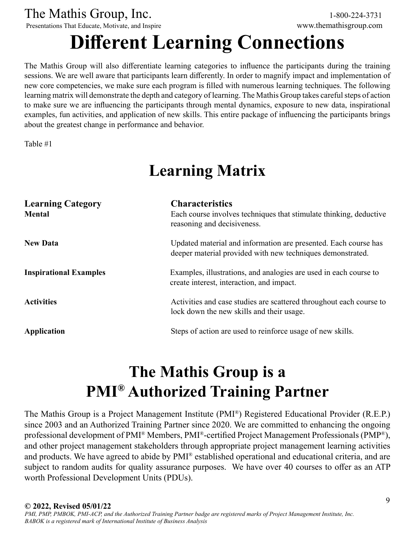Presentations That Educate, Motivate, and Inspire www.themathisgroup.com

## **Different Learning Connections**

The Mathis Group will also differentiate learning categories to influence the participants during the training sessions. We are well aware that participants learn differently. In order to magnify impact and implementation of new core competencies, we make sure each program is filled with numerous learning techniques. The following learning matrix will demonstrate the depth and category of learning. The Mathis Group takes careful steps of action to make sure we are influencing the participants through mental dynamics, exposure to new data, inspirational examples, fun activities, and application of new skills. This entire package of influencing the participants brings about the greatest change in performance and behavior.

Table #1

## **Learning Matrix**

| <b>Learning Category</b><br><b>Mental</b> | <b>Characteristics</b><br>Each course involves techniques that stimulate thinking, deductive<br>reasoning and decisiveness.   |
|-------------------------------------------|-------------------------------------------------------------------------------------------------------------------------------|
| <b>New Data</b>                           | Updated material and information are presented. Each course has<br>deeper material provided with new techniques demonstrated. |
| <b>Inspirational Examples</b>             | Examples, illustrations, and analogies are used in each course to<br>create interest, interaction, and impact.                |
| <b>Activities</b>                         | Activities and case studies are scattered throughout each course to<br>lock down the new skills and their usage.              |
| <b>Application</b>                        | Steps of action are used to reinforce usage of new skills.                                                                    |

## **The Mathis Group is a PMI® Authorized Training Partner**

The Mathis Group is a Project Management Institute (PMI®) Registered Educational Provider (R.E.P.) since 2003 and an Authorized Training Partner since 2020. We are committed to enhancing the ongoing professional development of PMI® Members, PMI®-certified Project Management Professionals (PMP®), and other project management stakeholders through appropriate project management learning activities and products. We have agreed to abide by PMI® established operational and educational criteria, and are subject to random audits for quality assurance purposes. We have over 40 courses to offer as an ATP worth Professional Development Units (PDUs).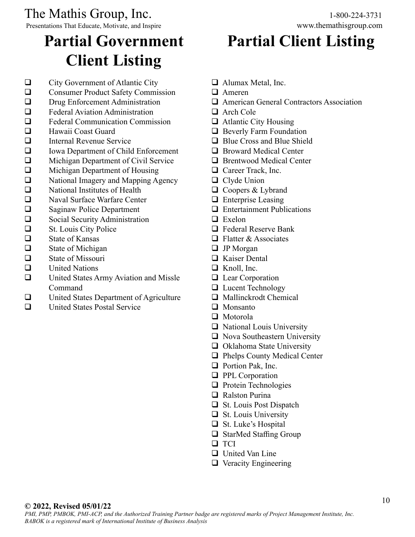Presentations That Educate, Motivate, and Inspire www.themathisgroup.com

## **Partial Government Client Listing**

 $\Box$  City Government of Atlantic City **Q** Consumer Product Safety Commission  $\Box$  Drug Enforcement Administration  $\Box$  Federal Aviation Administration  $\Box$  Federal Communication Commission  $\Box$  Hawaii Coast Guard  $\Box$  Internal Revenue Service  $\Box$  Iowa Department of Child Enforcement **Q** Michigan Department of Civil Service  $\Box$  Michigan Department of Housing  $\Box$  National Imagery and Mapping Agency  $\Box$  National Institutes of Health  $\Box$  Naval Surface Warfare Center  $\Box$  Saginaw Police Department Social Security Administration  $\Box$  St. Louis City Police  $\Box$  State of Kansas  $\Box$  State of Michigan  $\Box$  State of Missouri  $\Box$  United Nations  $\Box$  United States Army Aviation and Missle Command  $\Box$  United States Department of Agriculture

 $\Box$  United States Postal Service

## **Partial Client Listing**

- $\Box$  Alumax Metal, Inc.
- $\Box$  Ameren
- $\Box$  American General Contractors Association
- $\Box$  Arch Cole
- $\Box$  Atlantic City Housing
- $\Box$  Beverly Farm Foundation
- $\Box$  Blue Cross and Blue Shield
- $\Box$  Broward Medical Center
- $\Box$  Brentwood Medical Center
- $\Box$  Career Track, Inc.
- $\Box$  Clyde Union
- $\Box$  Coopers & Lybrand
- $\Box$  Enterprise Leasing
- $\Box$  Entertainment Publications
- $\Box$  Exelon
- $\Box$  Federal Reserve Bank
- $\Box$  Flatter & Associates
- $\Box$  JP Morgan
- $\Box$  Kaiser Dental
- $\Box$  Knoll, Inc.
- $\Box$  Lear Corporation
- **Q** Lucent Technology
- $\Box$  Mallinckrodt Chemical
- $\Box$  Monsanto
- $\Box$  Motorola
- $\Box$  National Louis University
- $\Box$  Nova Southeastern University
- $\Box$  Oklahoma State University
- $\Box$  Phelps County Medical Center
- $\Box$  Portion Pak, Inc.
- $\Box$  PPL Corporation
- $\Box$  Protein Technologies
- $\Box$  Ralston Purina
- $\Box$  St. Louis Post Dispatch
- $\Box$  St. Louis University
- $\Box$  St. Luke's Hospital
- $\Box$  StarMed Staffing Group
- **Q** TCI
- $\Box$  United Van Line
- $\Box$  Veracity Engineering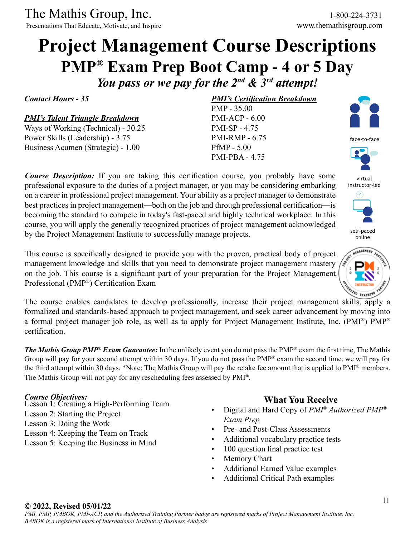Presentations That Educate, Motivate, and Inspire www.themathisgroup.com

### **Project Management Course Descriptions PMP® Exam Prep Boot Camp - 4 or 5 Day** *You pass or we pay for the 2nd & 3rd attempt!*

*PMI's Certification Breakdown*

PMP - 35.00 PMI-ACP - 6.00 PMI-SP - 4.75 PMI-RMP - 6.75 PfMP - 5.00 PMI-PBA - 4.75

*Contact Hours - 35*

#### *PMI's Talent Triangle Breakdown*

Ways of Working (Technical) - 30.25 Power Skills (Leadership) - 3.75 Business Acumen (Strategic) - 1.00

#### *Course Description:* If you are taking this certification course, you probably have some professional exposure to the duties of a project manager, or you may be considering embarking on a career in professional project management. Your ability as a project manager to demonstrate best practices in project management—both on the job and through professional certification—is becoming the standard to compete in today's fast-paced and highly technical workplace. In this course, you will apply the generally recognized practices of project management acknowledged by the Project Management Institute to successfully manage projects.

This course is specifically designed to provide you with the proven, practical body of project management knowledge and skills that you need to demonstrate project management mastery on the job. This course is a significant part of your preparation for the Project Management Professional (PMP®) Certification Exam

The course enables candidates to develop professionally, increase their project management skills, apply a formalized and standards-based approach to project management, and seek career advancement by moving into a formal project manager job role, as well as to apply for Project Management Institute, Inc. (PMI®) PMP® certification.

*The Mathis Group PMP® Exam Guarantee:* In the unlikely event you do not pass the PMP® exam the first time, The Mathis Group will pay for your second attempt within 30 days. If you do not pass the PMP® exam the second time, we will pay for the third attempt within 30 days. \*Note: The Mathis Group will pay the retake fee amount that is applied to PMI® members. The Mathis Group will not pay for any rescheduling fees assessed by PMI®.

#### *Course Objectives:*

- Lesson 1: Creating a High-Performing Team
- Lesson 2: Starting the Project
- Lesson 3: Doing the Work
- Lesson 4: Keeping the Team on Track
- Lesson 5: Keeping the Business in Mind

#### **What You Receive**

- Digital and Hard Copy of *PMI® Authorized PMP® Exam Prep*
- Pre- and Post-Class Assessments
- Additional vocabulary practice tests
- 100 question final practice test
- Memory Chart
- Additional Earned Value examples
- Additional Critical Path examples





virtual instructor-led



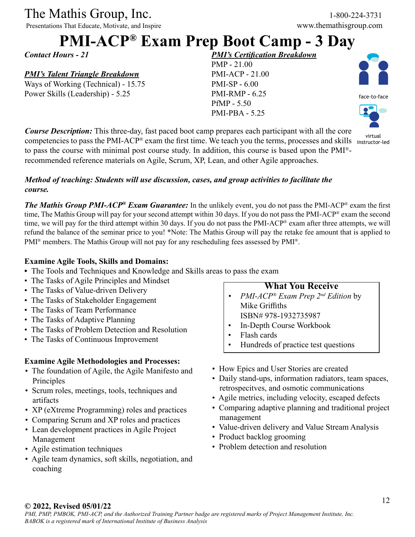Presentations That Educate, Motivate, and Inspire

### **PMI-ACP® Exam Prep Boot Camp - 3 Day**

*Contact Hours - 21*

#### *PMI's Talent Triangle Breakdown*

Ways of Working (Technical) - 15.75 Power Skills (Leadership) - 5.25

*PMI's Certification Breakdown* PMP - 21.00 PMI-ACP - 21.00 PMI-SP - 6.00 PMI-RMP - 6.25 PfMP - 5.50 PMI-PBA - 5.25



virtual

*Course Description:* This three-day, fast paced boot camp prepares each participant with all the core competencies to pass the PMI-ACP® exam the first time. We teach you the terms, processes and skills instructor-led to pass the course with minimal post course study. In addition, this course is based upon the PMI® recommended reference materials on Agile, Scrum, XP, Lean, and other Agile approaches.

#### *Method of teaching: Students will use discussion, cases, and group activities to facilitate the course.*

*The Mathis Group PMI-ACP® Exam Guarantee:* In the unlikely event, you do not pass the PMI-ACP® exam the first time, The Mathis Group will pay for your second attempt within 30 days. If you do not pass the PMI-ACP® exam the second time, we will pay for the third attempt within 30 days. If you do not pass the PMI-ACP® exam after three attempts, we will refund the balance of the seminar price to you! \*Note: The Mathis Group will pay the retake fee amount that is applied to PMI<sup>®</sup> members. The Mathis Group will not pay for any rescheduling fees assessed by PMI<sup>®</sup>.

#### **Examine Agile Tools, Skills and Domains:**

- The Tools and Techniques and Knowledge and Skills areas to pass the exam
- The Tasks of Agile Principles and Mindset
- The Tasks of Value-driven Delivery
- The Tasks of Stakeholder Engagement
- The Tasks of Team Performance
- The Tasks of Adaptive Planning
- The Tasks of Problem Detection and Resolution
- The Tasks of Continuous Improvement

#### **Examine Agile Methodologies and Processes:**

- The foundation of Agile, the Agile Manifesto and Principles
- Scrum roles, meetings, tools, techniques and artifacts
- XP (eXtreme Programming) roles and practices
- Comparing Scrum and XP roles and practices
- Lean development practices in Agile Project Management
- Agile estimation techniques
- Agile team dynamics, soft skills, negotiation, and coaching

#### **What You Receive**

- *• PMI-ACP® Exam Prep 2nd Edition* by Mike Griffiths ISBN# 978-1932735987
- In-Depth Course Workbook
- Flash cards
- Hundreds of practice test questions
- How Epics and User Stories are created
- Daily stand-ups, information radiators, team spaces, retrospecitves, and osmotic communications
- Agile metrics, including velocity, escaped defects
- Comparing adaptive planning and traditional project management
- Value-driven delivery and Value Stream Analysis
- Product backlog grooming
- Problem detection and resolution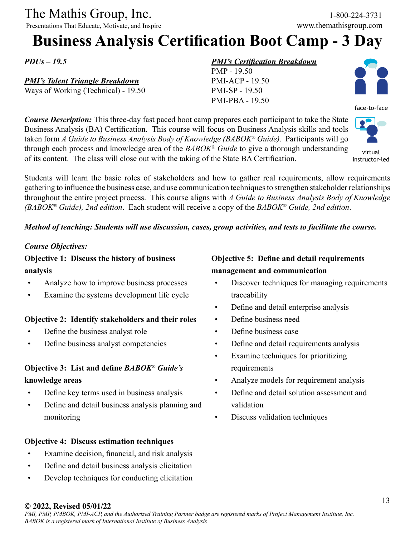Presentations That Educate, Motivate, and Inspire www.themathisgroup.com

### **Business Analysis Certification Boot Camp - 3 Day**

*PDUs – 19.5*

#### *PMI's Talent Triangle Breakdown*

Ways of Working (Technical) - 19.50

#### *PMI's Certification Breakdown*

PMP - 19.50 PMI-ACP - 19.50 PMI-SP - 19.50 PMI-PBA - 19.50



face-to-face

virtual

*Course Description:* This three-day fast paced boot camp prepares each participant to take the State Business Analysis (BA) Certification. This course will focus on Business Analysis skills and tools taken form *A Guide to Business Analysis Body of Knowledge (BABOK® Guide)*. Participants will go through each process and knowledge area of the *BABOK® Guide* to give a thorough understanding of its content. The class will close out with the taking of the State BA Certification. instructor-led

Students will learn the basic roles of stakeholders and how to gather real requirements, allow requirements gathering to influence the business case, and use communication techniques to strengthen stakeholder relationships throughout the entire project process. This course aligns with *A Guide to Business Analysis Body of Knowledge (BABOK® Guide), 2nd edition*. Each student will receive a copy of the *BABOK® Guide, 2nd edition*.

#### *Method of teaching: Students will use discussion, cases, group activities, and tests to facilitate the course.*

#### *Course Objectives:*

**Objective 1: Discuss the history of business analysis**

- Analyze how to improve business processes
- Examine the systems development life cycle

#### **Objective 2: Identify stakeholders and their roles**

- Define the business analyst role
- Define business analyst competencies

#### **Objective 3: List and define** *BABOK® Guide's* **knowledge areas**

- Define key terms used in business analysis
- Define and detail business analysis planning and monitoring

#### **Objective 4: Discuss estimation techniques**

- Examine decision, financial, and risk analysis
- Define and detail business analysis elicitation
- Develop techniques for conducting elicitation

#### **Objective 5: Define and detail requirements management and communication**

- Discover techniques for managing requirements traceability
- Define and detail enterprise analysis
- Define business need
- Define business case
- Define and detail requirements analysis
- Examine techniques for prioritizing requirements
- Analyze models for requirement analysis
- Define and detail solution assessment and validation
- Discuss validation techniques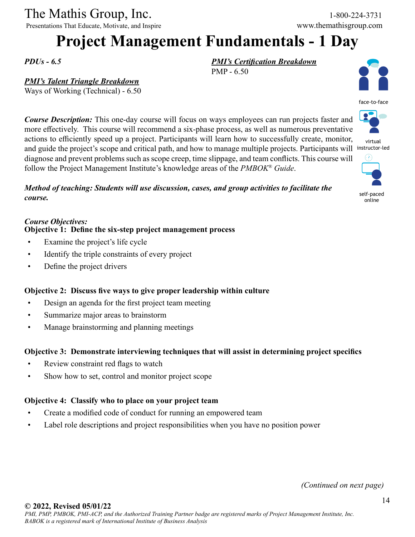Presentations That Educate, Motivate, and Inspire www.themathisgroup.com

## **Project Management Fundamentals - 1 Day**

PMP - 6.50

*PMI's Certification Breakdown*

*PDUs - 6.5*

#### *PMI's Talent Triangle Breakdown*

Ways of Working (Technical) - 6.50

*Course Description:* This one-day course will focus on ways employees can run projects faster and more effectively. This course will recommend a six-phase process, as well as numerous preventative actions to efficiently speed up a project. Participants will learn how to successfully create, monitor, and guide the project's scope and critical path, and how to manage multiple projects. Participants will instructor-led diagnose and prevent problems such as scope creep, time slippage, and team conflicts. This course will follow the Project Management Institute's knowledge areas of the *PMBOK® Guide*.

*Method of teaching: Students will use discussion, cases, and group activities to facilitate the course.*

#### *Course Objectives:* **Objective 1: Define the six-step project management process**

- Examine the project's life cycle
- Identify the triple constraints of every project
- Define the project drivers

#### **Objective 2: Discuss five ways to give proper leadership within culture**

- Design an agenda for the first project team meeting
- Summarize major areas to brainstorm
- Manage brainstorming and planning meetings

#### **Objective 3: Demonstrate interviewing techniques that will assist in determining project specifics**

- Review constraint red flags to watch
- Show how to set, control and monitor project scope

#### **Objective 4: Classify who to place on your project team**

- Create a modified code of conduct for running an empowered team
- Label role descriptions and project responsibilities when you have no position power





virtual



self-paced online

*(Continued on next page)*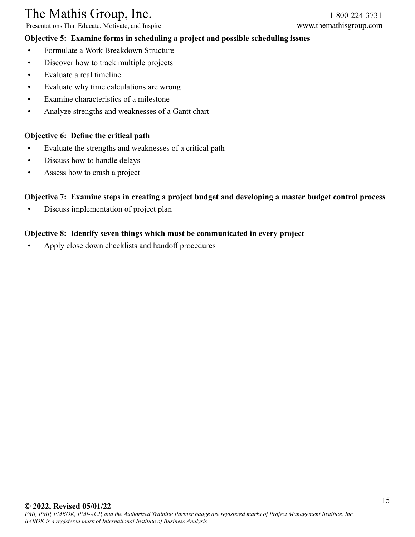Presentations That Educate, Motivate, and Inspire www.themathisgroup.com

#### **Objective 5: Examine forms in scheduling a project and possible scheduling issues**

- 
- Formulate a Work Breakdown Structure
- Discover how to track multiple projects
- Evaluate a real timeline
- Evaluate why time calculations are wrong
- Examine characteristics of a milestone
- Analyze strengths and weaknesses of a Gantt chart

#### **Objective 6: Define the critical path**

- Evaluate the strengths and weaknesses of a critical path
- Discuss how to handle delays
- Assess how to crash a project

#### **Objective 7: Examine steps in creating a project budget and developing a master budget control process**

• Discuss implementation of project plan

#### **Objective 8: Identify seven things which must be communicated in every project**

• Apply close down checklists and handoff procedures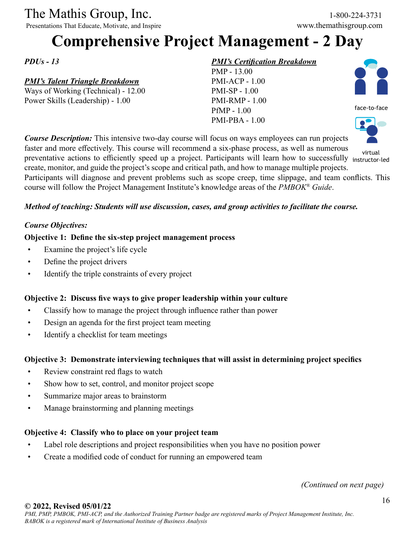Presentations That Educate, Motivate, and Inspire

## **Comprehensive Project Management - 2 Day**

*PDUs - 13*

#### *PMI's Talent Triangle Breakdown*

Ways of Working (Technical) - 12.00 Power Skills (Leadership) - 1.00

#### *PMI's Certification Breakdown*

PMP - 13.00 PMI-ACP - 1.00 PMI-SP - 1.00 PMI-RMP - 1.00 PfMP - 1.00 PMI-PBA - 1.00



face-to-face



*Course Description:* This intensive two-day course will focus on ways employees can run projects faster and more effectively. This course will recommend a six-phase process, as well as numerous preventative actions to efficiently speed up a project. Participants will learn how to successfully instructor-led create, monitor, and guide the project's scope and critical path, and how to manage multiple projects. Participants will diagnose and prevent problems such as scope creep, time slippage, and team conflicts. This course will follow the Project Management Institute's knowledge areas of the *PMBOK® Guide*. virtual

#### *Method of teaching: Students will use discussion, cases, and group activities to facilitate the course.*

#### *Course Objectives:*

#### **Objective 1: Define the six-step project management process**

- Examine the project's life cycle
- Define the project drivers
- Identify the triple constraints of every project

#### **Objective 2: Discuss five ways to give proper leadership within your culture**

- Classify how to manage the project through influence rather than power
- Design an agenda for the first project team meeting
- Identify a checklist for team meetings

#### **Objective 3: Demonstrate interviewing techniques that will assist in determining project specifics**

- Review constraint red flags to watch
- Show how to set, control, and monitor project scope
- Summarize major areas to brainstorm
- Manage brainstorming and planning meetings

#### **Objective 4: Classify who to place on your project team**

- Label role descriptions and project responsibilities when you have no position power
- Create a modified code of conduct for running an empowered team

*(Continued on next page)*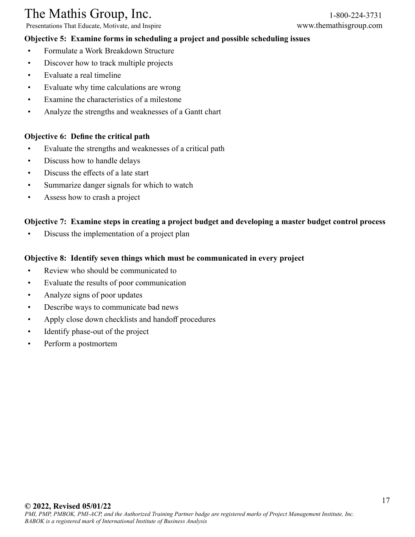Presentations That Educate, Motivate, and Inspire www.themathisgroup.com

#### **Objective 5: Examine forms in scheduling a project and possible scheduling issues**

- Formulate a Work Breakdown Structure
- Discover how to track multiple projects
- Evaluate a real timeline
- Evaluate why time calculations are wrong
- Examine the characteristics of a milestone
- Analyze the strengths and weaknesses of a Gantt chart

#### **Objective 6: Define the critical path**

- Evaluate the strengths and weaknesses of a critical path
- Discuss how to handle delays
- Discuss the effects of a late start
- Summarize danger signals for which to watch
- Assess how to crash a project

#### **Objective 7: Examine steps in creating a project budget and developing a master budget control process**

• Discuss the implementation of a project plan

#### **Objective 8: Identify seven things which must be communicated in every project**

- Review who should be communicated to
- Evaluate the results of poor communication
- Analyze signs of poor updates
- Describe ways to communicate bad news
- Apply close down checklists and handoff procedures
- Identify phase-out of the project
- Perform a postmortem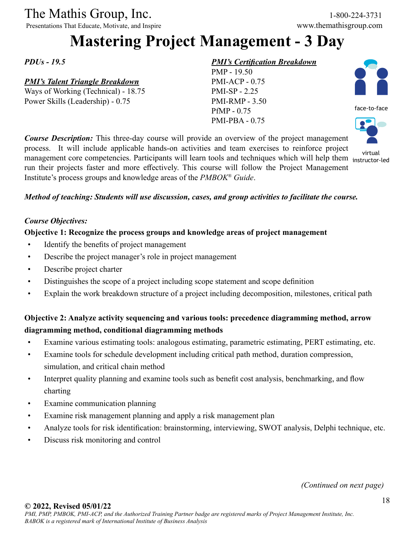Presentations That Educate, Motivate, and Inspire

### **Mastering Project Management - 3 Day**

*PDUs - 19.5*

#### *PMI's Talent Triangle Breakdown*

Ways of Working (Technical) - 18.75 Power Skills (Leadership) - 0.75

#### *PMI's Certification Breakdown*

PMP - 19.50 PMI-ACP - 0.75 PMI-SP - 2.25 PMI-RMP - 3.50 PfMP - 0.75 PMI-PBA - 0.75





instructor-led

virtual<br>management core competencies. Participants will learn tools and techniques which will help them instructorrun their projects faster and more effectively. This course will follow the Project Management Institute's process groups and knowledge areas of the *PMBOK® Guide*.

*Course Description:* This three-day course will provide an overview of the project management process. It will include applicable hands-on activities and team exercises to reinforce project

#### *Method of teaching: Students will use discussion, cases, and group activities to facilitate the course.*

#### *Course Objectives:*

#### **Objective 1: Recognize the process groups and knowledge areas of project management**

- Identify the benefits of project management
- Describe the project manager's role in project management
- Describe project charter
- Distinguishes the scope of a project including scope statement and scope definition
- Explain the work breakdown structure of a project including decomposition, milestones, critical path

#### **Objective 2: Analyze activity sequencing and various tools: precedence diagramming method, arrow diagramming method, conditional diagramming methods**

- Examine various estimating tools: analogous estimating, parametric estimating, PERT estimating, etc.
- Examine tools for schedule development including critical path method, duration compression, simulation, and critical chain method
- Interpret quality planning and examine tools such as benefit cost analysis, benchmarking, and flow charting
- Examine communication planning
- Examine risk management planning and apply a risk management plan
- Analyze tools for risk identification: brainstorming, interviewing, SWOT analysis, Delphi technique, etc.
- Discuss risk monitoring and control

*(Continued on next page)*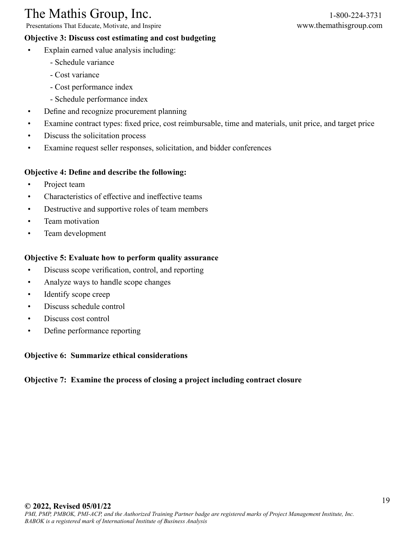Presentations That Educate, Motivate, and Inspire www.themathisgroup.com

#### **Objective 3: Discuss cost estimating and cost budgeting**

- Explain earned value analysis including:
	- Schedule variance
	- Cost variance
	- Cost performance index
	- Schedule performance index
- Define and recognize procurement planning
- Examine contract types: fixed price, cost reimbursable, time and materials, unit price, and target price
- Discuss the solicitation process
- Examine request seller responses, solicitation, and bidder conferences

#### **Objective 4: Define and describe the following:**

- Project team
- Characteristics of effective and ineffective teams
- Destructive and supportive roles of team members
- Team motivation
- Team development

#### **Objective 5: Evaluate how to perform quality assurance**

- Discuss scope verification, control, and reporting
- Analyze ways to handle scope changes
- Identify scope creep
- Discuss schedule control
- Discuss cost control
- Define performance reporting

#### **Objective 6: Summarize ethical considerations**

#### **Objective 7: Examine the process of closing a project including contract closure**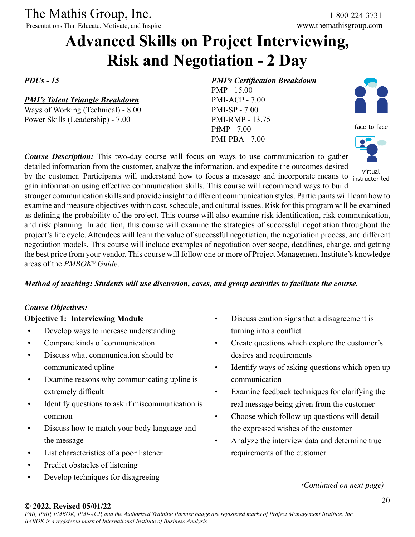Presentations That Educate, Motivate, and Inspire

### **Advanced Skills on Project Interviewing, Risk and Negotiation - 2 Day**

*PDUs - 15*

#### *PMI's Talent Triangle Breakdown*

Ways of Working (Technical) - 8.00 Power Skills (Leadership) - 7.00

#### *PMI's Certification Breakdown*

PMP - 15.00 PMI-ACP - 7.00 PMI-SP - 7.00 PMI-RMP - 13.75 PfMP - 7.00 PMI-PBA - 7.00



face-to-face



instructor-led

*Course Description:* This two-day course will focus on ways to use communication to gather detailed information from the customer, analyze the information, and expedite the outcomes desired by the customer. Participants will understand how to focus a message and incorporate means to instructor-

gain information using effective communication skills. This course will recommend ways to build stronger communication skills and provide insight to different communication styles. Participants will learn how to examine and measure objectives within cost, schedule, and cultural issues. Risk for this program will be examined as defining the probability of the project. This course will also examine risk identification, risk communication, and risk planning. In addition, this course will examine the strategies of successful negotiation throughout the project's life cycle. Attendees will learn the value of successful negotiation, the negotiation process, and different negotiation models. This course will include examples of negotiation over scope, deadlines, change, and getting the best price from your vendor. This course will follow one or more of Project Management Institute's knowledge areas of the *PMBOK® Guide*.

#### *Method of teaching: Students will use discussion, cases, and group activities to facilitate the course.*

#### *Course Objectives:*

#### **Objective 1: Interviewing Module**

- Develop ways to increase understanding
- Compare kinds of communication
- Discuss what communication should be communicated upline
- Examine reasons why communicating upline is extremely difficult
- Identify questions to ask if miscommunication is common
- Discuss how to match your body language and the message
- List characteristics of a poor listener
- Predict obstacles of listening
- Develop techniques for disagreeing
- Discuss caution signs that a disagreement is turning into a conflict
- Create questions which explore the customer's desires and requirements
- Identify ways of asking questions which open up communication
- Examine feedback techniques for clarifying the real message being given from the customer
- Choose which follow-up questions will detail the expressed wishes of the customer
- Analyze the interview data and determine true requirements of the customer

*(Continued on next page)*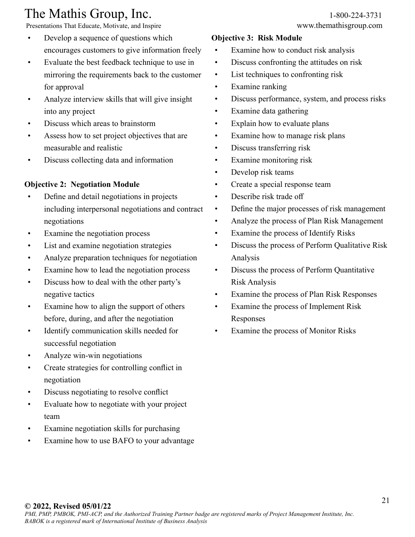Presentations That Educate, Motivate, and Inspire www.themathisgroup.com

- Develop a sequence of questions which encourages customers to give information freely
- Evaluate the best feedback technique to use in mirroring the requirements back to the customer for approval
- Analyze interview skills that will give insight into any project
- Discuss which areas to brainstorm
- Assess how to set project objectives that are measurable and realistic
- Discuss collecting data and information

#### **Objective 2: Negotiation Module**

- Define and detail negotiations in projects including interpersonal negotiations and contract negotiations
- Examine the negotiation process
- List and examine negotiation strategies
- Analyze preparation techniques for negotiation
- Examine how to lead the negotiation process
- Discuss how to deal with the other party's negative tactics
- Examine how to align the support of others before, during, and after the negotiation
- Identify communication skills needed for successful negotiation
- Analyze win-win negotiations
- Create strategies for controlling conflict in negotiation
- Discuss negotiating to resolve conflict
- Evaluate how to negotiate with your project team
- Examine negotiation skills for purchasing
- Examine how to use BAFO to your advantage

#### **Objective 3: Risk Module**

- Examine how to conduct risk analysis
- Discuss confronting the attitudes on risk
- List techniques to confronting risk
- Examine ranking
- Discuss performance, system, and process risks
- Examine data gathering
- Explain how to evaluate plans
- Examine how to manage risk plans
- Discuss transferring risk
- Examine monitoring risk
- Develop risk teams
- Create a special response team
- Describe risk trade off
- Define the major processes of risk management
- Analyze the process of Plan Risk Management
- Examine the process of Identify Risks
- Discuss the process of Perform Qualitative Risk Analysis
- Discuss the process of Perform Quantitative Risk Analysis
- Examine the process of Plan Risk Responses
- Examine the process of Implement Risk Responses
- Examine the process of Monitor Risks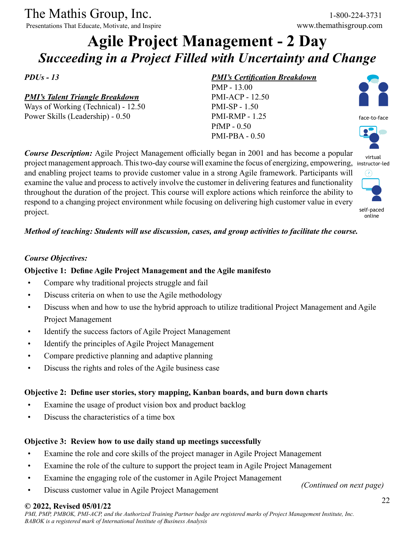Presentations That Educate, Motivate, and Inspire www.themathisgroup.com

### **Agile Project Management - 2 Day** *Succeeding in a Project Filled with Uncertainty and Change*

*PDUs - 13*

#### *PMI's Talent Triangle Breakdown*

Ways of Working (Technical) - 12.50 Power Skills (Leadership) - 0.50

#### *PMI's Certification Breakdown*

PMP - 13.00 PMI-ACP - 12.50 PMI-SP - 1.50 PMI-RMP - 1.25 PfMP - 0.50 PMI-PBA - 0.50



*Course Description:* Agile Project Management officially began in 2001 and has become a popular virtual project management approach. This two-day course will examine the focus of energizing, empowering, instructor-led and enabling project teams to provide customer value in a strong Agile framework. Participants will  $(7)$ examine the value and process to actively involve the customer in delivering features and functionality



self-paced online

#### *Method of teaching: Students will use discussion, cases, and group activities to facilitate the course.*

throughout the duration of the project. This course will explore actions which reinforce the ability to respond to a changing project environment while focusing on delivering high customer value in every

#### *Course Objectives:*

project.

#### **Objective 1: Define Agile Project Management and the Agile manifesto**

- Compare why traditional projects struggle and fail
- Discuss criteria on when to use the Agile methodology
- Discuss when and how to use the hybrid approach to utilize traditional Project Management and Agile Project Management
- Identify the success factors of Agile Project Management
- Identify the principles of Agile Project Management
- Compare predictive planning and adaptive planning
- Discuss the rights and roles of the Agile business case

#### **Objective 2: Define user stories, story mapping, Kanban boards, and burn down charts**

- Examine the usage of product vision box and product backlog
- Discuss the characteristics of a time box

#### **Objective 3: Review how to use daily stand up meetings successfully**

- Examine the role and core skills of the project manager in Agile Project Management
- Examine the role of the culture to support the project team in Agile Project Management
- Examine the engaging role of the customer in Agile Project Management
- Discuss customer value in Agile Project Management

*(Continued on next page)*

#### **© 2022, Revised 05/01/22**

*PMI, PMP, PMBOK, PMI-ACP, and the Authorized Training Partner badge are registered marks of Project Management Institute, Inc. BABOK is a registered mark of International Institute of Business Analysis*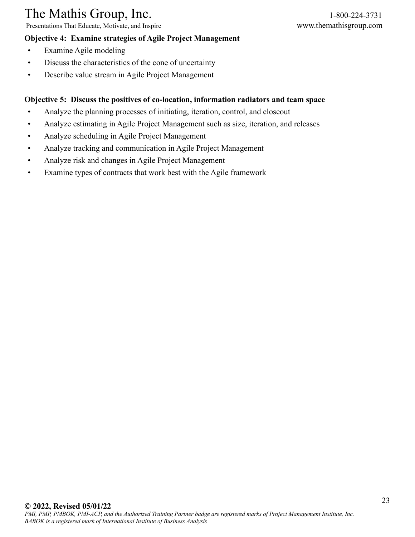Presentations That Educate, Motivate, and Inspire www.themathisgroup.com

#### **Objective 4: Examine strategies of Agile Project Management**

- Examine Agile modeling
- Discuss the characteristics of the cone of uncertainty
- Describe value stream in Agile Project Management

#### **Objective 5: Discuss the positives of co-location, information radiators and team space**

- Analyze the planning processes of initiating, iteration, control, and closeout
- Analyze estimating in Agile Project Management such as size, iteration, and releases
- Analyze scheduling in Agile Project Management
- Analyze tracking and communication in Agile Project Management
- Analyze risk and changes in Agile Project Management
- Examine types of contracts that work best with the Agile framework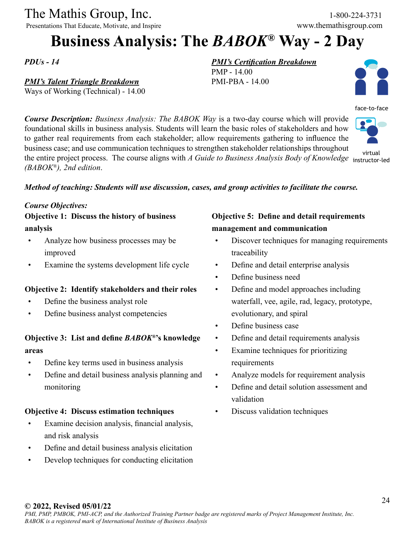Presentations That Educate, Motivate, and Inspire www.themathisgroup.com

## **Business Analysis: The** *BABOK®* **Way - 2 Day**

*PDUs - 14*

#### *PMI's Talent Triangle Breakdown*

Ways of Working (Technical) - 14.00

#### *PMI's Certification Breakdown*

PMP - 14.00 PMI-PBA - 14.00



face-to-face

*Course Description: Business Analysis: The BABOK Way* is a two-day course which will provide foundational skills in business analysis. Students will learn the basic roles of stakeholders and how to gather real requirements from each stakeholder; allow requirements gathering to influence the business case; and use communication techniques to strengthen stakeholder relationships throughout the entire project process. The course aligns with *A Guide to Business Analysis Body of Knowledge*  virtual *(BABOK®), 2nd edition*. instructor-led

#### *Method of teaching: Students will use discussion, cases, and group activities to facilitate the course.*

#### *Course Objectives:*

**Objective 1: Discuss the history of business analysis**

- Analyze how business processes may be improved
- Examine the systems development life cycle

#### **Objective 2: Identify stakeholders and their roles**

- Define the business analyst role
- Define business analyst competencies

#### **Objective 3: List and define** *BABOK®***'s knowledge areas**

- Define key terms used in business analysis
- Define and detail business analysis planning and monitoring

#### **Objective 4: Discuss estimation techniques**

- Examine decision analysis, financial analysis, and risk analysis
- Define and detail business analysis elicitation
- Develop techniques for conducting elicitation

#### **Objective 5: Define and detail requirements management and communication**

- Discover techniques for managing requirements traceability
- Define and detail enterprise analysis
- Define business need
- Define and model approaches including waterfall, vee, agile, rad, legacy, prototype, evolutionary, and spiral
- Define business case
- Define and detail requirements analysis
- Examine techniques for prioritizing requirements
- Analyze models for requirement analysis
- Define and detail solution assessment and validation
- Discuss validation techniques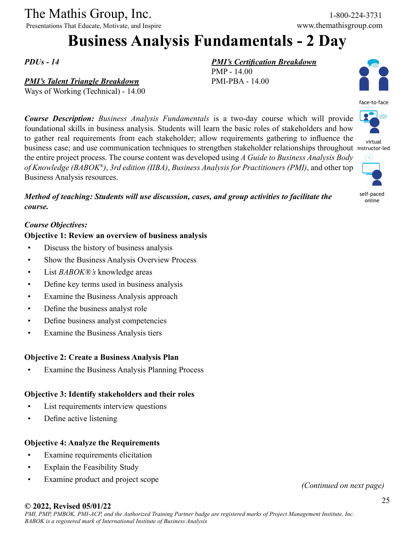Presentations That Educate, Motivate, and Inspire www.themathisgroup.com

### **Business Analysis Fundamentals - 2 Day**

*PDUs - 14*

#### *PMI's Talent Triangle Breakdown*

Ways of Working (Technical) - 14.00

*Course Description: Business Analysis Fundamentals* is a two-day course which will provide foundational skills in business analysis. Students will learn the basic roles of stakeholders and how to gather real requirements from each stakeholder; allow requirements gathering to influence the business case; and use communication techniques to strengthen stakeholder relationships throughout instructor-led the entire project process. The course content was developed using *A Guide to Business Analysis Body of Knowledge (BABOK®)*, *3rd edition (IIBA)*, *Business Analysis for Practitioners (PMI)*, and other top Business Analysis resources.

*Method of teaching: Students will use discussion, cases, and group activities to facilitate the course.*

#### *Course Objectives:*

#### **Objective 1: Review an overview of business analysis**

- Discuss the history of business analysis
- Show the Business Analysis Overview Process
- List *BABOK®'s* knowledge areas
- Define key terms used in business analysis
- Examine the Business Analysis approach
- Define the business analyst role
- Define business analyst competencies
- Examine the Business Analysis tiers

#### **Objective 2: Create a Business Analysis Plan**

Examine the Business Analysis Planning Process

#### **Objective 3: Identify stakeholders and their roles**

- List requirements interview questions
- Define active listening

#### **Objective 4: Analyze the Requirements**

- Examine requirements elicitation
- Explain the Feasibility Study
- Examine product and project scope *(Continued on next page)*

#### *PMI's Certification Breakdown*

PMP - 14.00 PMI-PBA - 14.00





virtual



self-paced online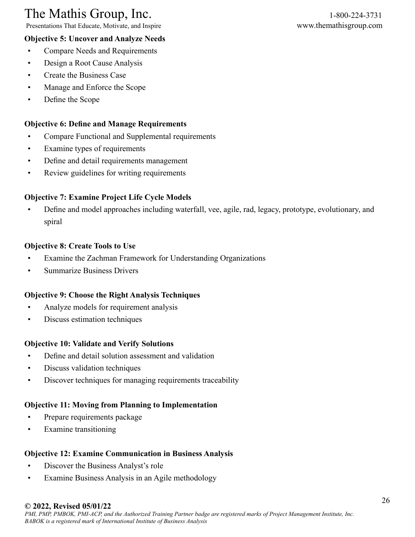Presentations That Educate, Motivate, and Inspire www.themathisgroup.com

#### **Objective 5: Uncover and Analyze Needs**

- Compare Needs and Requirements
- Design a Root Cause Analysis
- Create the Business Case
- Manage and Enforce the Scope
- Define the Scope

#### **Objective 6: Define and Manage Requirements**

- Compare Functional and Supplemental requirements
- Examine types of requirements
- Define and detail requirements management
- Review guidelines for writing requirements

#### **Objective 7: Examine Project Life Cycle Models**

• Define and model approaches including waterfall, vee, agile, rad, legacy, prototype, evolutionary, and spiral

#### **Objective 8: Create Tools to Use**

- Examine the Zachman Framework for Understanding Organizations
- Summarize Business Drivers

#### **Objective 9: Choose the Right Analysis Techniques**

- Analyze models for requirement analysis
- Discuss estimation techniques

#### **Objective 10: Validate and Verify Solutions**

- Define and detail solution assessment and validation
- Discuss validation techniques
- Discover techniques for managing requirements traceability

#### **Objective 11: Moving from Planning to Implementation**

- Prepare requirements package
- Examine transitioning

#### **Objective 12: Examine Communication in Business Analysis**

- Discover the Business Analyst's role
- Examine Business Analysis in an Agile methodology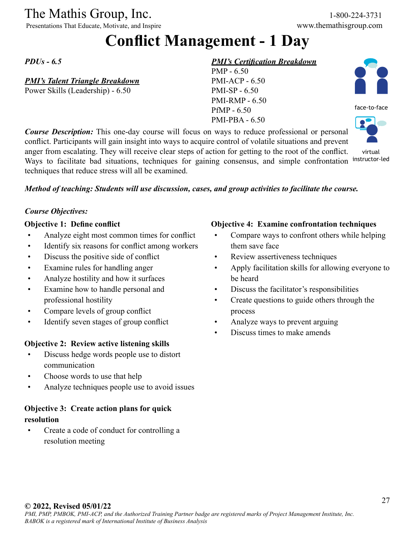Presentations That Educate, Motivate, and Inspire www.themathisgroup.com

### **Conflict Management - 1 Day**

*PDUs - 6.5*

#### *PMI's Talent Triangle Breakdown*

Power Skills (Leadership) - 6.50

#### *PMI's Certification Breakdown*

PMP - 6.50 PMI-ACP - 6.50 PMI-SP - 6.50 PMI-RMP - 6.50 PfMP - 6.50 PMI-PBA - 6.50

face-to-face



*Course Description:* This one-day course will focus on ways to reduce professional or personal conflict. Participants will gain insight into ways to acquire control of volatile situations and prevent anger from escalating. They will receive clear steps of action for getting to the root of the conflict. Ways to facilitate bad situations, techniques for gaining consensus, and simple confrontation techniques that reduce stress will all be examined. virtual instructor-led

#### *Method of teaching: Students will use discussion, cases, and group activities to facilitate the course.*

#### *Course Objectives:*

#### **Objective 1: Define conflict**

- Analyze eight most common times for conflict
- Identify six reasons for conflict among workers
- Discuss the positive side of conflict
- Examine rules for handling anger
- Analyze hostility and how it surfaces
- Examine how to handle personal and professional hostility
- Compare levels of group conflict
- Identify seven stages of group conflict

#### **Objective 2: Review active listening skills**

- Discuss hedge words people use to distort communication
- Choose words to use that help
- Analyze techniques people use to avoid issues

#### **Objective 3: Create action plans for quick resolution**

• Create a code of conduct for controlling a resolution meeting

#### **Objective 4: Examine confrontation techniques**

- Compare ways to confront others while helping them save face
- Review assertiveness techniques
- Apply facilitation skills for allowing everyone to be heard
- Discuss the facilitator's responsibilities
- Create questions to guide others through the process
- Analyze ways to prevent arguing
- Discuss times to make amends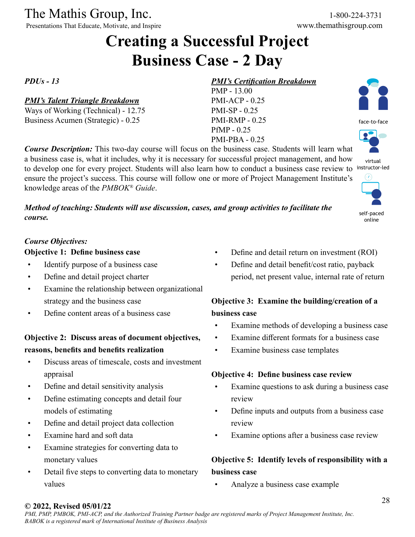Presentations That Educate, Motivate, and Inspire

### **Creating a Successful Project Business Case - 2 Day**

*Course Description:* This two-day course will focus on the business case. Students will learn what a business case is, what it includes, why it is necessary for successful project management, and how to develop one for every project. Students will also learn how to conduct a business case review to ensure the project's success. This course will follow one or more of Project Management Institute's

*Method of teaching: Students will use discussion, cases, and group activities to facilitate the* 

*PDUs - 13*

#### *PMI's Talent Triangle Breakdown*

Ways of Working (Technical) - 12.75 Business Acumen (Strategic) - 0.25

#### *PMI's Certification Breakdown*

PMP - 13.00 PMI-ACP - 0.25 PMI-SP - 0.25 PMI-RMP - 0.25 PfMP - 0.25 PMI-PBA - 0.25

face-to-face

 $\bullet$ 

virtual instructor-led



self-paced online

#### *Course Objectives:*

*course.*

#### **Objective 1: Define business case**

• Identify purpose of a business case

knowledge areas of the *PMBOK® Guide*.

- Define and detail project charter
- Examine the relationship between organizational strategy and the business case
- Define content areas of a business case

#### **Objective 2: Discuss areas of document objectives, reasons, benefits and benefits realization**

- Discuss areas of timescale, costs and investment appraisal
- Define and detail sensitivity analysis
- Define estimating concepts and detail four models of estimating
- Define and detail project data collection
- Examine hard and soft data
- Examine strategies for converting data to monetary values
- Detail five steps to converting data to monetary values
- Define and detail return on investment (ROI)
- Define and detail benefit/cost ratio, payback period, net present value, internal rate of return

#### **Objective 3: Examine the building/creation of a business case**

- Examine methods of developing a business case
- Examine different formats for a business case
- Examine business case templates

#### **Objective 4: Define business case review**

- Examine questions to ask during a business case review
- Define inputs and outputs from a business case review
- Examine options after a business case review

#### **Objective 5: Identify levels of responsibility with a business case**

• Analyze a business case example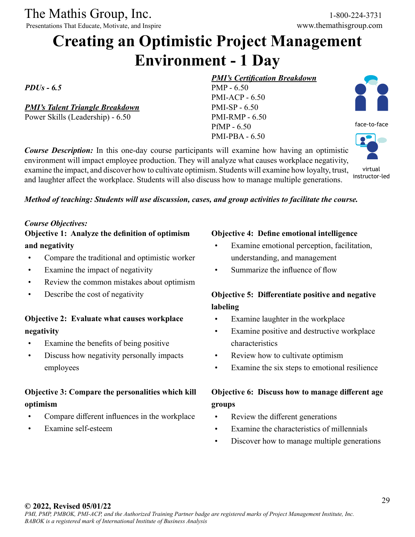Presentations That Educate, Motivate, and Inspire

### **Creating an Optimistic Project Management Environment - 1 Day**

PMP - 6.50 PMI-ACP - 6.50 PMI-SP - 6.50 PMI-RMP - 6.50 PfMP - 6.50 PMI-PBA - 6.50

*PDUs - 6.5*

*PMI's Talent Triangle Breakdown*

Power Skills (Leadership) - 6.50

#### *Course Description:* In this one-day course participants will examine how having an optimistic environment will impact employee production. They will analyze what causes workplace negativity, examine the impact, and discover how to cultivate optimism. Students will examine how loyalty, trust, and laughter affect the workplace. Students will also discuss how to manage multiple generations.



face-to-face

virtual instructor-led

#### *Method of teaching: Students will use discussion, cases, and group activities to facilitate the course.*

#### *Course Objectives:*

#### **Objective 1: Analyze the definition of optimism and negativity**

- Compare the traditional and optimistic worker
- Examine the impact of negativity
- Review the common mistakes about optimism
- Describe the cost of negativity

#### **Objective 2: Evaluate what causes workplace negativity**

- Examine the benefits of being positive
- Discuss how negativity personally impacts employees

#### **Objective 3: Compare the personalities which kill optimism**

- Compare different influences in the workplace
- Examine self-esteem

#### **Objective 4: Define emotional intelligence**

- Examine emotional perception, facilitation, understanding, and management
- Summarize the influence of flow

*PMI's Certification Breakdown*

#### **Objective 5: Differentiate positive and negative labeling**

- Examine laughter in the workplace
- Examine positive and destructive workplace characteristics
- Review how to cultivate optimism
- Examine the six steps to emotional resilience

#### **Objective 6: Discuss how to manage different age groups**

- Review the different generations
- Examine the characteristics of millennials
- Discover how to manage multiple generations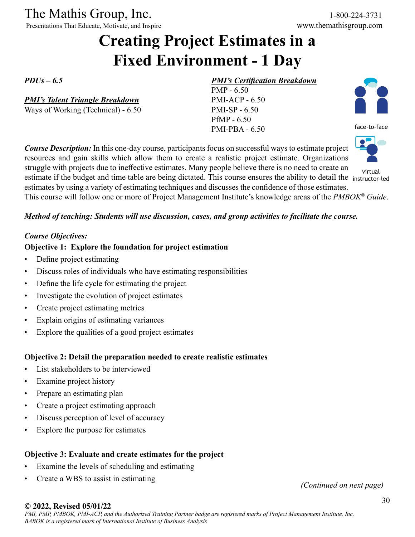Presentations That Educate, Motivate, and Inspire www.themathisgroup.com

### **Creating Project Estimates in a Fixed Environment - 1 Day**

*PDUs – 6.5*

*PMI's Talent Triangle Breakdown*

Ways of Working (Technical) - 6.50

#### *PMI's Certification Breakdown*

PMP - 6.50 PMI-ACP - 6.50 PMI-SP - 6.50 PfMP - 6.50 PMI-PBA - 6.50



face-to-face



virtual

*Course Description:* In this one-day course, participants focus on successful ways to estimate project resources and gain skills which allow them to create a realistic project estimate. Organizations struggle with projects due to ineffective estimates. Many people believe there is no need to create an estimate if the budget and time table are being dictated. This course ensures the ability to detail the instructor-ledestimates by using a variety of estimating techniques and discusses the confidence of those estimates. This course will follow one or more of Project Management Institute's knowledge areas of the *PMBOK® Guide*.

#### *Method of teaching: Students will use discussion, cases, and group activities to facilitate the course.*

#### *Course Objectives:*

#### **Objective 1: Explore the foundation for project estimation**

- Define project estimating
- Discuss roles of individuals who have estimating responsibilities
- Define the life cycle for estimating the project
- Investigate the evolution of project estimates
- Create project estimating metrics
- Explain origins of estimating variances
- Explore the qualities of a good project estimates

#### **Objective 2: Detail the preparation needed to create realistic estimates**

- List stakeholders to be interviewed
- Examine project history
- Prepare an estimating plan
- Create a project estimating approach
- Discuss perception of level of accuracy
- Explore the purpose for estimates

#### **Objective 3: Evaluate and create estimates for the project**

- Examine the levels of scheduling and estimating
- Create a WBS to assist in estimating *(Continued on next page)*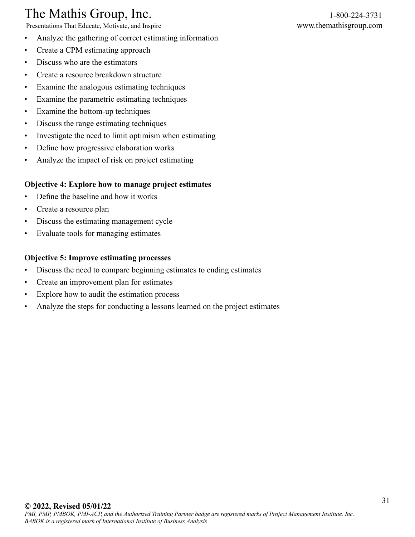Presentations That Educate, Motivate, and Inspire www.themathisgroup.com

- Analyze the gathering of correct estimating information
- Create a CPM estimating approach
- Discuss who are the estimators
- Create a resource breakdown structure
- Examine the analogous estimating techniques
- Examine the parametric estimating techniques
- Examine the bottom-up techniques
- Discuss the range estimating techniques
- Investigate the need to limit optimism when estimating
- Define how progressive elaboration works
- Analyze the impact of risk on project estimating

#### **Objective 4: Explore how to manage project estimates**

- Define the baseline and how it works
- Create a resource plan
- Discuss the estimating management cycle
- Evaluate tools for managing estimates

#### **Objective 5: Improve estimating processes**

- Discuss the need to compare beginning estimates to ending estimates
- Create an improvement plan for estimates
- Explore how to audit the estimation process
- Analyze the steps for conducting a lessons learned on the project estimates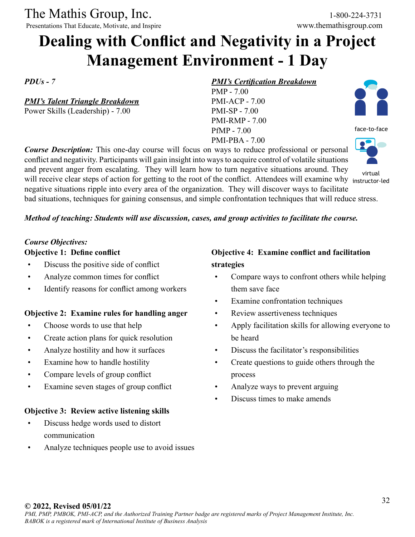Presentations That Educate, Motivate, and Inspire

### **Dealing with Conflict and Negativity in a Project Management Environment - 1 Day**

*PDUs - 7*

*PMI's Talent Triangle Breakdown* Power Skills (Leadership) - 7.00

#### *PMI's Certification Breakdown*

PMP - 7.00 PMI-ACP - 7.00 PMI-SP - 7.00 PMI-RMP - 7.00 PfMP - 7.00 PMI-PBA - 7.00



face-to-face

virtual

will receive clear steps of action for getting to the root of the conflict. Attendees will examine why instructor-led negative situations ripple into every area of the organization. They will discover ways to facilitate

bad situations, techniques for gaining consensus, and simple confrontation techniques that will reduce stress.

#### *Method of teaching: Students will use discussion, cases, and group activities to facilitate the course.*

*Course Description:* This one-day course will focus on ways to reduce professional or personal conflict and negativity. Participants will gain insight into ways to acquire control of volatile situations and prevent anger from escalating. They will learn how to turn negative situations around. They

#### *Course Objectives:*

#### **Objective 1: Define conflict**

- Discuss the positive side of conflict
- Analyze common times for conflict
- Identify reasons for conflict among workers

#### **Objective 2: Examine rules for handling anger**

- Choose words to use that help
- Create action plans for quick resolution
- Analyze hostility and how it surfaces
- Examine how to handle hostility
- Compare levels of group conflict
- Examine seven stages of group conflict

#### **Objective 3: Review active listening skills**

- Discuss hedge words used to distort communication
- Analyze techniques people use to avoid issues

#### **Objective 4: Examine conflict and facilitation strategies**

- Compare ways to confront others while helping them save face
- Examine confrontation techniques
- Review assertiveness techniques
- Apply facilitation skills for allowing everyone to be heard
- Discuss the facilitator's responsibilities
- Create questions to guide others through the process
- Analyze ways to prevent arguing
- Discuss times to make amends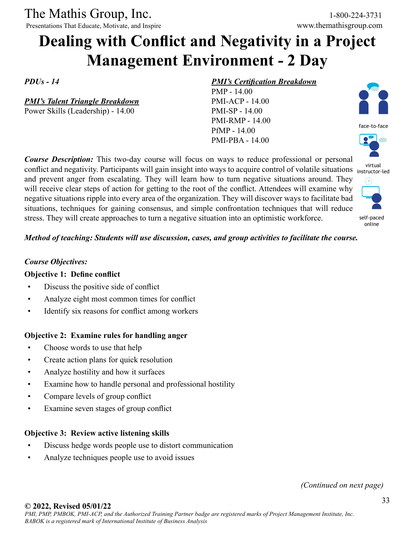Presentations That Educate, Motivate, and Inspire www.themathisgroup.com

### **Dealing with Conflict and Negativity in a Project Management Environment - 2 Day**

*PDUs - 14*

*PMI's Talent Triangle Breakdown* Power Skills (Leadership) - 14.00

#### *PMI's Certification Breakdown*

PMP - 14.00 PMI-ACP - 14.00 PMI-SP - 14.00 PMI-RMP - 14.00 PfMP - 14.00 PMI-PBA - 14.00

*Course Description:* This two-day course will focus on ways to reduce professional or personal conflict and negativity. Participants will gain insight into ways to acquire control of volatile situations instructor-led and prevent anger from escalating. They will learn how to turn negative situations around. They will receive clear steps of action for getting to the root of the conflict. Attendees will examine why negative situations ripple into every area of the organization. They will discover ways to facilitate bad situations, techniques for gaining consensus, and simple confrontation techniques that will reduce stress. They will create approaches to turn a negative situation into an optimistic workforce.

face-to-face virtual  $\epsilon$ a



online

#### *Method of teaching: Students will use discussion, cases, and group activities to facilitate the course.*

#### *Course Objectives:*

#### **Objective 1: Define conflict**

- Discuss the positive side of conflict
- Analyze eight most common times for conflict
- Identify six reasons for conflict among workers

#### **Objective 2: Examine rules for handling anger**

- Choose words to use that help
- Create action plans for quick resolution
- Analyze hostility and how it surfaces
- Examine how to handle personal and professional hostility
- Compare levels of group conflict
- Examine seven stages of group conflict

#### **Objective 3: Review active listening skills**

- Discuss hedge words people use to distort communication
- Analyze techniques people use to avoid issues

*(Continued on next page)*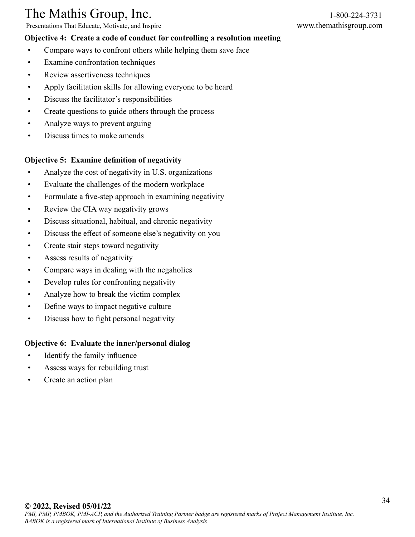Presentations That Educate, Motivate, and Inspire www.themathisgroup.com

#### **Objective 4: Create a code of conduct for controlling a resolution meeting**

- Compare ways to confront others while helping them save face
- Examine confrontation techniques
- Review assertiveness techniques
- Apply facilitation skills for allowing everyone to be heard
- Discuss the facilitator's responsibilities
- Create questions to guide others through the process
- Analyze ways to prevent arguing
- Discuss times to make amends

#### **Objective 5: Examine definition of negativity**

- Analyze the cost of negativity in U.S. organizations
- Evaluate the challenges of the modern workplace
- Formulate a five-step approach in examining negativity
- Review the CIA way negativity grows
- Discuss situational, habitual, and chronic negativity
- Discuss the effect of someone else's negativity on you
- Create stair steps toward negativity
- Assess results of negativity
- Compare ways in dealing with the negaholics
- Develop rules for confronting negativity
- Analyze how to break the victim complex
- Define ways to impact negative culture
- Discuss how to fight personal negativity

#### **Objective 6: Evaluate the inner/personal dialog**

- Identify the family influence
- Assess ways for rebuilding trust
- Create an action plan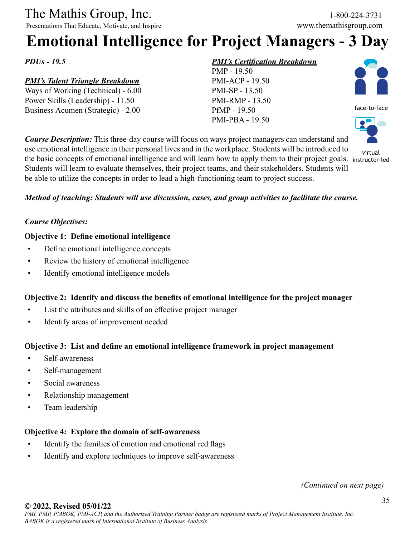Presentations That Educate, Motivate, and Inspire

## **Emotional Intelligence for Project Managers - 3 Day**

*PDUs - 19.5*

#### *PMI's Talent Triangle Breakdown*

Ways of Working (Technical) - 6.00 Power Skills (Leadership) - 11.50 Business Acumen (Strategic) - 2.00

#### *PMI's Certification Breakdown*





virtual

*Course Description:* This three-day course will focus on ways project managers can understand and use emotional intelligence in their personal lives and in the workplace. Students will be introduced to the basic concepts of emotional intelligence and will learn how to apply them to their project goals. instructor-ledStudents will learn to evaluate themselves, their project teams, and their stakeholders. Students will be able to utilize the concepts in order to lead a high-functioning team to project success.

#### *Method of teaching: Students will use discussion, cases, and group activities to facilitate the course.*

#### *Course Objectives:*

#### **Objective 1: Define emotional intelligence**

- Define emotional intelligence concepts
- Review the history of emotional intelligence
- Identify emotional intelligence models

#### **Objective 2: Identify and discuss the benefits of emotional intelligence for the project manager**

- List the attributes and skills of an effective project manager
- Identify areas of improvement needed

#### **Objective 3: List and define an emotional intelligence framework in project management**

- Self-awareness
- Self-management
- Social awareness
- Relationship management
- Team leadership

#### **Objective 4: Explore the domain of self-awareness**

- Identify the families of emotion and emotional red flags
- Identify and explore techniques to improve self-awareness

*(Continued on next page)*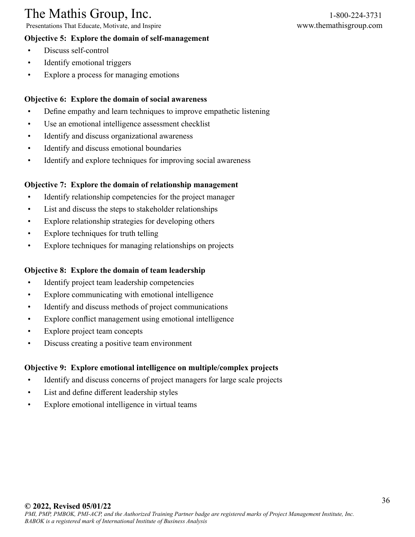Presentations That Educate, Motivate, and Inspire www.themathisgroup.com

#### **Objective 5: Explore the domain of self-management**

- Discuss self-control
- Identify emotional triggers
- Explore a process for managing emotions

#### **Objective 6: Explore the domain of social awareness**

- Define empathy and learn techniques to improve empathetic listening
- Use an emotional intelligence assessment checklist
- Identify and discuss organizational awareness
- Identify and discuss emotional boundaries
- Identify and explore techniques for improving social awareness

#### **Objective 7: Explore the domain of relationship management**

- Identify relationship competencies for the project manager
- List and discuss the steps to stakeholder relationships
- Explore relationship strategies for developing others
- Explore techniques for truth telling
- Explore techniques for managing relationships on projects

#### **Objective 8: Explore the domain of team leadership**

- Identify project team leadership competencies
- Explore communicating with emotional intelligence
- Identify and discuss methods of project communications
- Explore conflict management using emotional intelligence
- Explore project team concepts
- Discuss creating a positive team environment

#### **Objective 9: Explore emotional intelligence on multiple/complex projects**

- Identify and discuss concerns of project managers for large scale projects
- List and define different leadership styles
- Explore emotional intelligence in virtual teams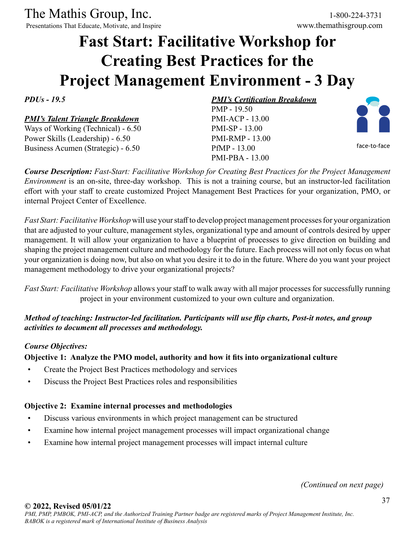Presentations That Educate, Motivate, and Inspire

## **Fast Start: Facilitative Workshop for Creating Best Practices for the Project Management Environment - 3 Day**

### *PDUs - 19.5*

### *PMI's Talent Triangle Breakdown*

Ways of Working (Technical) - 6.50 Power Skills (Leadership) - 6.50 Business Acumen (Strategic) - 6.50

*PMI's Certification Breakdown* PMP - 19.50 PMI-ACP - 13.00 PMI-SP - 13.00 PMI-RMP - 13.00 PfMP - 13.00 PMI-PBA - 13.00



face-to-face

*Course Description: Fast-Start: Facilitative Workshop for Creating Best Practices for the Project Management Environment* is an on-site, three-day workshop. This is not a training course, but an instructor-led facilitation effort with your staff to create customized Project Management Best Practices for your organization, PMO, or internal Project Center of Excellence.

*Fast Start: Facilitative Workshop* will use your staff to develop project management processes for your organization that are adjusted to your culture, management styles, organizational type and amount of controls desired by upper management. It will allow your organization to have a blueprint of processes to give direction on building and shaping the project management culture and methodology for the future. Each process will not only focus on what your organization is doing now, but also on what you desire it to do in the future. Where do you want your project management methodology to drive your organizational projects?

*Fast Start: Facilitative Workshop* allows your staff to walk away with all major processes for successfully running project in your environment customized to your own culture and organization.

### *Method of teaching: Instructor-led facilitation. Participants will use flip charts, Post-it notes, and group activities to document all processes and methodology.*

### *Course Objectives:*

### **Objective 1: Analyze the PMO model, authority and how it fits into organizational culture**

- Create the Project Best Practices methodology and services
- Discuss the Project Best Practices roles and responsibilities

### **Objective 2: Examine internal processes and methodologies**

- Discuss various environments in which project management can be structured
- Examine how internal project management processes will impact organizational change
- Examine how internal project management processes will impact internal culture

*(Continued on next page)*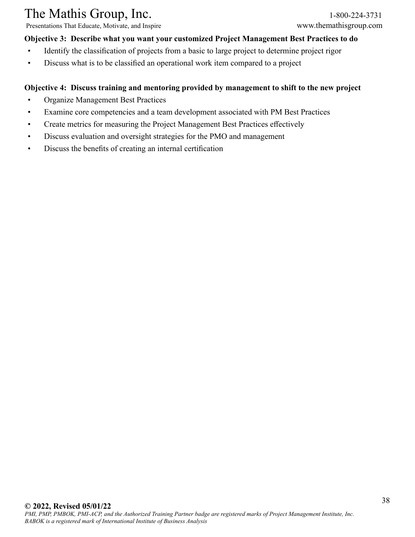Presentations That Educate, Motivate, and Inspire www.themathisgroup.com

### **Objective 3: Describe what you want your customized Project Management Best Practices to do**

- Identify the classification of projects from a basic to large project to determine project rigor
- Discuss what is to be classified an operational work item compared to a project

### **Objective 4: Discuss training and mentoring provided by management to shift to the new project**

- Organize Management Best Practices
- Examine core competencies and a team development associated with PM Best Practices
- Create metrics for measuring the Project Management Best Practices effectively
- Discuss evaluation and oversight strategies for the PMO and management
- Discuss the benefits of creating an internal certification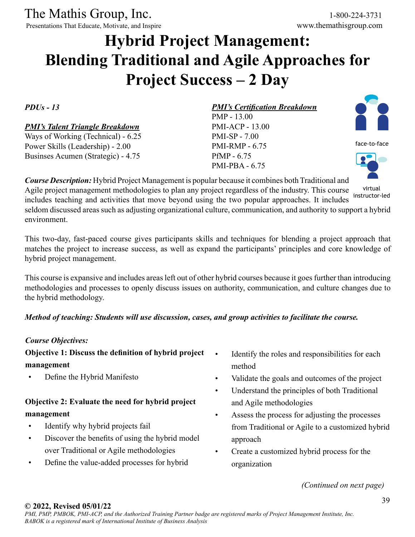Presentations That Educate, Motivate, and Inspire

## **Hybrid Project Management: Blending Traditional and Agile Approaches for Project Success – 2 Day**

*PDUs - 13*

### *PMI's Talent Triangle Breakdown*

Ways of Working (Technical) - 6.25 Power Skills (Leadership) - 2.00 Businses Acumen (Strategic) - 4.75

### *PMI's Certification Breakdown*

PMP - 13.00 PMI-ACP - 13.00 PMI-SP - 7.00 PMI-RMP - 6.75 PfMP - 6.75 PMI-PBA - 6.75



face-to-face



*Course Description:* Hybrid Project Management is popular because it combines both Traditional and Agile project management methodologies to plan any project regardless of the industry. This course includes teaching and activities that move beyond using the two popular approaches. It includes seldom discussed areas such as adjusting organizational culture, communication, and authority to support a hybrid environment. virtual instructor-led

This two-day, fast-paced course gives participants skills and techniques for blending a project approach that matches the project to increase success, as well as expand the participants' principles and core knowledge of hybrid project management.

This course is expansive and includes areas left out of other hybrid courses because it goes further than introducing methodologies and processes to openly discuss issues on authority, communication, and culture changes due to the hybrid methodology.

### *Method of teaching: Students will use discussion, cases, and group activities to facilitate the course.*

### *Course Objectives:*

### **Objective 1: Discuss the definition of hybrid project management**

• Define the Hybrid Manifesto

### **Objective 2: Evaluate the need for hybrid project management**

- Identify why hybrid projects fail
- Discover the benefits of using the hybrid model over Traditional or Agile methodologies
- Define the value-added processes for hybrid
- Identify the roles and responsibilities for each method
- Validate the goals and outcomes of the project
- Understand the principles of both Traditional and Agile methodologies
- Assess the process for adjusting the processes from Traditional or Agile to a customized hybrid approach
- Create a customized hybrid process for the organization

*(Continued on next page)*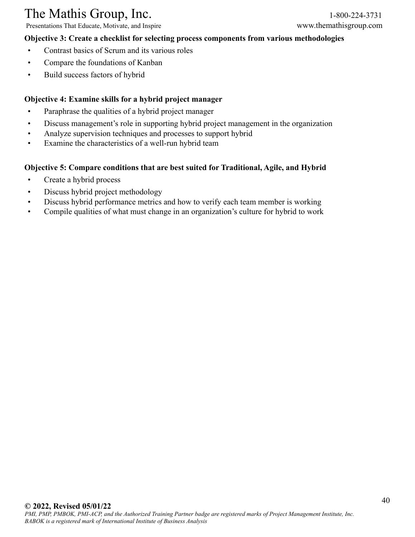Presentations That Educate, Motivate, and Inspire www.themathisgroup.com

### **Objective 3: Create a checklist for selecting process components from various methodologies**

- Contrast basics of Scrum and its various roles
- Compare the foundations of Kanban
- Build success factors of hybrid

### **Objective 4: Examine skills for a hybrid project manager**

- Paraphrase the qualities of a hybrid project manager
- Discuss management's role in supporting hybrid project management in the organization
- Analyze supervision techniques and processes to support hybrid
- Examine the characteristics of a well-run hybrid team

### **Objective 5: Compare conditions that are best suited for Traditional, Agile, and Hybrid**

- Create a hybrid process
- Discuss hybrid project methodology
- Discuss hybrid performance metrics and how to verify each team member is working
- Compile qualities of what must change in an organization's culture for hybrid to work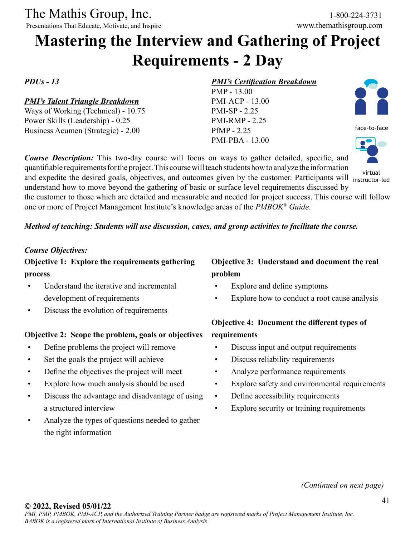Presentations That Educate, Motivate, and Inspire

## **Mastering the Interview and Gathering of Project Requirements - 2 Day**

### *PDUs - 13*

### *PMI's Talent Triangle Breakdown*

Ways of Working (Technical) - 10.75 Power Skills (Leadership) - 0.25 Business Acumen (Strategic) - 2.00

### *PMI's Certification Breakdown*

PMP - 13.00 PMI-ACP - 13.00 PMI-SP - 2.25 PMI-RMP - 2.25 PfMP - 2.25 PMI-PBA - 13.00

*Course Description:* This two-day course will focus on ways to gather detailed, specific, and quantifiable requirements for the project. This course will teach students how to analyze the information and expedite the desired goals, objectives, and outcomes given by the customer. Participants will virtual understand how to move beyond the gathering of basic or surface level requirements discussed by





the customer to those which are detailed and measurable and needed for project success. This course will follow one or more of Project Management Institute's knowledge areas of the *PMBOK® Guide*.

### *Method of teaching: Students will use discussion, cases, and group activities to facilitate the course.*

### *Course Objectives:*

**Objective 1: Explore the requirements gathering process**

- Understand the iterative and incremental development of requirements
- Discuss the evolution of requirements

### **Objective 2: Scope the problem, goals or objectives**

- Define problems the project will remove
- Set the goals the project will achieve
- Define the objectives the project will meet
- Explore how much analysis should be used
- Discuss the advantage and disadvantage of using a structured interview
- Analyze the types of questions needed to gather the right information

### **Objective 3: Understand and document the real problem**

- Explore and define symptoms
- Explore how to conduct a root cause analysis

### **Objective 4: Document the different types of requirements**

- Discuss input and output requirements
- Discuss reliability requirements
- Analyze performance requirements
- Explore safety and environmental requirements
- Define accessibility requirements
- Explore security or training requirements

*(Continued on next page)*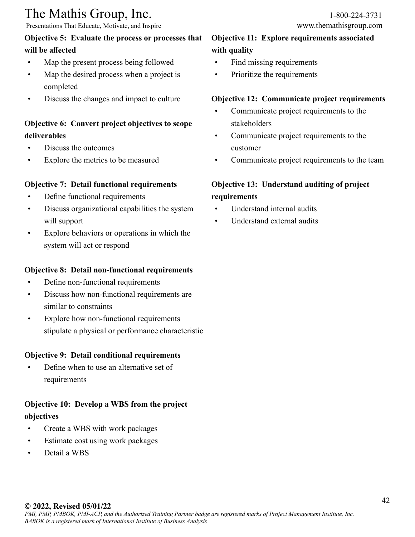Presentations That Educate, Motivate, and Inspire www.themathisgroup.com

### **Objective 5: Evaluate the process or processes that will be affected**

- Map the present process being followed
- Map the desired process when a project is completed
- Discuss the changes and impact to culture

### **Objective 6: Convert project objectives to scope deliverables**

- Discuss the outcomes
- Explore the metrics to be measured

### **Objective 7: Detail functional requirements**

- Define functional requirements
- Discuss organizational capabilities the system will support
- Explore behaviors or operations in which the system will act or respond

### **Objective 8: Detail non-functional requirements**

- Define non-functional requirements
- Discuss how non-functional requirements are similar to constraints
- Explore how non-functional requirements stipulate a physical or performance characteristic

### **Objective 9: Detail conditional requirements**

• Define when to use an alternative set of requirements

### **Objective 10: Develop a WBS from the project objectives**

- Create a WBS with work packages
- Estimate cost using work packages
- Detail a WBS

### **Objective 11: Explore requirements associated with quality**

- Find missing requirements
- Prioritize the requirements

### **Objective 12: Communicate project requirements**

- Communicate project requirements to the stakeholders
- Communicate project requirements to the customer
- Communicate project requirements to the team

### **Objective 13: Understand auditing of project requirements**

- Understand internal audits
- Understand external audits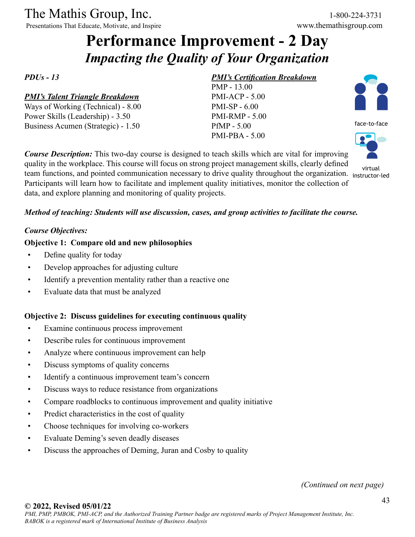Presentations That Educate, Motivate, and Inspire

## **Performance Improvement - 2 Day** *Impacting the Quality of Your Organization*

*PDUs - 13*

### *PMI's Talent Triangle Breakdown*

Ways of Working (Technical) - 8.00 Power Skills (Leadership) - 3.50 Business Acumen (Strategic) - 1.50

### *PMI's Certification Breakdown*

PMP - 13.00 PMI-ACP - 5.00 PMI-SP - 6.00 PMI-RMP - 5.00 PfMP - 5.00 PMI-PBA - 5.00



virtual

*Course Description:* This two-day course is designed to teach skills which are vital for improving quality in the workplace. This course will focus on strong project management skills, clearly defined team functions, and pointed communication necessary to drive quality throughout the organization. instructor-led Participants will learn how to facilitate and implement quality initiatives, monitor the collection of data, and explore planning and monitoring of quality projects.

### *Method of teaching: Students will use discussion, cases, and group activities to facilitate the course.*

### *Course Objectives:*

### **Objective 1: Compare old and new philosophies**

- Define quality for today
- Develop approaches for adjusting culture
- Identify a prevention mentality rather than a reactive one
- Evaluate data that must be analyzed

### **Objective 2: Discuss guidelines for executing continuous quality**

- Examine continuous process improvement
- Describe rules for continuous improvement
- Analyze where continuous improvement can help
- Discuss symptoms of quality concerns
- Identify a continuous improvement team's concern
- Discuss ways to reduce resistance from organizations
- Compare roadblocks to continuous improvement and quality initiative
- Predict characteristics in the cost of quality
- Choose techniques for involving co-workers
- Evaluate Deming's seven deadly diseases
- Discuss the approaches of Deming, Juran and Cosby to quality

*(Continued on next page)*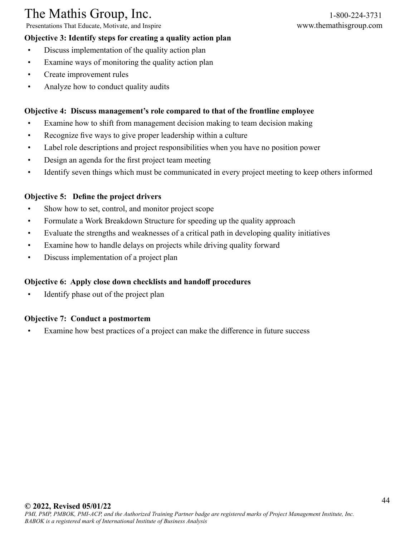Presentations That Educate, Motivate, and Inspire www.themathisgroup.com

- **Objective 3: Identify steps for creating a quality action plan**
- Discuss implementation of the quality action plan
- Examine ways of monitoring the quality action plan
- Create improvement rules
- Analyze how to conduct quality audits

### **Objective 4: Discuss management's role compared to that of the frontline employee**

- Examine how to shift from management decision making to team decision making
- Recognize five ways to give proper leadership within a culture
- Label role descriptions and project responsibilities when you have no position power
- Design an agenda for the first project team meeting
- Identify seven things which must be communicated in every project meeting to keep others informed

### **Objective 5: Define the project drivers**

- Show how to set, control, and monitor project scope
- Formulate a Work Breakdown Structure for speeding up the quality approach
- Evaluate the strengths and weaknesses of a critical path in developing quality initiatives
- Examine how to handle delays on projects while driving quality forward
- Discuss implementation of a project plan

### **Objective 6: Apply close down checklists and handoff procedures**

Identify phase out of the project plan

### **Objective 7: Conduct a postmortem**

Examine how best practices of a project can make the difference in future success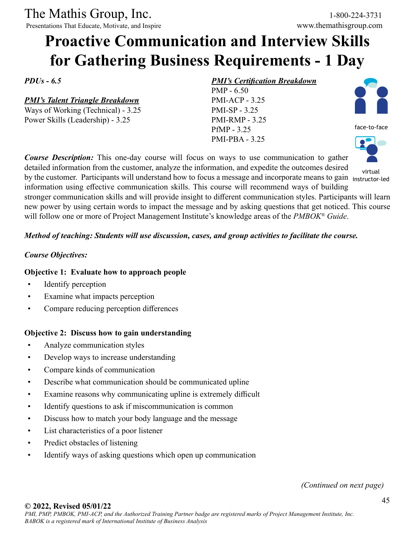Presentations That Educate, Motivate, and Inspire

## **Proactive Communication and Interview Skills for Gathering Business Requirements - 1 Day**

*PDUs - 6.5*

*PMI's Talent Triangle Breakdown*

Ways of Working (Technical) - 3.25 Power Skills (Leadership) - 3.25

### *PMI's Certification Breakdown*

PMP - 6.50 PMI-ACP - 3.25 PMI-SP - 3.25 PMI-RMP - 3.25 PfMP - 3.25 PMI-PBA - 3.25



virtual

face-to-face

information using effective communication skills. This course will recommend ways of building stronger communication skills and will provide insight to different communication styles. Participants will learn new power by using certain words to impact the message and by asking questions that get noticed. This course will follow one or more of Project Management Institute's knowledge areas of the *PMBOK® Guide*.

### *Method of teaching: Students will use discussion, cases, and group activities to facilitate the course.*

### *Course Objectives:*

### **Objective 1: Evaluate how to approach people**

- Identify perception
- Examine what impacts perception
- Compare reducing perception differences

### **Objective 2: Discuss how to gain understanding**

- Analyze communication styles
- Develop ways to increase understanding
- Compare kinds of communication
- Describe what communication should be communicated upline
- Examine reasons why communicating upline is extremely difficult
- Identify questions to ask if miscommunication is common
- Discuss how to match your body language and the message
- List characteristics of a poor listener
- Predict obstacles of listening
- Identify ways of asking questions which open up communication

*(Continued on next page)*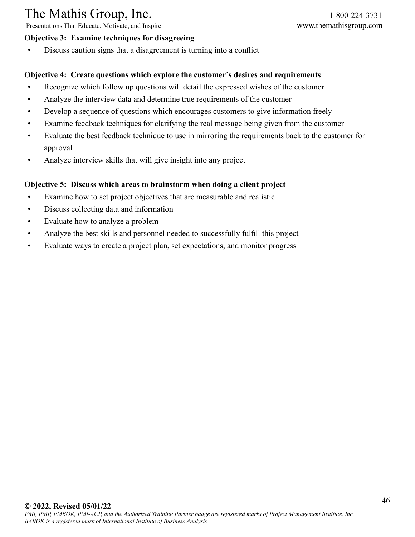Presentations That Educate, Motivate, and Inspire www.themathisgroup.com

### **Objective 3: Examine techniques for disagreeing**

- 
- Discuss caution signs that a disagreement is turning into a conflict

### **Objective 4: Create questions which explore the customer's desires and requirements**

- Recognize which follow up questions will detail the expressed wishes of the customer
- Analyze the interview data and determine true requirements of the customer
- Develop a sequence of questions which encourages customers to give information freely
- Examine feedback techniques for clarifying the real message being given from the customer
- Evaluate the best feedback technique to use in mirroring the requirements back to the customer for approval
- Analyze interview skills that will give insight into any project

### **Objective 5: Discuss which areas to brainstorm when doing a client project**

- Examine how to set project objectives that are measurable and realistic
- Discuss collecting data and information
- Evaluate how to analyze a problem
- Analyze the best skills and personnel needed to successfully fulfill this project
- Evaluate ways to create a project plan, set expectations, and monitor progress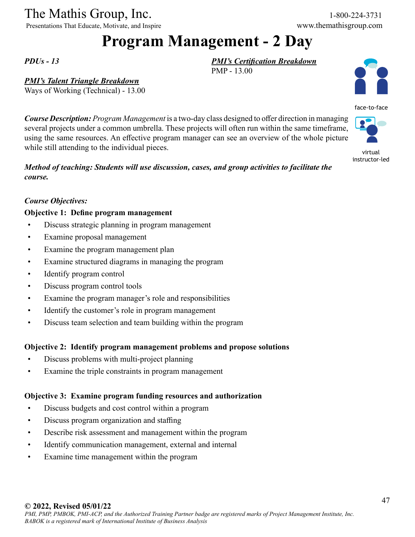Presentations That Educate, Motivate, and Inspire www.themathisgroup.com

## **Program Management - 2 Day**

PMP - 13.00

*PMI's Certification Breakdown*

*PDUs - 13*

*PMI's Talent Triangle Breakdown*

Ways of Working (Technical) - 13.00

*Course Description: Program Management* is a two-day class designed to offer direction in managing several projects under a common umbrella. These projects will often run within the same timeframe, using the same resources. An effective program manager can see an overview of the whole picture while still attending to the individual pieces.

### *Method of teaching: Students will use discussion, cases, and group activities to facilitate the course.*

### *Course Objectives:*

### **Objective 1: Define program management**

- Discuss strategic planning in program management
- Examine proposal management
- Examine the program management plan
- Examine structured diagrams in managing the program
- Identify program control
- Discuss program control tools
- Examine the program manager's role and responsibilities
- Identify the customer's role in program management
- Discuss team selection and team building within the program

### **Objective 2: Identify program management problems and propose solutions**

- Discuss problems with multi-project planning
- Examine the triple constraints in program management

### **Objective 3: Examine program funding resources and authorization**

- Discuss budgets and cost control within a program
- Discuss program organization and staffing
- Describe risk assessment and management within the program
- Identify communication management, external and internal
- Examine time management within the program





virtual instructor-led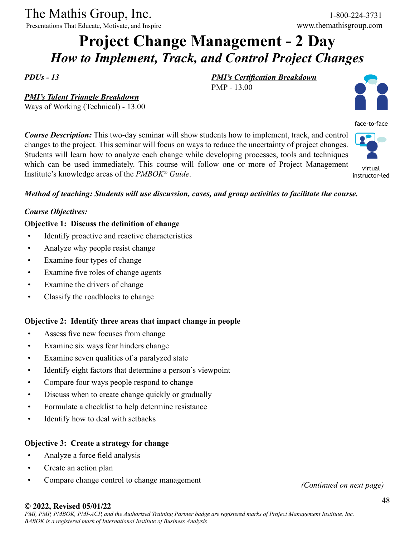*PMI's Talent Triangle Breakdown* Ways of Working (Technical) - 13.00

Presentations That Educate, Motivate, and Inspire www.themathisgroup.com

## **Project Change Management - 2 Day** *How to Implement, Track, and Control Project Changes*

*PDUs - 13*

*PMI's Certification Breakdown* PMP - 13.00



face-to-face

*Course Description:* This two-day seminar will show students how to implement, track, and control changes to the project. This seminar will focus on ways to reduce the uncertainty of project changes. Students will learn how to analyze each change while developing processes, tools and techniques which can be used immediately. This course will follow one or more of Project Management Institute's knowledge areas of the *PMBOK® Guide*. virtual instructor-led

### *Method of teaching: Students will use discussion, cases, and group activities to facilitate the course.*

### *Course Objectives:*

### **Objective 1: Discuss the definition of change**

- Identify proactive and reactive characteristics
- Analyze why people resist change
- Examine four types of change
- Examine five roles of change agents
- Examine the drivers of change
- Classify the roadblocks to change

### **Objective 2: Identify three areas that impact change in people**

- Assess five new focuses from change
- Examine six ways fear hinders change
- Examine seven qualities of a paralyzed state
- Identify eight factors that determine a person's viewpoint
- Compare four ways people respond to change
- Discuss when to create change quickly or gradually
- Formulate a checklist to help determine resistance
- Identify how to deal with setbacks

### **Objective 3: Create a strategy for change**

- Analyze a force field analysis
- Create an action plan
- Compare change control to change management

*(Continued on next page)*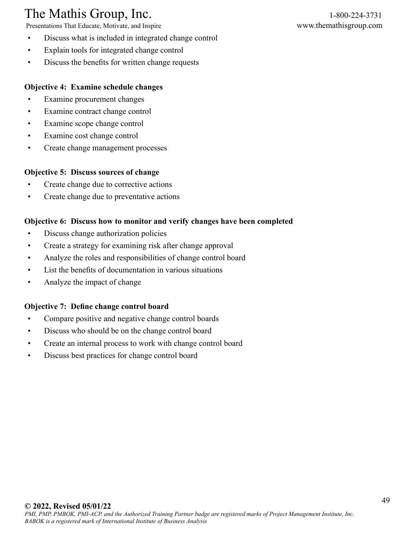Presentations That Educate, Motivate, and Inspire www.themathisgroup.com

- Discuss what is included in integrated change control
- Explain tools for integrated change control
- Discuss the benefits for written change requests

### **Objective 4: Examine schedule changes**

- Examine procurement changes
- Examine contract change control
- Examine scope change control
- Examine cost change control
- Create change management processes

### **Objective 5: Discuss sources of change**

- Create change due to corrective actions
- Create change due to preventative actions

### **Objective 6: Discuss how to monitor and verify changes have been completed**

- Discuss change authorization policies
- Create a strategy for examining risk after change approval
- Analyze the roles and responsibilities of change control board
- List the benefits of documentation in various situations
- Analyze the impact of change

### **Objective 7: Define change control board**

- Compare positive and negative change control boards
- Discuss who should be on the change control board
- Create an internal process to work with change control board
- Discuss best practices for change control board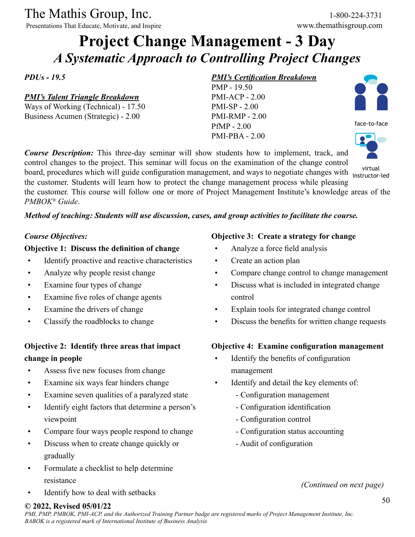Presentations That Educate, Motivate, and Inspire

## **Project Change Management - 3 Day** *A Systematic Approach to Controlling Project Changes*

*PDUs - 19.5*

*PMI's Talent Triangle Breakdown*

Ways of Working (Technical) - 17.50 Business Acumen (Strategic) - 2.00

### *PMI's Certification Breakdown*

PMP - 19.50 PMI-ACP - 2.00 PMI-SP - 2.00 PMI-RMP - 2.00 PfMP - 2.00 PMI-PBA - 2.00



face-to-face

*Course Description:* This three-day seminar will show students how to implement, track, and control changes to the project. This seminar will focus on the examination of the change control board, procedures which will guide configuration management, and ways to negotiate changes with virtual the customer. Students will learn how to protect the change management process while pleasing the customer. This course will follow one or more of Project Management Institute's knowledge areas of the *PMBOK® Guide*. instructor-led

### *Method of teaching: Students will use discussion, cases, and group activities to facilitate the course.*

### *Course Objectives:*

### **Objective 1: Discuss the definition of change**

- Identify proactive and reactive characteristics
- Analyze why people resist change
- Examine four types of change
- Examine five roles of change agents
- Examine the drivers of change
- Classify the roadblocks to change

### **Objective 2: Identify three areas that impact change in people**

- Assess five new focuses from change
- Examine six ways fear hinders change
- Examine seven qualities of a paralyzed state
- Identify eight factors that determine a person's viewpoint
- Compare four ways people respond to change
- Discuss when to create change quickly or gradually
- Formulate a checklist to help determine resistance
- Identify how to deal with setbacks

### **Objective 3: Create a strategy for change**

- Analyze a force field analysis
- Create an action plan
- Compare change control to change management
- Discuss what is included in integrated change control
- Explain tools for integrated change control
- Discuss the benefits for written change requests

### **Objective 4: Examine configuration management**

- Identify the benefits of configuration management
- Identify and detail the key elements of:
	- Configuration management
	- Configuration identification
	- Configuration control
	- Configuration status accounting
	- Audit of configuration

*(Continued on next page)*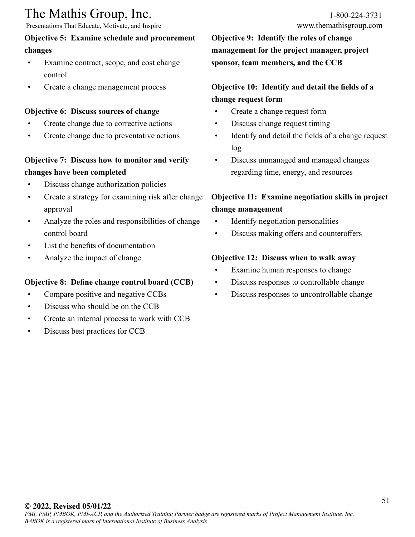Presentations That Educate, Motivate, and Inspire www.themathisgroup.com

### **Objective 5: Examine schedule and procurement changes**

- Examine contract, scope, and cost change control
- Create a change management process

### **Objective 6: Discuss sources of change**

- Create change due to corrective actions
- Create change due to preventative actions

### **Objective 7: Discuss how to monitor and verify changes have been completed**

- Discuss change authorization policies
- Create a strategy for examining risk after change approval
- Analyze the roles and responsibilities of change control board
- List the benefits of documentation
- Analyze the impact of change

### **Objective 8: Define change control board (CCB)**

- Compare positive and negative CCBs
- Discuss who should be on the CCB
- Create an internal process to work with CCB
- Discuss best practices for CCB

**Objective 9: Identify the roles of change management for the project manager, project sponsor, team members, and the CCB**

### **Objective 10: Identify and detail the fields of a change request form**

- Create a change request form
- Discuss change request timing
- Identify and detail the fields of a change request log
- Discuss unmanaged and managed changes regarding time, energy, and resources

### **Objective 11: Examine negotiation skills in project change management**

- Identify negotiation personalities
- Discuss making offers and counteroffers

### **Objective 12: Discuss when to walk away**

- Examine human responses to change
- Discuss responses to controllable change
- Discuss responses to uncontrollable change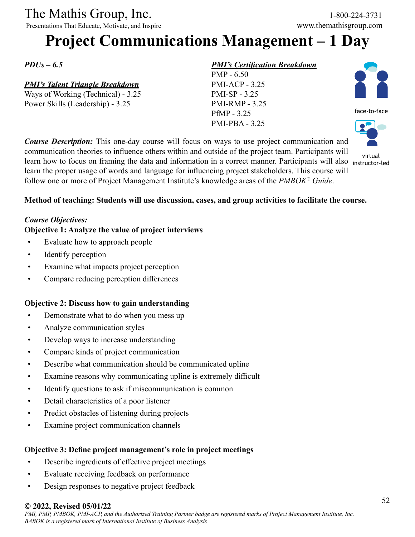Presentations That Educate, Motivate, and Inspire

## **Project Communications Management – 1 Day**

*PDUs – 6.5*

### *PMI's Talent Triangle Breakdown*

Ways of Working (Technical) - 3.25 Power Skills (Leadership) - 3.25

### *PMI's Certification Breakdown*

PMP - 6.50 PMI-ACP - 3.25 PMI-SP - 3.25 PMI-RMP - 3.25 PfMP - 3.25 PMI-PBA - 3.25



face-to-face



*Course Description:* This one-day course will focus on ways to use project communication and communication theories to influence others within and outside of the project team. Participants will exhimalization are rise to influence others within and outside of the project team. I different with virtual virtual learn how to focus on framing the data and information in a correct manner. Participants will also instru learn the proper usage of words and language for influencing project stakeholders. This course will follow one or more of Project Management Institute's knowledge areas of the *PMBOK® Guide*.

### **Method of teaching: Students will use discussion, cases, and group activities to facilitate the course.**

### *Course Objectives:*

### **Objective 1: Analyze the value of project interviews**

- Evaluate how to approach people
- Identify perception
- Examine what impacts project perception
- Compare reducing perception differences

### **Objective 2: Discuss how to gain understanding**

- Demonstrate what to do when you mess up
- Analyze communication styles
- Develop ways to increase understanding
- Compare kinds of project communication
- Describe what communication should be communicated upline
- Examine reasons why communicating upline is extremely difficult
- Identify questions to ask if miscommunication is common
- Detail characteristics of a poor listener
- Predict obstacles of listening during projects
- Examine project communication channels

### **Objective 3: Define project management's role in project meetings**

- Describe ingredients of effective project meetings
- Evaluate receiving feedback on performance
- Design responses to negative project feedback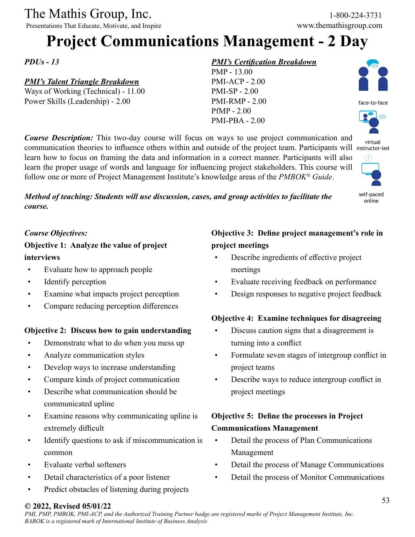Presentations That Educate, Motivate, and Inspire

## **Project Communications Management - 2 Day**

*PDUs - 13*

### *PMI's Talent Triangle Breakdown*

Ways of Working (Technical) - 11.00 Power Skills (Leadership) - 2.00

### *PMI's Certification Breakdown*

PMP - 13.00 PMI-ACP - 2.00 PMI-SP - 2.00 PMI-RMP - 2.00 PfMP - 2.00 PMI-PBA - 2.00

*Course Description:* This two-day course will focus on ways to use project communication and communication theories to influence others within and outside of the project team. Participants will instructor-led learn how to focus on framing the data and information in a correct manner. Participants will also learn the proper usage of words and language for influencing project stakeholders. This course will follow one or more of Project Management Institute's knowledge areas of the *PMBOK® Guide*.

*Method of teaching: Students will use discussion, cases, and group activities to facilitate the course.*

self-paced online

face-to-face

virtual

### *Course Objectives:*

### **Objective 1: Analyze the value of project interviews**

- Evaluate how to approach people
- Identify perception
- Examine what impacts project perception
- Compare reducing perception differences

### **Objective 2: Discuss how to gain understanding**

- Demonstrate what to do when you mess up
- Analyze communication styles
- Develop ways to increase understanding
- Compare kinds of project communication
- Describe what communication should be communicated upline
- Examine reasons why communicating upline is extremely difficult
- Identify questions to ask if miscommunication is common
- Evaluate verbal softeners
- Detail characteristics of a poor listener
- Predict obstacles of listening during projects

### **Objective 3: Define project management's role in project meetings**

- Describe ingredients of effective project meetings
- Evaluate receiving feedback on performance
- Design responses to negative project feedback

### **Objective 4: Examine techniques for disagreeing**

- Discuss caution signs that a disagreement is turning into a conflict
- Formulate seven stages of intergroup conflict in project teams
- Describe ways to reduce intergroup conflict in project meetings

### **Objective 5: Define the processes in Project Communications Management**

- Detail the process of Plan Communications Management
- Detail the process of Manage Communications
- Detail the process of Monitor Communications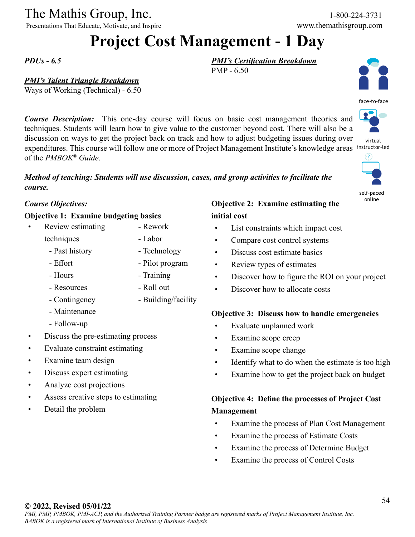Presentations That Educate, Motivate, and Inspire www.themathisgroup.com

## **Project Cost Management - 1 Day**

PMP - 6.50

*PDUs - 6.5*

### *PMI's Talent Triangle Breakdown*

Ways of Working (Technical) - 6.50

*Course Description:* This one-day course will focus on basic cost management theories and techniques. Students will learn how to give value to the customer beyond cost. There will also be a discussion on ways to get the project back on track and how to adjust budgeting issues during over expenditures. This course will follow one or more of Project Management Institute's knowledge areas instructor-led of the *PMBOK® Guide*.

*Method of teaching: Students will use discussion, cases, and group activities to facilitate the* 

- Rework - Labor

- Technology - Pilot program

- Building/facility

- Training - Roll out



face-to-face

virtual

self-paced online

### *Course Objectives:*

*course.*

### **Objective 1: Examine budgeting basics**

- Review estimating techniques
	- Past history
	- Effort
	- Hours
	- Resources
	- Contingency
	- Maintenance
	- Follow-up
- Discuss the pre-estimating process
- Evaluate constraint estimating
- Examine team design
- Discuss expert estimating
- Analyze cost projections
- Assess creative steps to estimating
- Detail the problem

### **Objective 2: Examine estimating the initial cost**

*PMI's Certification Breakdown*

- List constraints which impact cost
- Compare cost control systems
- Discuss cost estimate basics
- Review types of estimates
- Discover how to figure the ROI on your project
- Discover how to allocate costs

### **Objective 3: Discuss how to handle emergencies**

- Evaluate unplanned work
- Examine scope creep
- Examine scope change
- Identify what to do when the estimate is too high
- Examine how to get the project back on budget

### **Objective 4: Define the processes of Project Cost Management**

- Examine the process of Plan Cost Management
- Examine the process of Estimate Costs
- Examine the process of Determine Budget
- Examine the process of Control Costs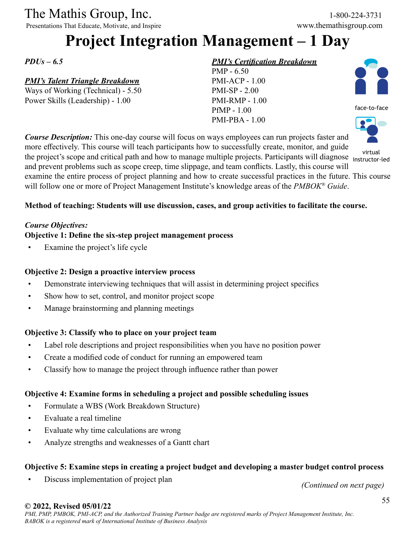Presentations That Educate, Motivate, and Inspire

## **Project Integration Management – 1 Day**

*PDUs – 6.5*

### *PMI's Talent Triangle Breakdown*

Ways of Working (Technical) - 5.50 Power Skills (Leadership) - 1.00

### *PMI's Certification Breakdown*

PMP - 6.50 PMI-ACP - 1.00 PMI-SP - 2.00 PMI-RMP - 1.00 PfMP - 1.00 PMI-PBA - 1.00



*Course Description:* This one-day course will focus on ways employees can run projects faster and more effectively. This course will teach participants how to successfully create, monitor, and guide the project's scope and critical path and how to manage multiple projects. Participants will diagnose instructor and prevent problems such as scope creep, time slippage, and team conflicts. Lastly, this course will examine the entire process of project planning and how to create successful practices in the future. This course will follow one or more of Project Management Institute's knowledge areas of the *PMBOK® Guide*.



### **Method of teaching: Students will use discussion, cases, and group activities to facilitate the course.**

### *Course Objectives:*

### **Objective 1: Define the six-step project management process**

Examine the project's life cycle

### **Objective 2: Design a proactive interview process**

- Demonstrate interviewing techniques that will assist in determining project specifics
- Show how to set, control, and monitor project scope
- Manage brainstorming and planning meetings

### **Objective 3: Classify who to place on your project team**

- Label role descriptions and project responsibilities when you have no position power
- Create a modified code of conduct for running an empowered team
- Classify how to manage the project through influence rather than power

### **Objective 4: Examine forms in scheduling a project and possible scheduling issues**

- Formulate a WBS (Work Breakdown Structure)
- Evaluate a real timeline
- Evaluate why time calculations are wrong
- Analyze strengths and weaknesses of a Gantt chart

### **Objective 5: Examine steps in creating a project budget and developing a master budget control process**

• Discuss implementation of project plan

*(Continued on next page)*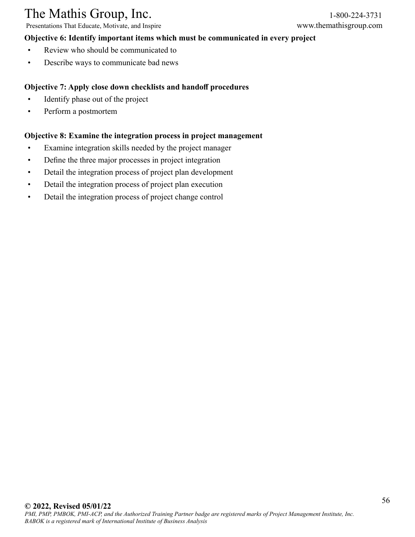Presentations That Educate, Motivate, and Inspire

### **Objective 6: Identify important items which must be communicated in every project**

- Review who should be communicated to
- Describe ways to communicate bad news

### **Objective 7: Apply close down checklists and handoff procedures**

- Identify phase out of the project
- Perform a postmortem

### **Objective 8: Examine the integration process in project management**

- Examine integration skills needed by the project manager
- Define the three major processes in project integration
- Detail the integration process of project plan development
- Detail the integration process of project plan execution
- Detail the integration process of project change control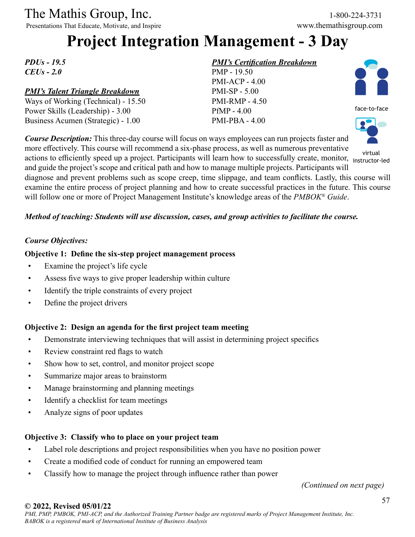Presentations That Educate, Motivate, and Inspire

## **Project Integration Management - 3 Day**

*PDUs - 19.5 CEUs - 2.0*

### *PMI's Talent Triangle Breakdown*

Ways of Working (Technical) - 15.50 Power Skills (Leadership) - 3.00 Business Acumen (Strategic) - 1.00

### *PMI's Certification Breakdown*









instructor-led

and guide the project's scope and critical path and how to manage multiple projects. Participants will diagnose and prevent problems such as scope creep, time slippage, and team conflicts. Lastly, this course will examine the entire process of project planning and how to create successful practices in the future. This course will follow one or more of Project Management Institute's knowledge areas of the *PMBOK® Guide*.

### *Method of teaching: Students will use discussion, cases, and group activities to facilitate the course.*

### *Course Objectives:*

### **Objective 1: Define the six-step project management process**

- Examine the project's life cycle
- Assess five ways to give proper leadership within culture
- Identify the triple constraints of every project
- Define the project drivers

### **Objective 2: Design an agenda for the first project team meeting**

- Demonstrate interviewing techniques that will assist in determining project specifics
- Review constraint red flags to watch
- Show how to set, control, and monitor project scope
- Summarize major areas to brainstorm
- Manage brainstorming and planning meetings
- Identify a checklist for team meetings
- Analyze signs of poor updates

### **Objective 3: Classify who to place on your project team**

- Label role descriptions and project responsibilities when you have no position power
- Create a modified code of conduct for running an empowered team
- Classify how to manage the project through influence rather than power

*(Continued on next page)*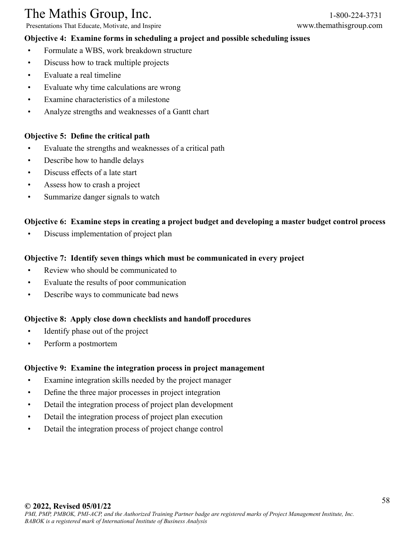Presentations That Educate, Motivate, and Inspire www.themathisgroup.com

### **Objective 4: Examine forms in scheduling a project and possible scheduling issues**

- Formulate a WBS, work breakdown structure
- Discuss how to track multiple projects
- Evaluate a real timeline
- Evaluate why time calculations are wrong
- Examine characteristics of a milestone
- Analyze strengths and weaknesses of a Gantt chart

### **Objective 5: Define the critical path**

- Evaluate the strengths and weaknesses of a critical path
- Describe how to handle delays
- Discuss effects of a late start
- Assess how to crash a project
- Summarize danger signals to watch

### **Objective 6: Examine steps in creating a project budget and developing a master budget control process**

• Discuss implementation of project plan

### **Objective 7: Identify seven things which must be communicated in every project**

- Review who should be communicated to
- Evaluate the results of poor communication
- Describe ways to communicate bad news

### **Objective 8: Apply close down checklists and handoff procedures**

- Identify phase out of the project
- Perform a postmortem

### **Objective 9: Examine the integration process in project management**

- Examine integration skills needed by the project manager
- Define the three major processes in project integration
- Detail the integration process of project plan development
- Detail the integration process of project plan execution
- Detail the integration process of project change control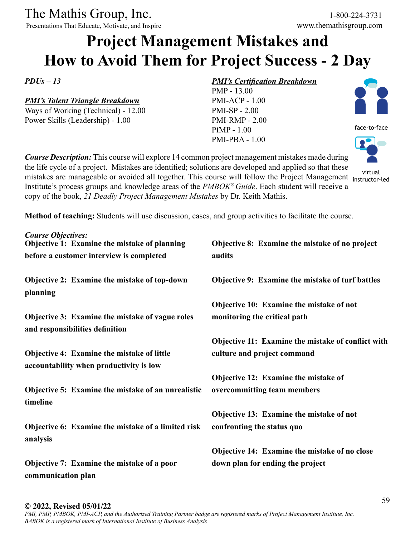Presentations That Educate, Motivate, and Inspire www.themathisgroup.com

## **Project Management Mistakes and How to Avoid Them for Project Success - 2 Day**

*PDUs – 13* 

### *PMI's Talent Triangle Breakdown*

Ways of Working (Technical) - 12.00 Power Skills (Leadership) - 1.00

### *PMI's Certification Breakdown*

PMP - 13.00 PMI-ACP - 1.00 PMI-SP - 2.00 PMI-RMP - 2.00 PfMP - 1.00 PMI-PBA - 1.00



face-to-face

*Course Description:* This course will explore 14 common project management mistakes made during the life cycle of a project. Mistakes are identified; solutions are developed and applied so that these wirtual<br>A principal conse will follow the Project Management instructor-Institute's process groups and knowledge areas of the *PMBOK® Guide*. Each student will receive a copy of the book, *21 Deadly Project Management Mistakes* by Dr. Keith Mathis.



**Method of teaching:** Students will use discussion, cases, and group activities to facilitate the course.

| <b>Course Objectives:</b><br>Objective 1: Examine the mistake of planning             | Objective 8: Examine the mistake of no project     |
|---------------------------------------------------------------------------------------|----------------------------------------------------|
| before a customer interview is completed                                              | audits                                             |
| Objective 2: Examine the mistake of top-down<br>planning                              | Objective 9: Examine the mistake of turf battles   |
|                                                                                       | Objective 10: Examine the mistake of not           |
| Objective 3: Examine the mistake of vague roles<br>and responsibilities definition    | monitoring the critical path                       |
|                                                                                       | Objective 11: Examine the mistake of conflict with |
| Objective 4: Examine the mistake of little<br>accountability when productivity is low | culture and project command                        |
|                                                                                       | Objective 12: Examine the mistake of               |
| Objective 5: Examine the mistake of an unrealistic<br>timeline                        | overcommitting team members                        |
|                                                                                       | Objective 13: Examine the mistake of not           |
| Objective 6: Examine the mistake of a limited risk<br>analysis                        | confronting the status quo                         |
|                                                                                       | Objective 14: Examine the mistake of no close      |
| Objective 7: Examine the mistake of a poor<br>communication plan                      | down plan for ending the project                   |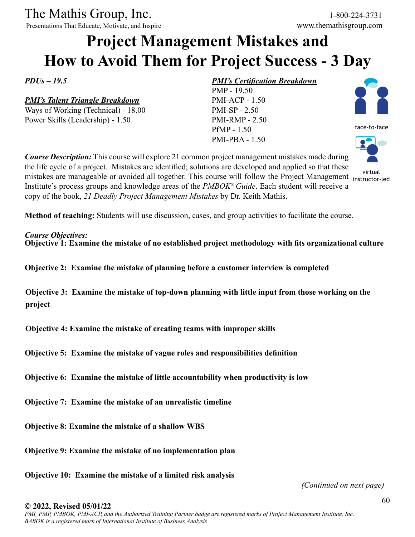Presentations That Educate, Motivate, and Inspire www.themathisgroup.com

## **Project Management Mistakes and How to Avoid Them for Project Success - 3 Day**

*PDUs – 19.5* 

*PMI's Talent Triangle Breakdown*

Ways of Working (Technical) - 18.00 Power Skills (Leadership) - 1.50

### *PMI's Certification Breakdown*

PMP - 19.50 PMI-ACP - 1.50 PMI-SP - 2.50 PMI-RMP - 2.50 PfMP - 1.50 PMI-PBA - 1.50



face-to-face

instructor-led

*Course Description:* This course will explore 21 common project management mistakes made during the life cycle of a project. Mistakes are identified; solutions are developed and applied so that these with the project the project of the project of the project Management in the setted with the School and the Project Management instructor-Institute's process groups and knowledge areas of the *PMBOK® Guide*. Each student will receive a copy of the book, *21 Deadly Project Management Mistakes* by Dr. Keith Mathis.

**Method of teaching:** Students will use discussion, cases, and group activities to facilitate the course.

### *Course Objectives:*

**Objective 1: Examine the mistake of no established project methodology with fits organizational culture**

**Objective 2: Examine the mistake of planning before a customer interview is completed**

**Objective 3: Examine the mistake of top-down planning with little input from those working on the project**

**Objective 4: Examine the mistake of creating teams with improper skills**

**Objective 5: Examine the mistake of vague roles and responsibilities definition**

**Objective 6: Examine the mistake of little accountability when productivity is low**

**Objective 7: Examine the mistake of an unrealistic timeline**

**Objective 8: Examine the mistake of a shallow WBS**

**Objective 9: Examine the mistake of no implementation plan**

**Objective 10: Examine the mistake of a limited risk analysis**

*(Continued on next page)*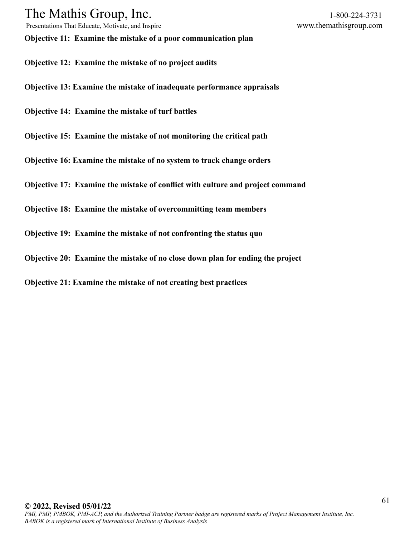Presentations That Educate, Motivate, and Inspire www.themathisgroup.com

**Objective 11: Examine the mistake of a poor communication plan**

- **Objective 12: Examine the mistake of no project audits**
- **Objective 13: Examine the mistake of inadequate performance appraisals**
- **Objective 14: Examine the mistake of turf battles**
- **Objective 15: Examine the mistake of not monitoring the critical path**
- **Objective 16: Examine the mistake of no system to track change orders**
- **Objective 17: Examine the mistake of conflict with culture and project command**
- **Objective 18: Examine the mistake of overcommitting team members**
- **Objective 19: Examine the mistake of not confronting the status quo**
- **Objective 20: Examine the mistake of no close down plan for ending the project**
- **Objective 21: Examine the mistake of not creating best practices**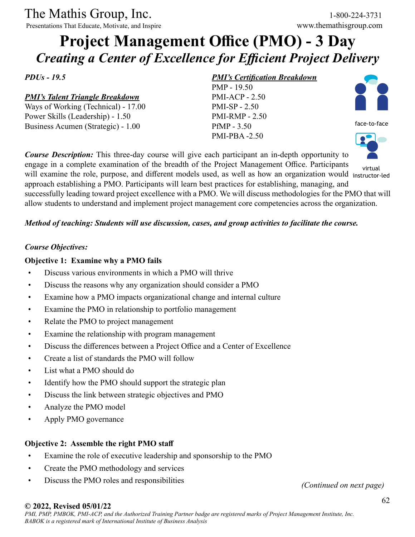Presentations That Educate, Motivate, and Inspire www.themathisgroup.com

## **Project Management Office (PMO) - 3 Day** *Creating a Center of Excellence for Efficient Project Delivery*

*PDUs - 19.5*

*PMI's Talent Triangle Breakdown*

Ways of Working (Technical) - 17.00 Power Skills (Leadership) - 1.50 Business Acumen (Strategic) - 1.00

### *PMI's Certification Breakdown*

PMP - 19.50 PMI-ACP - 2.50 PMI-SP - 2.50 PMI-RMP - 2.50 PfMP - 3.50 PMI-PBA -2.50



face-to-face



engage in a complete examination of the breadth of the Project Management Office. Participants will examine the role, purpose, and different models used, as well as how an organization would instructor-led approach establishing a PMO. Participants will learn best practices for establishing, managing, and successfully leading toward project excellence with a PMO. We will discuss methodologies for the PMO that will allow students to understand and implement project management core competencies across the organization. virtual

### *Method of teaching: Students will use discussion, cases, and group activities to facilitate the course.*

*Course Description:* This three-day course will give each participant an in-depth opportunity to

### *Course Objectives:*

### **Objective 1: Examine why a PMO fails**

- Discuss various environments in which a PMO will thrive
- Discuss the reasons why any organization should consider a PMO
- Examine how a PMO impacts organizational change and internal culture
- Examine the PMO in relationship to portfolio management
- Relate the PMO to project management
- Examine the relationship with program management
- Discuss the differences between a Project Office and a Center of Excellence
- Create a list of standards the PMO will follow
- List what a PMO should do
- Identify how the PMO should support the strategic plan
- Discuss the link between strategic objectives and PMO
- Analyze the PMO model
- Apply PMO governance

### **Objective 2: Assemble the right PMO staff**

- Examine the role of executive leadership and sponsorship to the PMO
- Create the PMO methodology and services
- Discuss the PMO roles and responsibilities

*(Continued on next page)*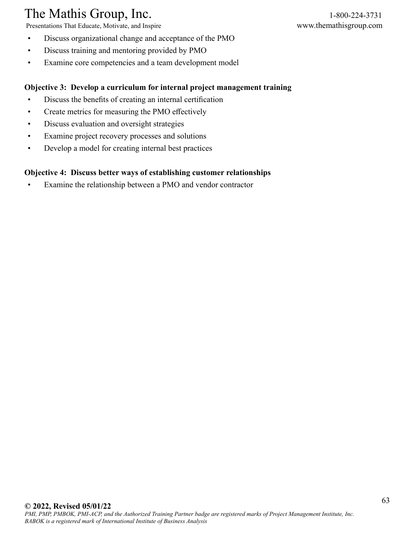Presentations That Educate, Motivate, and Inspire www.themathisgroup.com

- Discuss organizational change and acceptance of the PMO
- Discuss training and mentoring provided by PMO
- Examine core competencies and a team development model

### **Objective 3: Develop a curriculum for internal project management training**

- Discuss the benefits of creating an internal certification
- Create metrics for measuring the PMO effectively
- Discuss evaluation and oversight strategies
- Examine project recovery processes and solutions
- Develop a model for creating internal best practices

### **Objective 4: Discuss better ways of establishing customer relationships**

• Examine the relationship between a PMO and vendor contractor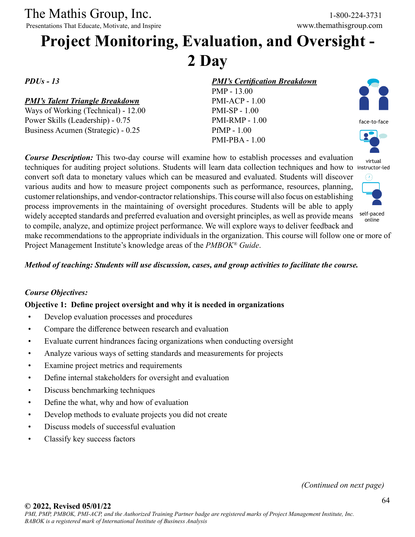Presentations That Educate, Motivate, and Inspire

## **Project Monitoring, Evaluation, and Oversight - 2 Day**

*PDUs - 13*

### *PMI's Talent Triangle Breakdown*

Ways of Working (Technical) - 12.00 Power Skills (Leadership) - 0.75 Business Acumen (Strategic) - 0.25

### *PMI's Certification Breakdown*

PMP - 13.00 PMI-ACP - 1.00 PMI-SP - 1.00 PMI-RMP - 1.00 PfMP - 1.00 PMI-PBA - 1.00



virtual

*Course Description:* This two-day course will examine how to establish processes and evaluation techniques for auditing project solutions. Students will learn data collection techniques and how to instructor-led convert soft data to monetary values which can be measured and evaluated. Students will discover various audits and how to measure project components such as performance, resources, planning, customer relationships, and vendor-contractor relationships. This course will also focus on establishing process improvements in the maintaining of oversight procedures. Students will be able to apply widely accepted standards and preferred evaluation and oversight principles, as well as provide means to compile, analyze, and optimize project performance. We will explore ways to deliver feedback and make recommendations to the appropriate individuals in the organization. This course will follow one or more of Project Management Institute's knowledge areas of the *PMBOK® Guide*. self-paced online

*Method of teaching: Students will use discussion, cases, and group activities to facilitate the course.*

### *Course Objectives:*

### **Objective 1: Define project oversight and why it is needed in organizations**

- Develop evaluation processes and procedures
- Compare the difference between research and evaluation
- Evaluate current hindrances facing organizations when conducting oversight
- Analyze various ways of setting standards and measurements for projects
- Examine project metrics and requirements
- Define internal stakeholders for oversight and evaluation
- Discuss benchmarking techniques
- Define the what, why and how of evaluation
- Develop methods to evaluate projects you did not create
- Discuss models of successful evaluation
- Classify key success factors

*(Continued on next page)*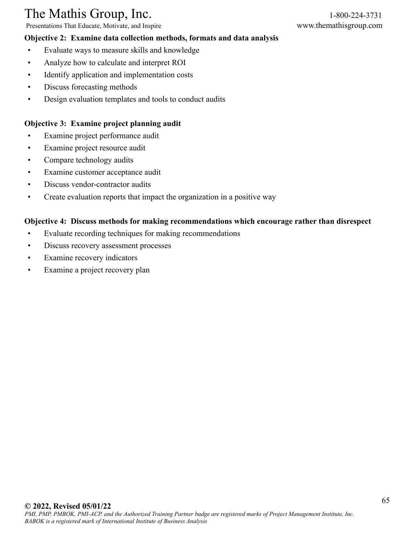Presentations That Educate, Motivate, and Inspire www.themathisgroup.com

### **Objective 2: Examine data collection methods, formats and data analysis**

- Evaluate ways to measure skills and knowledge
- Analyze how to calculate and interpret ROI
- Identify application and implementation costs
- Discuss forecasting methods
- Design evaluation templates and tools to conduct audits

### **Objective 3: Examine project planning audit**

- Examine project performance audit
- Examine project resource audit
- Compare technology audits
- Examine customer acceptance audit
- Discuss vendor-contractor audits
- Create evaluation reports that impact the organization in a positive way

### **Objective 4: Discuss methods for making recommendations which encourage rather than disrespect**

- Evaluate recording techniques for making recommendations
- Discuss recovery assessment processes
- Examine recovery indicators
- Examine a project recovery plan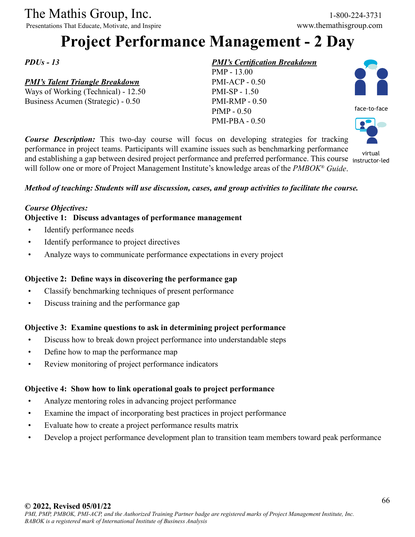Presentations That Educate, Motivate, and Inspire

## **Project Performance Management - 2 Day**

*PDUs - 13*

### *PMI's Talent Triangle Breakdown*

Ways of Working (Technical) - 12.50 Business Acumen (Strategic) - 0.50

### *PMI's Certification Breakdown*

PMP - 13.00 PMI-ACP - 0.50 PMI-SP - 1.50 PMI-RMP - 0.50 PfMP - 0.50 PMI-PBA - 0.50





virtual

*Course Description:* This two-day course will focus on developing strategies for tracking performance in project teams. Participants will examine issues such as benchmarking performance and establishing a gap between desired project performance and preferred performance. This course instructor-led will follow one or more of Project Management Institute's knowledge areas of the *PMBOK® Guide*.

### *Method of teaching: Students will use discussion, cases, and group activities to facilitate the course.*

### *Course Objectives:*

### **Objective 1: Discuss advantages of performance management**

- Identify performance needs
- Identify performance to project directives
- Analyze ways to communicate performance expectations in every project

### **Objective 2: Define ways in discovering the performance gap**

- Classify benchmarking techniques of present performance
- Discuss training and the performance gap

### **Objective 3: Examine questions to ask in determining project performance**

- Discuss how to break down project performance into understandable steps
- Define how to map the performance map
- Review monitoring of project performance indicators

### **Objective 4: Show how to link operational goals to project performance**

- Analyze mentoring roles in advancing project performance
- Examine the impact of incorporating best practices in project performance
- Evaluate how to create a project performance results matrix
- Develop a project performance development plan to transition team members toward peak performance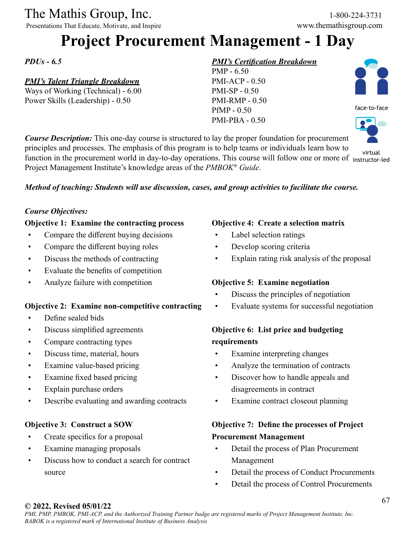Presentations That Educate, Motivate, and Inspire

## **Project Procurement Management - 1 Day**

*PDUs - 6.5*

### *PMI's Talent Triangle Breakdown*

Ways of Working (Technical) - 6.00 Power Skills (Leadership) - 0.50

### *PMI's Certification Breakdown*

PMP - 6.50 PMI-ACP - 0.50 PMI-SP - 0.50 PMI-RMP - 0.50 PfMP - 0.50 PMI-PBA - 0.50

face-to-face



*Course Description:* This one-day course is structured to lay the proper foundation for procurement principles and processes. The emphasis of this program is to help teams or individuals learn how to function in the procurement world in day-to-day operations. This course will follow one or more of instructor-led Project Management Institute's knowledge areas of the *PMBOK® Guide*. virtual

### *Method of teaching: Students will use discussion, cases, and group activities to facilitate the course.*

### *Course Objectives:*

### **Objective 1: Examine the contracting process**

- Compare the different buying decisions
- Compare the different buying roles
- Discuss the methods of contracting
- Evaluate the benefits of competition
- Analyze failure with competition

### **Objective 2: Examine non-competitive contracting**

- Define sealed bids
- Discuss simplified agreements
- Compare contracting types
- Discuss time, material, hours
- Examine value-based pricing
- Examine fixed based pricing
- Explain purchase orders
- Describe evaluating and awarding contracts

### **Objective 3: Construct a SOW**

- Create specifics for a proposal
- Examine managing proposals
- Discuss how to conduct a search for contract source

### **Objective 4: Create a selection matrix**

- Label selection ratings
- Develop scoring criteria
- Explain rating risk analysis of the proposal

### **Objective 5: Examine negotiation**

- Discuss the principles of negotiation
- Evaluate systems for successful negotiation

### **Objective 6: List price and budgeting requirements**

- Examine interpreting changes
- Analyze the termination of contracts
- Discover how to handle appeals and disagreements in contract
- Examine contract closeout planning

### **Objective 7: Define the processes of Project Procurement Management**

- Detail the process of Plan Procurement Management
- Detail the process of Conduct Procurements
- Detail the process of Control Procurements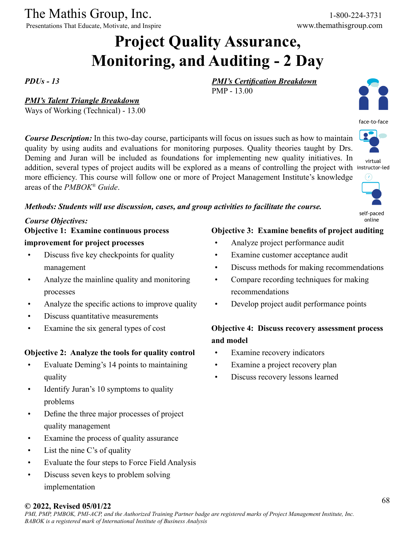Presentations That Educate, Motivate, and Inspire

The Mathis Group, Inc. 1-800-224-3731<br>
Presentations That Educate, Motivate, and Inspire www.themathisgroup.com

## **Project Quality Assurance, Monitoring, and Auditing - 2 Day**

PMP - 13.00

*PDUs - 13*

### *PMI's Talent Triangle Breakdown*

Ways of Working (Technical) - 13.00

*Course Description:* In this two-day course, participants will focus on issues such as how to maintain quality by using audits and evaluations for monitoring purposes. Quality theories taught by Drs. Deming and Juran will be included as foundations for implementing new quality initiatives. In addition, several types of project audits will be explored as a means of controlling the project with instructor-led more efficiency. This course will follow one or more of Project Management Institute's knowledge areas of the *PMBOK® Guide*.



face-to-face



virtual



self-paced online

### *Methods: Students will use discussion, cases, and group activities to facilitate the course.*

### *Course Objectives:* **Objective 1: Examine continuous process**

### **improvement for project processes**

- Discuss five key checkpoints for quality management
- Analyze the mainline quality and monitoring processes
- Analyze the specific actions to improve quality
- Discuss quantitative measurements
- Examine the six general types of cost

### **Objective 2: Analyze the tools for quality control**

- Evaluate Deming's 14 points to maintaining quality
- Identify Juran's 10 symptoms to quality problems
- Define the three major processes of project quality management
- Examine the process of quality assurance
- List the nine C's of quality
- Evaluate the four steps to Force Field Analysis
- Discuss seven keys to problem solving implementation

### **Objective 3: Examine benefits of project auditing**

• Analyze project performance audit

*PMI's Certification Breakdown*

- Examine customer acceptance audit
- Discuss methods for making recommendations
- Compare recording techniques for making recommendations
- Develop project audit performance points

### **Objective 4: Discuss recovery assessment process and model**

- Examine recovery indicators
- Examine a project recovery plan
- Discuss recovery lessons learned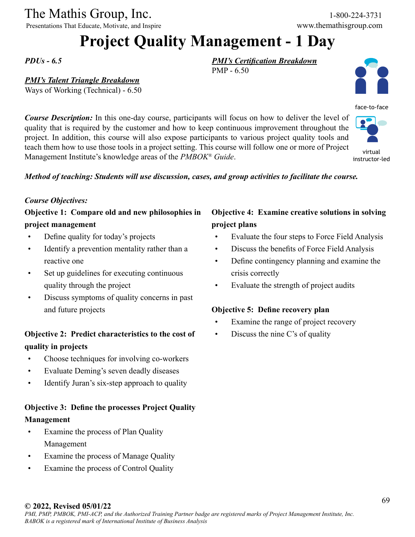Presentations That Educate, Motivate, and Inspire www.themathisgroup.com

## **Project Quality Management - 1 Day**

PMP - 6.50

*PDUs - 6.5*

### *PMI's Talent Triangle Breakdown*

Ways of Working (Technical) - 6.50

*Course Description:* In this one-day course, participants will focus on how to deliver the level of quality that is required by the customer and how to keep continuous improvement throughout the project. In addition, this course will also expose participants to various project quality tools and teach them how to use those tools in a project setting. This course will follow one or more of Project Management Institute's knowledge areas of the *PMBOK® Guide*. instructor-led

### *Method of teaching: Students will use discussion, cases, and group activities to facilitate the course.*

#### *Course Objectives:*

### **Objective 1: Compare old and new philosophies in project management**

- Define quality for today's projects
- Identify a prevention mentality rather than a reactive one
- Set up guidelines for executing continuous quality through the project
- Discuss symptoms of quality concerns in past and future projects

### **Objective 2: Predict characteristics to the cost of quality in projects**

- Choose techniques for involving co-workers
- Evaluate Deming's seven deadly diseases
- Identify Juran's six-step approach to quality

### **Objective 3: Define the processes Project Quality Management**

- Examine the process of Plan Quality Management
- Examine the process of Manage Quality
- Examine the process of Control Quality

### **Objective 4: Examine creative solutions in solving project plans**

- Evaluate the four steps to Force Field Analysis
- Discuss the benefits of Force Field Analysis
- Define contingency planning and examine the crisis correctly
- Evaluate the strength of project audits

### **Objective 5: Define recovery plan**

*PMI's Certification Breakdown*

- Examine the range of project recovery
- Discuss the nine C's of quality

### **© 2022, Revised 05/01/22**



virtual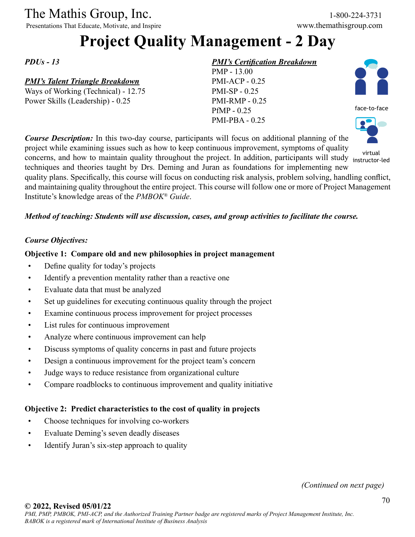Presentations That Educate, Motivate, and Inspire

## **Project Quality Management - 2 Day**

*PDUs - 13*

### *PMI's Talent Triangle Breakdown*

Ways of Working (Technical) - 12.75 Power Skills (Leadership) - 0.25

### *PMI's Certification Breakdown*

PMP - 13.00 PMI-ACP - 0.25 PMI-SP - 0.25 PMI-RMP - 0.25 PfMP - 0.25 PMI-PBA - 0.25





*Course Description:* In this two-day course, participants will focus on additional planning of the project while examining issues such as how to keep continuous improvement, symptoms of quality virtual<br>concerns, and how to maintain quality throughout the project. In addition, participants will study instructortechniques and theories taught by Drs. Deming and Juran as foundations for implementing new quality plans. Specifically, this course will focus on conducting risk analysis, problem solving, handling conflict, and maintaining quality throughout the entire project. This course will follow one or more of Project Management instructor-led

Institute's knowledge areas of the *PMBOK® Guide*.

### *Method of teaching: Students will use discussion, cases, and group activities to facilitate the course.*

### *Course Objectives:*

### **Objective 1: Compare old and new philosophies in project management**

- Define quality for today's projects
- Identify a prevention mentality rather than a reactive one
- Evaluate data that must be analyzed
- Set up guidelines for executing continuous quality through the project
- Examine continuous process improvement for project processes
- List rules for continuous improvement
- Analyze where continuous improvement can help
- Discuss symptoms of quality concerns in past and future projects
- Design a continuous improvement for the project team's concern
- Judge ways to reduce resistance from organizational culture
- Compare roadblocks to continuous improvement and quality initiative

### **Objective 2: Predict characteristics to the cost of quality in projects**

- Choose techniques for involving co-workers
- Evaluate Deming's seven deadly diseases
- Identify Juran's six-step approach to quality

*(Continued on next page)*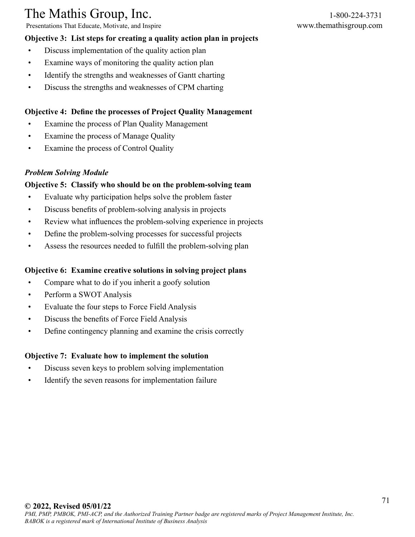Presentations That Educate, Motivate, and Inspire www.themathisgroup.com

### **Objective 3: List steps for creating a quality action plan in projects**

- Discuss implementation of the quality action plan
- Examine ways of monitoring the quality action plan
- Identify the strengths and weaknesses of Gantt charting
- Discuss the strengths and weaknesses of CPM charting

### **Objective 4: Define the processes of Project Quality Management**

- Examine the process of Plan Quality Management
- Examine the process of Manage Quality
- Examine the process of Control Quality

### *Problem Solving Module*

### **Objective 5: Classify who should be on the problem-solving team**

- Evaluate why participation helps solve the problem faster
- Discuss benefits of problem-solving analysis in projects
- Review what influences the problem-solving experience in projects
- Define the problem-solving processes for successful projects
- Assess the resources needed to fulfill the problem-solving plan

### **Objective 6: Examine creative solutions in solving project plans**

- Compare what to do if you inherit a goofy solution
- Perform a SWOT Analysis
- Evaluate the four steps to Force Field Analysis
- Discuss the benefits of Force Field Analysis
- Define contingency planning and examine the crisis correctly

### **Objective 7: Evaluate how to implement the solution**

- Discuss seven keys to problem solving implementation
- Identify the seven reasons for implementation failure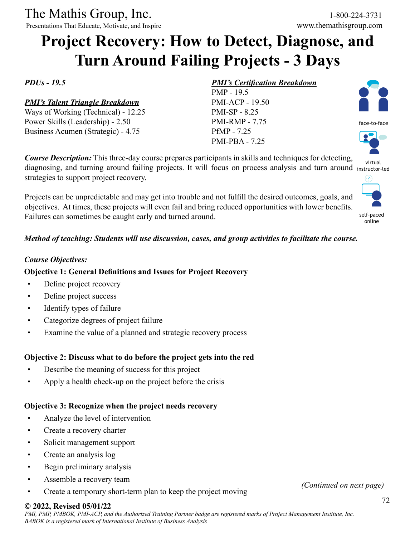Presentations That Educate, Motivate, and Inspire

## **Project Recovery: How to Detect, Diagnose, and Turn Around Failing Projects - 3 Days**

*PDUs - 19.5*

### *PMI's Talent Triangle Breakdown*

Ways of Working (Technical) - 12.25 Power Skills (Leadership) - 2.50 Business Acumen (Strategic) - 4.75

strategies to support project recovery.

### *PMI's Certification Breakdown*

PMP - 19.5 PMI-ACP - 19.50 PMI-SP - 8.25 PMI-RMP - 7.75 PfMP - 7.25 PMI-PBA - 7.25



face-to-face



diagnosing, and turning around failing projects. It will focus on process analysis and turn around instructor-led virtual



self-paced online

### *Method of teaching: Students will use discussion, cases, and group activities to facilitate the course.*

*Course Description:* This three-day course prepares participants in skills and techniques for detecting,

Projects can be unpredictable and may get into trouble and not fulfill the desired outcomes, goals, and objectives. At times, these projects will even fail and bring reduced opportunities with lower benefits.

### *Course Objectives:*

### **Objective 1: General Definitions and Issues for Project Recovery**

Failures can sometimes be caught early and turned around.

- Define project recovery
- Define project success
- Identify types of failure
- Categorize degrees of project failure
- Examine the value of a planned and strategic recovery process

### **Objective 2: Discuss what to do before the project gets into the red**

- Describe the meaning of success for this project
- Apply a health check-up on the project before the crisis

### **Objective 3: Recognize when the project needs recovery**

- Analyze the level of intervention
- Create a recovery charter
- Solicit management support
- Create an analysis log
- Begin preliminary analysis
- Assemble a recovery team
- Create a temporary short-term plan to keep the project moving *(Continued on next page)*

### **© 2022, Revised 05/01/22**

*PMI, PMP, PMBOK, PMI-ACP, and the Authorized Training Partner badge are registered marks of Project Management Institute, Inc. BABOK is a registered mark of International Institute of Business Analysis*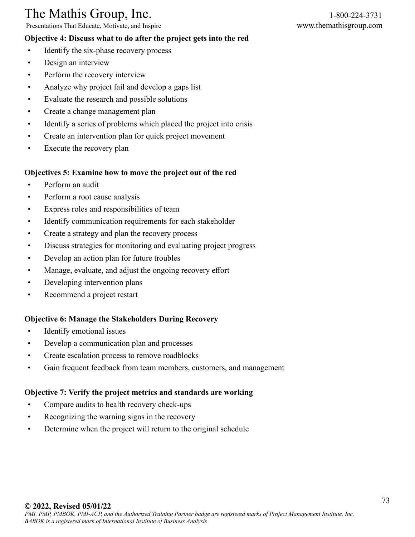Presentations That Educate, Motivate, and Inspire www.themathisgroup.com

#### **Objective 4: Discuss what to do after the project gets into the red**

- Identify the six-phase recovery process
- Design an interview
- Perform the recovery interview
- Analyze why project fail and develop a gaps list
- Evaluate the research and possible solutions
- Create a change management plan
- Identify a series of problems which placed the project into crisis
- Create an intervention plan for quick project movement
- Execute the recovery plan

#### **Objectives 5: Examine how to move the project out of the red**

- Perform an audit
- Perform a root cause analysis
- Express roles and responsibilities of team
- Identify communication requirements for each stakeholder
- Create a strategy and plan the recovery process
- Discuss strategies for monitoring and evaluating project progress
- Develop an action plan for future troubles
- Manage, evaluate, and adjust the ongoing recovery effort
- Developing intervention plans
- Recommend a project restart

#### **Objective 6: Manage the Stakeholders During Recovery**

- Identify emotional issues
- Develop a communication plan and processes
- Create escalation process to remove roadblocks
- Gain frequent feedback from team members, customers, and management

#### **Objective 7: Verify the project metrics and standards are working**

- Compare audits to health recovery check-ups
- Recognizing the warning signs in the recovery
- Determine when the project will return to the original schedule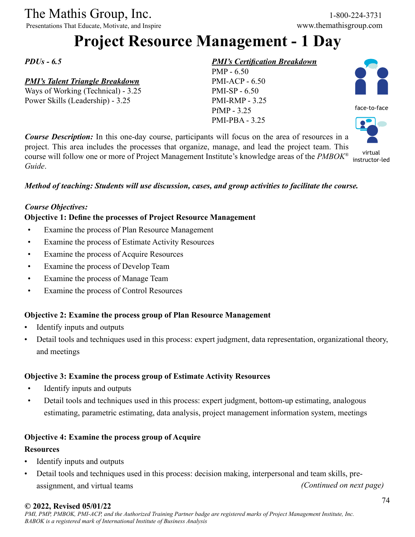Presentations That Educate, Motivate, and Inspire www.themathisgroup.com

## **Project Resource Management - 1 Day**

*PDUs - 6.5*

#### *PMI's Talent Triangle Breakdown*

Ways of Working (Technical) - 3.25 Power Skills (Leadership) - 3.25

#### *PMI's Certification Breakdown*

PMP - 6.50 PMI-ACP - 6.50 PMI-SP - 6.50 PMI-RMP - 3.25 PfMP - 3.25 PMI-PBA - 3.25



virtual instructor-led

*Course Description:* In this one-day course, participants will focus on the area of resources in a project. This area includes the processes that organize, manage, and lead the project team. This course will follow one or more of Project Management Institute's knowledge areas of the *PMBOK® Guide*.

#### *Method of teaching: Students will use discussion, cases, and group activities to facilitate the course.*

#### *Course Objectives:*

#### **Objective 1: Define the processes of Project Resource Management**

- Examine the process of Plan Resource Management
- Examine the process of Estimate Activity Resources
- Examine the process of Acquire Resources
- Examine the process of Develop Team
- Examine the process of Manage Team
- Examine the process of Control Resources

#### **Objective 2: Examine the process group of Plan Resource Management**

- Identify inputs and outputs
- Detail tools and techniques used in this process: expert judgment, data representation, organizational theory, and meetings

#### **Objective 3: Examine the process group of Estimate Activity Resources**

- Identify inputs and outputs
- Detail tools and techniques used in this process: expert judgment, bottom-up estimating, analogous estimating, parametric estimating, data analysis, project management information system, meetings

#### **Objective 4: Examine the process group of Acquire**

#### **Resources**

- Identify inputs and outputs
- Detail tools and techniques used in this process: decision making, interpersonal and team skills, preassignment, and virtual teams *(Continued on next page)*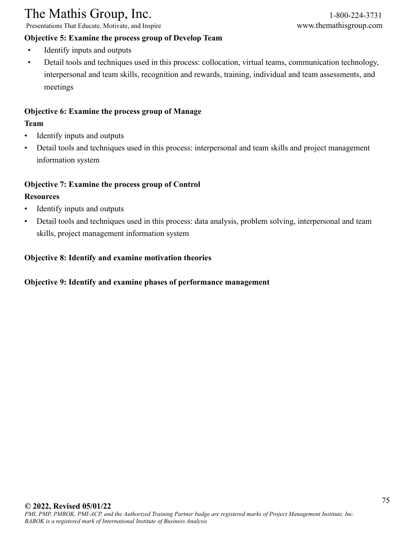Presentations That Educate, Motivate, and Inspire www.themathisgroup.com

#### **Objective 5: Examine the process group of Develop Team**

- Identify inputs and outputs
- Detail tools and techniques used in this process: collocation, virtual teams, communication technology, interpersonal and team skills, recognition and rewards, training, individual and team assessments, and meetings

#### **Objective 6: Examine the process group of Manage**

#### **Team**

- Identify inputs and outputs
- Detail tools and techniques used in this process: interpersonal and team skills and project management information system

#### **Objective 7: Examine the process group of Control**

#### **Resources**

- Identify inputs and outputs
- Detail tools and techniques used in this process: data analysis, problem solving, interpersonal and team skills, project management information system

#### **Objective 8: Identify and examine motivation theories**

#### **Objective 9: Identify and examine phases of performance management**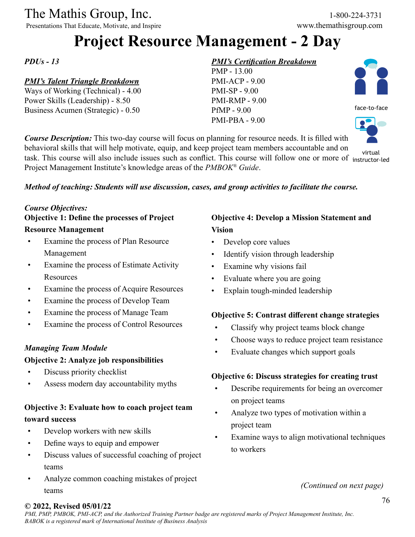Presentations That Educate, Motivate, and Inspire

## **Project Resource Management - 2 Day**

*PDUs - 13*

#### *PMI's Talent Triangle Breakdown*

Ways of Working (Technical) - 4.00 Power Skills (Leadership) - 8.50 Business Acumen (Strategic) - 0.50

#### *PMI's Certification Breakdown*

PMP - 13.00 PMI-ACP - 9.00 PMI-SP - 9.00 PMI-RMP - 9.00 PfMP - 9.00 PMI-PBA - 9.00



*Course Description:* This two-day course will focus on planning for resource needs. It is filled with behavioral skills that will help motivate, equip, and keep project team members accountable and on task. This course will also include issues such as conflict. This course will follow one or more of instructor-led Project Management Institute's knowledge areas of the *PMBOK® Guide*. virtual

#### *Method of teaching: Students will use discussion, cases, and group activities to facilitate the course.*

#### *Course Objectives:*

## **Objective 1: Define the processes of Project**

## **Resource Management**

- Examine the process of Plan Resource Management
- Examine the process of Estimate Activity Resources
- Examine the process of Acquire Resources
- Examine the process of Develop Team
- Examine the process of Manage Team
- Examine the process of Control Resources

#### *Managing Team Module*

#### **Objective 2: Analyze job responsibilities**

- Discuss priority checklist
- Assess modern day accountability myths

## **Objective 3: Evaluate how to coach project team toward success**

- Develop workers with new skills
- Define ways to equip and empower
- Discuss values of successful coaching of project teams
- Analyze common coaching mistakes of project teams

### **Objective 4: Develop a Mission Statement and Vision**

- Develop core values
- Identify vision through leadership
- Examine why visions fail
- Evaluate where you are going
- Explain tough-minded leadership

#### **Objective 5: Contrast different change strategies**

- Classify why project teams block change
- Choose ways to reduce project team resistance
- Evaluate changes which support goals

#### **Objective 6: Discuss strategies for creating trust**

- Describe requirements for being an overcomer on project teams
- Analyze two types of motivation within a project team
- Examine ways to align motivational techniques to workers

*(Continued on next page)*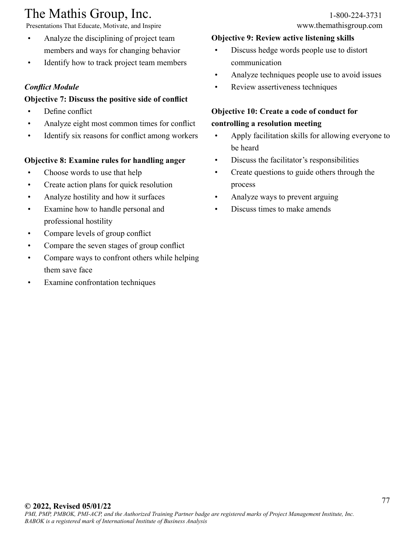Presentations That Educate, Motivate, and Inspire www.themathisgroup.com

- Analyze the disciplining of project team members and ways for changing behavior
- Identify how to track project team members

### *Conflict Module*

#### **Objective 7: Discuss the positive side of conflict**

- Define conflict
- Analyze eight most common times for conflict
- Identify six reasons for conflict among workers

### **Objective 8: Examine rules for handling anger**

- Choose words to use that help
- Create action plans for quick resolution
- Analyze hostility and how it surfaces
- Examine how to handle personal and professional hostility
- Compare levels of group conflict
- Compare the seven stages of group conflict
- Compare ways to confront others while helping them save face
- Examine confrontation techniques

#### **Objective 9: Review active listening skills**

- Discuss hedge words people use to distort communication
- Analyze techniques people use to avoid issues
- Review assertiveness techniques

## **Objective 10: Create a code of conduct for controlling a resolution meeting**

- Apply facilitation skills for allowing everyone to be heard
- Discuss the facilitator's responsibilities
- Create questions to guide others through the process
- Analyze ways to prevent arguing
- Discuss times to make amends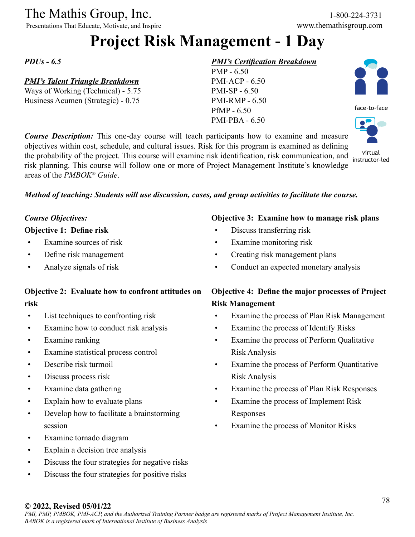Presentations That Educate, Motivate, and Inspire www.themathisgroup.com

## **Project Risk Management - 1 Day**

#### *PDUs - 6.5*

#### *PMI's Talent Triangle Breakdown*

Ways of Working (Technical) - 5.75 Business Acumen (Strategic) - 0.75

#### *PMI's Certification Breakdown*





virtual

*Course Description:* This one-day course will teach participants how to examine and measure objectives within cost, schedule, and cultural issues. Risk for this program is examined as defining the probability of the project. This course will examine risk identification, risk communication, and risk planning. This course will follow one or more of Project Management Institute's knowledge areas of the *PMBOK® Guide*. instructor-led



#### *Course Objectives:*

#### **Objective 1: Define risk**

- Examine sources of risk
- Define risk management
- Analyze signals of risk

### **Objective 2: Evaluate how to confront attitudes on risk**

- List techniques to confronting risk
- Examine how to conduct risk analysis
- Examine ranking
- Examine statistical process control
- Describe risk turmoil
- Discuss process risk
- Examine data gathering
- Explain how to evaluate plans
- Develop how to facilitate a brainstorming session
- Examine tornado diagram
- Explain a decision tree analysis
- Discuss the four strategies for negative risks
- Discuss the four strategies for positive risks

#### **Objective 3: Examine how to manage risk plans**

- Discuss transferring risk
- Examine monitoring risk
- Creating risk management plans
- Conduct an expected monetary analysis

### **Objective 4: Define the major processes of Project Risk Management**

- Examine the process of Plan Risk Management
- Examine the process of Identify Risks
- Examine the process of Perform Qualitative Risk Analysis
- Examine the process of Perform Quantitative Risk Analysis
- Examine the process of Plan Risk Responses
- Examine the process of Implement Risk Responses
- Examine the process of Monitor Risks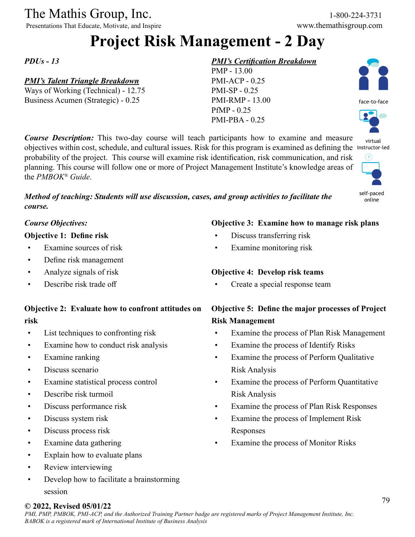Presentations That Educate, Motivate, and Inspire www.themathisgroup.com

## **Project Risk Management - 2 Day**

#### *PDUs - 13*

#### *PMI's Talent Triangle Breakdown*

Ways of Working (Technical) - 12.75 Business Acumen (Strategic) - 0.25

#### *PMI's Certification Breakdown*



*Course Description:* This two-day course will teach participants how to examine and measure objectives within cost, schedule, and cultural issues. Risk for this program is examined as defining the instructor-led probability of the project. This course will examine risk identification, risk communication, and risk planning. This course will follow one or more of Project Management Institute's knowledge areas of the *PMBOK® Guide*.

*Method of teaching: Students will use discussion, cases, and group activities to facilitate the course.*

#### *Course Objectives:*

#### **Objective 1: Define risk**

- Examine sources of risk
- Define risk management
- Analyze signals of risk
- Describe risk trade off

### **Objective 2: Evaluate how to confront attitudes on risk**

- List techniques to confronting risk
- Examine how to conduct risk analysis
- Examine ranking
- Discuss scenario
- Examine statistical process control
- Describe risk turmoil
- Discuss performance risk
- Discuss system risk
- Discuss process risk
- Examine data gathering
- Explain how to evaluate plans
- Review interviewing
- Develop how to facilitate a brainstorming session

#### **Objective 3: Examine how to manage risk plans**

- Discuss transferring risk
- Examine monitoring risk

#### **Objective 4: Develop risk teams**

Create a special response team

## **Objective 5: Define the major processes of Project Risk Management**

- Examine the process of Plan Risk Management
- Examine the process of Identify Risks
- Examine the process of Perform Qualitative Risk Analysis
- Examine the process of Perform Quantitative Risk Analysis
- Examine the process of Plan Risk Responses
- Examine the process of Implement Risk Responses
- Examine the process of Monitor Risks





face-to-face



self-paced online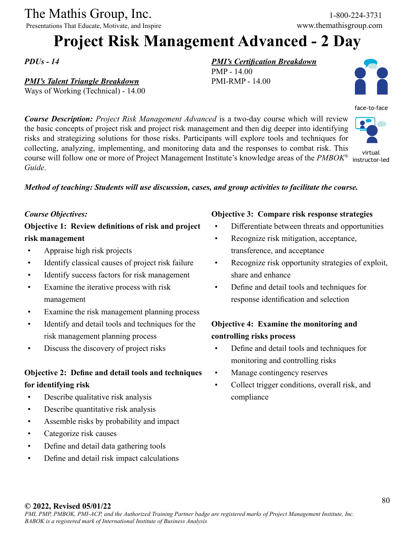Presentations That Educate, Motivate, and Inspire

## **Project Risk Management Advanced - 2 Day**

*PDUs - 14*

*Guide*.

#### *PMI's Talent Triangle Breakdown*

Ways of Working (Technical) - 14.00

*PMI's Certification Breakdown*

PMP - 14.00 PMI-RMP - 14.00



face-to-face

*Course Description: Project Risk Management Advanced* is a two-day course which will review the basic concepts of project risk and project risk management and then dig deeper into identifying risks and strategizing solutions for those risks. Participants will explore tools and techniques for collecting, analyzing, implementing, and monitoring data and the responses to combat risk. This course will follow one or more of Project Management Institute's knowledge areas of the *PMBOK®* virtual instructor-led

#### *Method of teaching: Students will use discussion, cases, and group activities to facilitate the course.*

#### *Course Objectives:*

### **Objective 1: Review definitions of risk and project risk management**

- Appraise high risk projects
- Identify classical causes of project risk failure
- Identify success factors for risk management
- Examine the iterative process with risk management
- Examine the risk management planning process
- Identify and detail tools and techniques for the risk management planning process
- Discuss the discovery of project risks

## **Objective 2: Define and detail tools and techniques for identifying risk**

- Describe qualitative risk analysis
- Describe quantitative risk analysis
- Assemble risks by probability and impact
- Categorize risk causes
- Define and detail data gathering tools
- Define and detail risk impact calculations

#### **Objective 3: Compare risk response strategies**

- Differentiate between threats and opportunities
- Recognize risk mitigation, acceptance, transference, and acceptance
- Recognize risk opportunity strategies of exploit, share and enhance
- Define and detail tools and techniques for response identification and selection

### **Objective 4: Examine the monitoring and controlling risks process**

- Define and detail tools and techniques for monitoring and controlling risks
- Manage contingency reserves
- Collect trigger conditions, overall risk, and compliance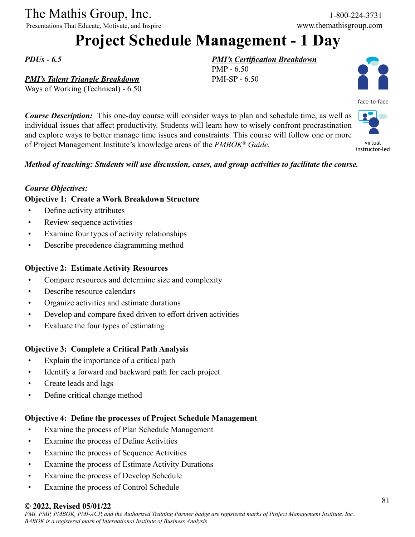Presentations That Educate, Motivate, and Inspire www.themathisgroup.com

## **Project Schedule Management - 1 Day**

PMP - 6.50 PMI-SP - 6.50

*PMI's Certification Breakdown*

*PDUs - 6.5*

#### *PMI's Talent Triangle Breakdown*

Ways of Working (Technical) - 6.50

*Course Description:* This one-day course will consider ways to plan and schedule time, as well as individual issues that affect productivity. Students will learn how to wisely confront procrastination and explore ways to better manage time issues and constraints. This course will follow one or more of Project Management Institute's knowledge areas of the *PMBOK® Guide.* instructor-led

*Method of teaching: Students will use discussion, cases, and group activities to facilitate the course.*

#### *Course Objectives:*

#### **Objective 1: Create a Work Breakdown Structure**

- Define activity attributes
- Review sequence activities
- Examine four types of activity relationships
- Describe precedence diagramming method

#### **Objective 2: Estimate Activity Resources**

- Compare resources and determine size and complexity
- Describe resource calendars
- Organize activities and estimate durations
- Develop and compare fixed driven to effort driven activities
- Evaluate the four types of estimating

#### **Objective 3: Complete a Critical Path Analysis**

- Explain the importance of a critical path
- Identify a forward and backward path for each project
- Create leads and lags
- Define critical change method

#### **Objective 4: Define the processes of Project Schedule Management**

- Examine the process of Plan Schedule Management
- Examine the process of Define Activities
- Examine the process of Sequence Activities
- Examine the process of Estimate Activity Durations
- Examine the process of Develop Schedule
- Examine the process of Control Schedule

#### **© 2022, Revised 05/01/22**



virtual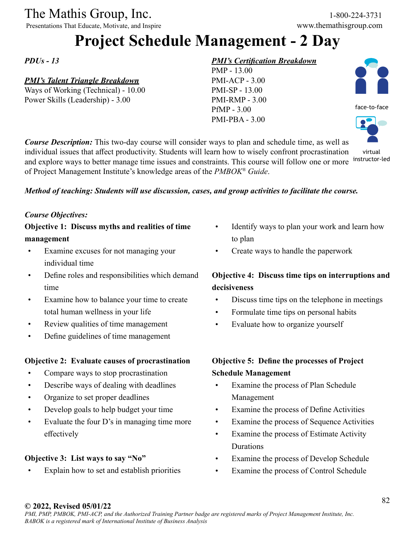Presentations That Educate, Motivate, and Inspire

## **Project Schedule Management - 2 Day**

*PDUs - 13*

## *PMI's Talent Triangle Breakdown*

Ways of Working (Technical) - 10.00 Power Skills (Leadership) - 3.00

#### *PMI's Certification Breakdown*

PMP - 13.00 PMI-ACP - 3.00 PMI-SP - 13.00 PMI-RMP - 3.00 PfMP - 3.00 PMI-PBA - 3.00



virtual

*Course Description:* This two-day course will consider ways to plan and schedule time, as well as individual issues that affect productivity. Students will learn how to wisely confront procrastination and explore ways to better manage time issues and constraints. This course will follow one or more of Project Management Institute's knowledge areas of the *PMBOK® Guide*. instructor-led

#### *Method of teaching: Students will use discussion, cases, and group activities to facilitate the course.*

#### *Course Objectives:*

**Objective 1: Discuss myths and realities of time management**

- Examine excuses for not managing your individual time
- Define roles and responsibilities which demand time
- Examine how to balance your time to create total human wellness in your life
- Review qualities of time management
- Define guidelines of time management

#### **Objective 2: Evaluate causes of procrastination**

- Compare ways to stop procrastination
- Describe ways of dealing with deadlines
- Organize to set proper deadlines
- Develop goals to help budget your time
- Evaluate the four D's in managing time more effectively

#### **Objective 3: List ways to say "No"**

• Explain how to set and establish priorities

- Identify ways to plan your work and learn how to plan
- Create ways to handle the paperwork

## **Objective 4: Discuss time tips on interruptions and decisiveness**

- Discuss time tips on the telephone in meetings
- Formulate time tips on personal habits
- Evaluate how to organize yourself

## **Objective 5: Define the processes of Project Schedule Management**

- Examine the process of Plan Schedule Management
- Examine the process of Define Activities
- Examine the process of Sequence Activities
- Examine the process of Estimate Activity Durations
- Examine the process of Develop Schedule
- Examine the process of Control Schedule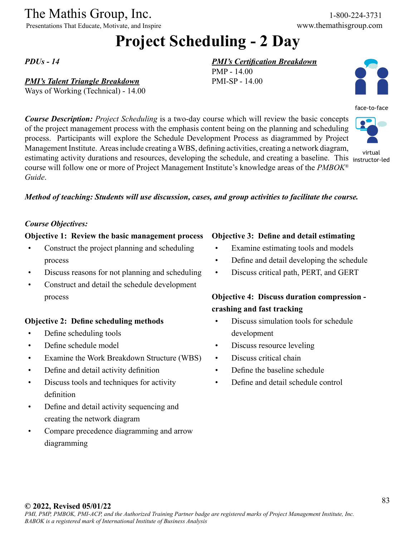Presentations That Educate, Motivate, and Inspire

face-to-face

virtual

## **Project Scheduling - 2 Day**

PMP - 14.00 PMI-SP - 14.00

#### *PDUs - 14*

#### *PMI's Talent Triangle Breakdown*

Ways of Working (Technical) - 14.00

*Course Description: Project Scheduling* is a two-day course which will review the basic concepts of the project management process with the emphasis content being on the planning and scheduling process. Participants will explore the Schedule Development Process as diagrammed by Project Management Institute. Areas include creating a WBS, defining activities, creating a network diagram, estimating activity durations and resources, developing the schedule, and creating a baseline. This instructor-led course will follow one or more of Project Management Institute's knowledge areas of the *PMBOK® Guide*.



#### *Course Objectives:*

#### **Objective 1: Review the basic management process**

- Construct the project planning and scheduling process
- Discuss reasons for not planning and scheduling
- Construct and detail the schedule development process

#### **Objective 2: Define scheduling methods**

- Define scheduling tools
- Define schedule model
- Examine the Work Breakdown Structure (WBS)
- Define and detail activity definition
- Discuss tools and techniques for activity definition
- Define and detail activity sequencing and creating the network diagram
- Compare precedence diagramming and arrow diagramming

#### **Objective 3: Define and detail estimating**

*PMI's Certification Breakdown*

- Examine estimating tools and models
- Define and detail developing the schedule
- Discuss critical path, PERT, and GERT

### **Objective 4: Discuss duration compression crashing and fast tracking**

- Discuss simulation tools for schedule development
- Discuss resource leveling
- Discuss critical chain
- Define the baseline schedule
- Define and detail schedule control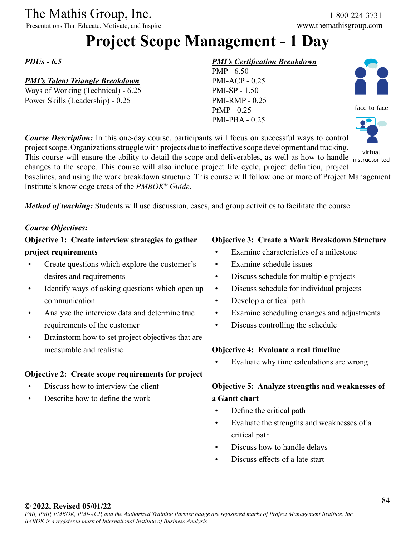Presentations That Educate, Motivate, and Inspire www.themathisgroup.com

## **Project Scope Management - 1 Day**

#### *PDUs - 6.5*

#### *PMI's Talent Triangle Breakdown*

Ways of Working (Technical) - 6.25 Power Skills (Leadership) - 0.25

#### *PMI's Certification Breakdown*





face-to-face



*Course Description:* In this one-day course, participants will focus on successful ways to control project scope. Organizations struggle with projects due to ineffective scope development and tracking. This course will ensure the ability to detail the scope and deliverables, as well as how to handle instructorinstructor-led

changes to the scope. This course will also include project life cycle, project definition, project baselines, and using the work breakdown structure. This course will follow one or more of Project Management Institute's knowledge areas of the *PMBOK® Guide*.

*Method of teaching:* Students will use discussion, cases, and group activities to facilitate the course.

#### *Course Objectives:*

### **Objective 1: Create interview strategies to gather project requirements**

- Create questions which explore the customer's desires and requirements
- Identify ways of asking questions which open up communication
- Analyze the interview data and determine true requirements of the customer
- Brainstorm how to set project objectives that are measurable and realistic

#### **Objective 2: Create scope requirements for project**

- Discuss how to interview the client
- Describe how to define the work

#### **Objective 3: Create a Work Breakdown Structure**

- Examine characteristics of a milestone
- Examine schedule issues
- Discuss schedule for multiple projects
- Discuss schedule for individual projects
- Develop a critical path
- Examine scheduling changes and adjustments
- Discuss controlling the schedule

#### **Objective 4: Evaluate a real timeline**

Evaluate why time calculations are wrong

## **Objective 5: Analyze strengths and weaknesses of a Gantt chart**

- Define the critical path
- Evaluate the strengths and weaknesses of a critical path
- Discuss how to handle delays
- Discuss effects of a late start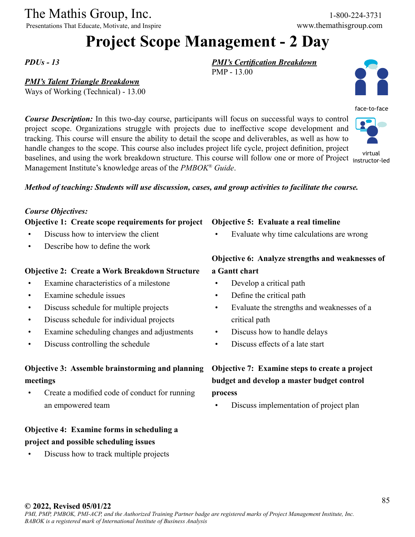Presentations That Educate, Motivate, and Inspire www.themathisgroup.com

## **Project Scope Management - 2 Day**

PMP - 13.00

#### *PDUs - 13*

#### *PMI's Talent Triangle Breakdown*

*Course Description:* In this two-day course, participants will focus on successful ways to control project scope. Organizations struggle with projects due to ineffective scope development and tracking. This course will ensure the ability to detail the scope and deliverables, as well as how to handle changes to the scope. This course also includes project life cycle, project definition, project where the comparison of the comparison of the contract of the contract of the contract of the contract of the virtual baselines, and using the work breakdown structure. This course will follow one or more of Project instru

Management Institute's knowledge areas of the *PMBOK® Guide*.

#### *Method of teaching: Students will use discussion, cases, and group activities to facilitate the course.*

#### *Course Objectives:*

**Objective 1: Create scope requirements for project**

- Discuss how to interview the client
- Describe how to define the work

#### **Objective 2: Create a Work Breakdown Structure**

- Examine characteristics of a milestone
- Examine schedule issues
- Discuss schedule for multiple projects
- Discuss schedule for individual projects
- Examine scheduling changes and adjustments
- Discuss controlling the schedule

### **Objective 3: Assemble brainstorming and planning meetings**

• Create a modified code of conduct for running an empowered team

### **Objective 4: Examine forms in scheduling a project and possible scheduling issues**

• Discuss how to track multiple projects

#### **Objective 5: Evaluate a real timeline**

*PMI's Certification Breakdown*

• Evaluate why time calculations are wrong

### **Objective 6: Analyze strengths and weaknesses of a Gantt chart**

- Develop a critical path
- Define the critical path
- Evaluate the strengths and weaknesses of a critical path
- Discuss how to handle delays
- Discuss effects of a late start

## **Objective 7: Examine steps to create a project budget and develop a master budget control process**

• Discuss implementation of project plan

*PMI, PMP, PMBOK, PMI-ACP, and the Authorized Training Partner badge are registered marks of Project Management Institute, Inc.*



instructor-led

## *BABOK is a registered mark of International Institute of Business Analysis*

## Ways of Working (Technical) - 13.00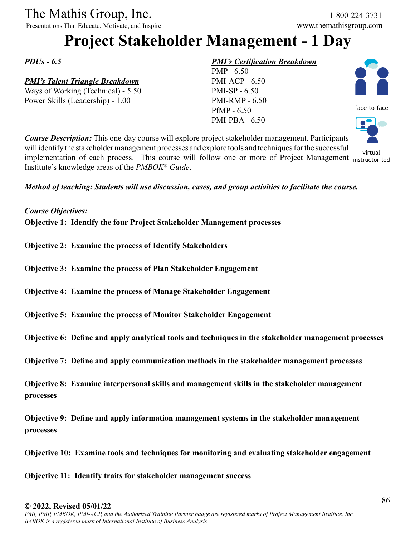Presentations That Educate, Motivate, and Inspire

## **Project Stakeholder Management - 1 Day**

*PDUs - 6.5*

#### *PMI's Talent Triangle Breakdown*

Ways of Working (Technical) - 5.50 Power Skills (Leadership) - 1.00

#### *PMI's Certification Breakdown*





*Course Description:* This one-day course will explore project stakeholder management. Participants will identify the stakeholder management processes and explore tools and techniques for the successful implementation of each process. This course will follow one or more of Project Management virtual Institute's knowledge areas of the *PMBOK® Guide*. instructor-led

*Method of teaching: Students will use discussion, cases, and group activities to facilitate the course.*

#### *Course Objectives:*

**Objective 1: Identify the four Project Stakeholder Management processes**

- **Objective 2: Examine the process of Identify Stakeholders**
- **Objective 3: Examine the process of Plan Stakeholder Engagement**
- **Objective 4: Examine the process of Manage Stakeholder Engagement**
- **Objective 5: Examine the process of Monitor Stakeholder Engagement**
- **Objective 6: Define and apply analytical tools and techniques in the stakeholder management processes**
- **Objective 7: Define and apply communication methods in the stakeholder management processes**

**Objective 8: Examine interpersonal skills and management skills in the stakeholder management processes**

**Objective 9: Define and apply information management systems in the stakeholder management processes**

**Objective 10: Examine tools and techniques for monitoring and evaluating stakeholder engagement**

**Objective 11: Identify traits for stakeholder management success**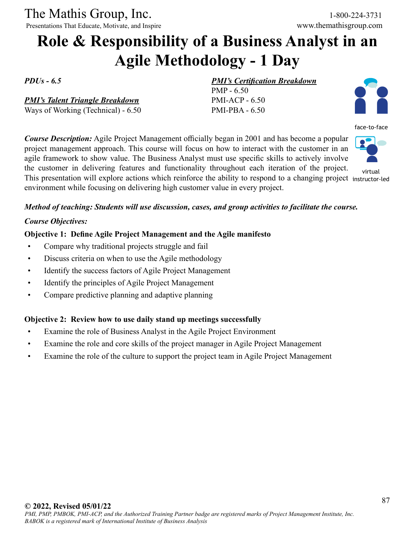Presentations That Educate, Motivate, and Inspire

## **Role & Responsibility of a Business Analyst in an Agile Methodology - 1 Day**

*PDUs - 6.5*

*PMI's Talent Triangle Breakdown*

Ways of Working (Technical) - 6.50

*PMI's Certification Breakdown*

PMP - 6.50 PMI-ACP - 6.50 PMI-PBA - 6.50



face-to-face

*Course Description:* Agile Project Management officially began in 2001 and has become a popular project management approach. This course will focus on how to interact with the customer in an agile framework to show value. The Business Analyst must use specific skills to actively involve the customer in delivering features and functionality throughout each iteration of the project. This presentation will explore actions which reinforce the ability to respond to a changing project instructor-ledenvironment while focusing on delivering high customer value in every project.



virtual

#### *Method of teaching: Students will use discussion, cases, and group activities to facilitate the course.*

#### *Course Objectives:*

#### **Objective 1: Define Agile Project Management and the Agile manifesto**

- Compare why traditional projects struggle and fail
- Discuss criteria on when to use the Agile methodology
- Identify the success factors of Agile Project Management
- Identify the principles of Agile Project Management
- Compare predictive planning and adaptive planning

#### **Objective 2: Review how to use daily stand up meetings successfully**

- Examine the role of Business Analyst in the Agile Project Environment
- Examine the role and core skills of the project manager in Agile Project Management
- Examine the role of the culture to support the project team in Agile Project Management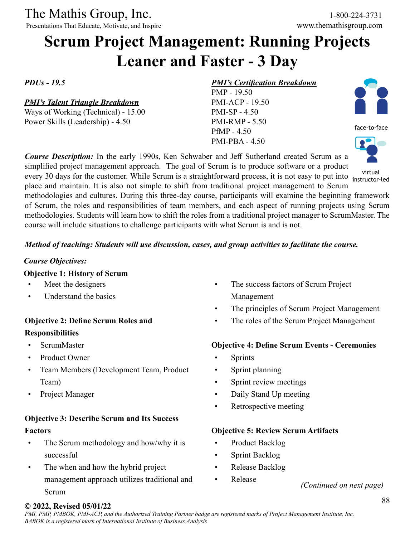Presentations That Educate, Motivate, and Inspire

## **Scrum Project Management: Running Projects Leaner and Faster - 3 Day**

*PDUs - 19.5*

#### *PMI's Talent Triangle Breakdown*

Ways of Working (Technical) - 15.00 Power Skills (Leadership) - 4.50

#### *PMI's Certification Breakdown*

PMP - 19.50 PMI-ACP - 19.50 PMI-SP - 4.50 PMI-RMP - 5.50 PfMP - 4.50 PMI-PBA - 4.50



simplified project management approach. The goal of Scrum is to produce software or a product every 30 days for the customer. While Scrum is a straightforward process, it is not easy to put into instructorplace and maintain. It is also not simple to shift from traditional project management to Scrum methodologies and cultures. During this three-day course, participants will examine the beginning framework of Scrum, the roles and responsibilities of team members, and each aspect of running projects using Scrum methodologies. Students will learn how to shift the roles from a traditional project manager to ScrumMaster. The course will include situations to challenge participants with what Scrum is and is not. instructor-led

#### *Method of teaching: Students will use discussion, cases, and group activities to facilitate the course.*

*Course Description:* In the early 1990s, Ken Schwaber and Jeff Sutherland created Scrum as a

#### *Course Objectives:*

#### **Objective 1: History of Scrum**

- Meet the designers
- Understand the basics

#### **Objective 2: Define Scrum Roles and Responsibilities**

- ScrumMaster
- Product Owner
- Team Members (Development Team, Product Team)
- Project Manager

#### **Objective 3: Describe Scrum and Its Success Factors**

- The Scrum methodology and how/why it is successful
- The when and how the hybrid project management approach utilizes traditional and Scrum
- The success factors of Scrum Project Management
- The principles of Scrum Project Management
- The roles of the Scrum Project Management

#### **Objective 4: Define Scrum Events - Ceremonies**

- **Sprints**
- Sprint planning
- Sprint review meetings
- Daily Stand Up meeting
- Retrospective meeting

#### **Objective 5: Review Scrum Artifacts**

- Product Backlog
- Sprint Backlog
- Release Backlog
- Release

#### **© 2022, Revised 05/01/22**

*(Continued on next page)*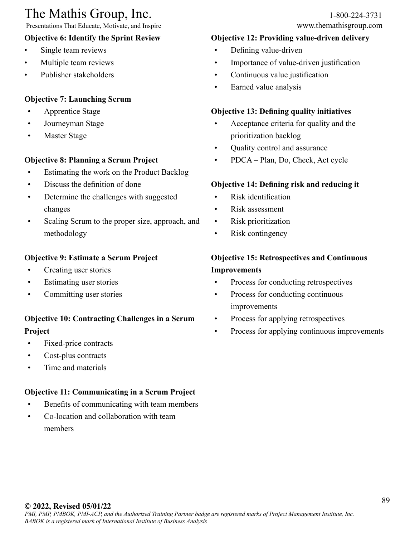Presentations That Educate, Motivate, and Inspire

### **Objective 6: Identify the Sprint Review**

- Single team reviews
- Multiple team reviews
- Publisher stakeholders

#### **Objective 7: Launching Scrum**

- Apprentice Stage
- Journeyman Stage
- Master Stage

### **Objective 8: Planning a Scrum Project**

- Estimating the work on the Product Backlog
- Discuss the definition of done
- Determine the challenges with suggested changes
- Scaling Scrum to the proper size, approach, and methodology

#### **Objective 9: Estimate a Scrum Project**

- Creating user stories
- Estimating user stories
- Committing user stories

## **Objective 10: Contracting Challenges in a Scrum Project**

- Fixed-price contracts
- Cost-plus contracts
- Time and materials

### **Objective 11: Communicating in a Scrum Project**

- Benefits of communicating with team members
- Co-location and collaboration with team members

#### **Objective 12: Providing value-driven delivery**

- Defining value-driven
- Importance of value-driven justification
- Continuous value justification
- Earned value analysis

#### **Objective 13: Defining quality initiatives**

- Acceptance criteria for quality and the prioritization backlog
- Quality control and assurance
- PDCA Plan, Do, Check, Act cycle

#### **Objective 14: Defining risk and reducing it**

- Risk identification
- Risk assessment
- Risk prioritization
- Risk contingency

### **Objective 15: Retrospectives and Continuous Improvements**

- Process for conducting retrospectives
- Process for conducting continuous improvements
- Process for applying retrospectives
- Process for applying continuous improvements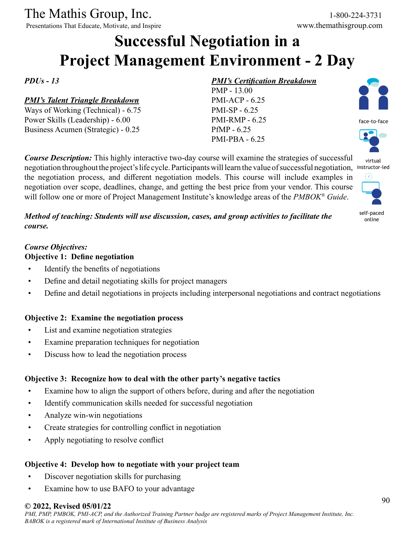Presentations That Educate, Motivate, and Inspire www.themathisgroup.com

## **Successful Negotiation in a Project Management Environment - 2 Day**

*PDUs - 13*

#### *PMI's Talent Triangle Breakdown*

Ways of Working (Technical) - 6.75 Power Skills (Leadership) - 6.00 Business Acumen (Strategic) - 0.25

#### *PMI's Certification Breakdown*

PMP - 13.00 PMI-ACP - 6.25 PMI-SP - 6.25 PMI-RMP - 6.25 PfMP - 6.25 PMI-PBA - 6.25

face-to-face



self-paced online

*Method of teaching: Students will use discussion, cases, and group activities to facilitate the course.*

*Course Description:* This highly interactive two-day course will examine the strategies of successful

the negotiation process, and different negotiation models. This course will include examples in negotiation over scope, deadlines, change, and getting the best price from your vendor. This course will follow one or more of Project Management Institute's knowledge areas of the *PMBOK® Guide*.

#### *Course Objectives:*

#### **Objective 1: Define negotiation**

- Identify the benefits of negotiations
- Define and detail negotiating skills for project managers
- Define and detail negotiations in projects including interpersonal negotiations and contract negotiations

#### **Objective 2: Examine the negotiation process**

- List and examine negotiation strategies
- Examine preparation techniques for negotiation
- Discuss how to lead the negotiation process

#### **Objective 3: Recognize how to deal with the other party's negative tactics**

- Examine how to align the support of others before, during and after the negotiation
- Identify communication skills needed for successful negotiation
- Analyze win-win negotiations
- Create strategies for controlling conflict in negotiation
- Apply negotiating to resolve conflict

#### **Objective 4: Develop how to negotiate with your project team**

- Discover negotiation skills for purchasing
- Examine how to use BAFO to your advantage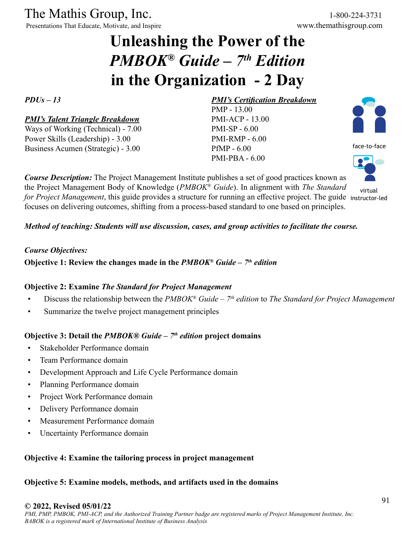Presentations That Educate, Motivate, and Inspire

## **Unleashing the Power of the**  *PMBOK® Guide – 7th Edition* **in the Organization - 2 Day**

*PDUs – 13*

#### *PMI's Talent Triangle Breakdown* Ways of Working (Technical) - 7.00 Power Skills (Leadership) - 3.00

Business Acumen (Strategic) - 3.00

## PMI-RMP - 6.00 PfMP - 6.00 PMI-PBA - 6.00

PMP - 13.00 PMI-ACP - 13.00 PMI-SP - 6.00

*PMI's Certification Breakdown*

*Course Description:* The Project Management Institute publishes a set of good practices known as the Project Management Body of Knowledge (*PMBOK® Guide*). In alignment with *The Standard for Project Management*, this guide provides a structure for running an effective project. The guide instructor-ledfocuses on delivering outcomes, shifting from a process-based standard to one based on principles.



face-to-face



*Method of teaching: Students will use discussion, cases, and group activities to facilitate the course.*

#### *Course Objectives:*

#### **Objective 1: Review the changes made in the** *PMBOK® Guide – 7th edition*

#### **Objective 2: Examine** *The Standard for Project Management*

- Discuss the relationship between the *PMBOK® Guide 7th edition* to *The Standard for Project Management*
- Summarize the twelve project management principles

#### **Objective 3: Detail the** *PMBOK® Guide – 7th edition* **project domains**

- Stakeholder Performance domain
- Team Performance domain
- Development Approach and Life Cycle Performance domain
- Planning Performance domain
- Project Work Performance domain
- Delivery Performance domain
- Measurement Performance domain
- Uncertainty Performance domain

#### **Objective 4: Examine the tailoring process in project management**

#### **Objective 5: Examine models, methods, and artifacts used in the domains**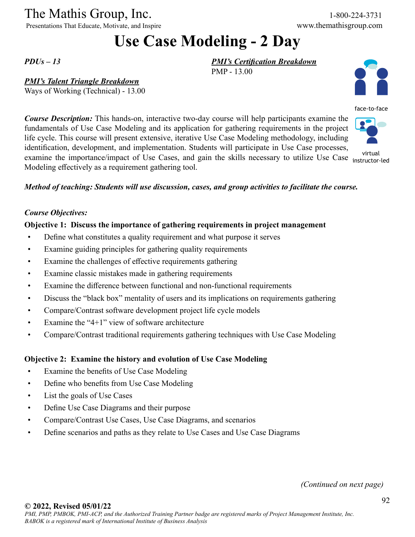Presentations That Educate, Motivate, and Inspire

## **Use Case Modeling - 2 Day**

PMP - 13.00

*PMI's Certification Breakdown*

*PDUs – 13*

#### *PMI's Talent Triangle Breakdown*

Ways of Working (Technical) - 13.00

*Course Description:* This hands-on, interactive two-day course will help participants examine the fundamentals of Use Case Modeling and its application for gathering requirements in the project life cycle. This course will present extensive, iterative Use Case Modeling methodology, including identification, development, and implementation. Students will participate in Use Case processes, examine the importance/impact of Use Cases, and gain the skills necessary to utilize Use Case instructor-Modeling effectively as a requirement gathering tool.

*Method of teaching: Students will use discussion, cases, and group activities to facilitate the course.*

#### *Course Objectives:*

#### **Objective 1: Discuss the importance of gathering requirements in project management**

- Define what constitutes a quality requirement and what purpose it serves
- Examine guiding principles for gathering quality requirements
- Examine the challenges of effective requirements gathering
- Examine classic mistakes made in gathering requirements
- Examine the difference between functional and non-functional requirements
- Discuss the "black box" mentality of users and its implications on requirements gathering
- Compare/Contrast software development project life cycle models
- Examine the "4+1" view of software architecture
- Compare/Contrast traditional requirements gathering techniques with Use Case Modeling

#### **Objective 2: Examine the history and evolution of Use Case Modeling**

- Examine the benefits of Use Case Modeling
- Define who benefits from Use Case Modeling
- List the goals of Use Cases
- Define Use Case Diagrams and their purpose
- Compare/Contrast Use Cases, Use Case Diagrams, and scenarios
- Define scenarios and paths as they relate to Use Cases and Use Case Diagrams

*(Continued on next page)*



face-to-face

instructor-led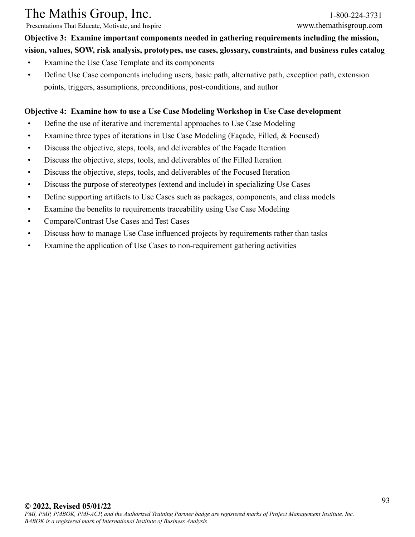Presentations That Educate, Motivate, and Inspire www.themathisgroup.com

**Objective 3: Examine important components needed in gathering requirements including the mission, vision, values, SOW, risk analysis, prototypes, use cases, glossary, constraints, and business rules catalog**

- Examine the Use Case Template and its components
- Define Use Case components including users, basic path, alternative path, exception path, extension points, triggers, assumptions, preconditions, post-conditions, and author

#### **Objective 4: Examine how to use a Use Case Modeling Workshop in Use Case development**

- Define the use of iterative and incremental approaches to Use Case Modeling
- Examine three types of iterations in Use Case Modeling (Façade, Filled, & Focused)
- Discuss the objective, steps, tools, and deliverables of the Façade Iteration
- Discuss the objective, steps, tools, and deliverables of the Filled Iteration
- Discuss the objective, steps, tools, and deliverables of the Focused Iteration
- Discuss the purpose of stereotypes (extend and include) in specializing Use Cases
- Define supporting artifacts to Use Cases such as packages, components, and class models
- Examine the benefits to requirements traceability using Use Case Modeling
- Compare/Contrast Use Cases and Test Cases
- Discuss how to manage Use Case influenced projects by requirements rather than tasks
- Examine the application of Use Cases to non-requirement gathering activities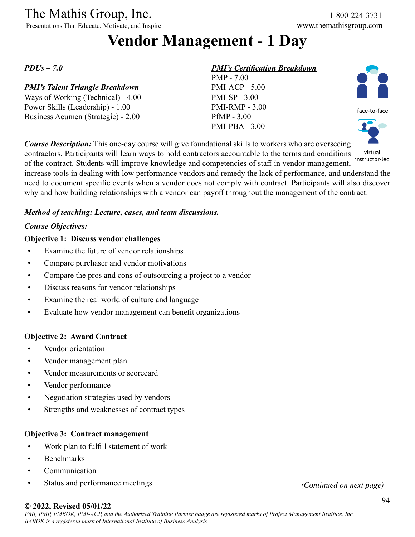Presentations That Educate, Motivate, and Inspire www.themathisgroup.com

## **Vendor Management - 1 Day**

*PDUs – 7.0*

#### *PMI's Talent Triangle Breakdown*

Ways of Working (Technical) - 4.00 Power Skills (Leadership) - 1.00 Business Acumen (Strategic) - 2.00

#### *PMI's Certification Breakdown*

PMP - 7.00 PMI-ACP - 5.00 PMI-SP - 3.00 PMI-RMP - 3.00 PfMP - 3.00 PMI-PBA - 3.00





*Course Description:* This one-day course will give foundational skills to workers who are overseeing contractors. Participants will learn ways to hold contractors accountable to the terms and conditions of the contract. Students will improve knowledge and competencies of staff in vendor management, increase tools in dealing with low performance vendors and remedy the lack of performance, and understand the need to document specific events when a vendor does not comply with contract. Participants will also discover virtual

why and how building relationships with a vendor can payoff throughout the management of the contract.

instructor-led

*Method of teaching: Lecture, cases, and team discussions.*

#### *Course Objectives:*

#### **Objective 1: Discuss vendor challenges**

- Examine the future of vendor relationships
- Compare purchaser and vendor motivations
- Compare the pros and cons of outsourcing a project to a vendor
- Discuss reasons for vendor relationships
- Examine the real world of culture and language
- Evaluate how vendor management can benefit organizations

#### **Objective 2: Award Contract**

- Vendor orientation
- Vendor management plan
- Vendor measurements or scorecard
- Vendor performance
- Negotiation strategies used by vendors
- Strengths and weaknesses of contract types

#### **Objective 3: Contract management**

- Work plan to fulfill statement of work
- Benchmarks
- Communication
- Status and performance meetings *(Continued on next page)*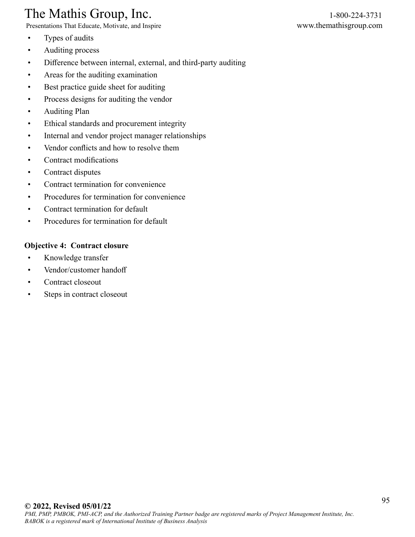Presentations That Educate, Motivate, and Inspire www.themathisgroup.com

- Types of audits
- Auditing process
- Difference between internal, external, and third-party auditing
- Areas for the auditing examination
- Best practice guide sheet for auditing
- Process designs for auditing the vendor
- Auditing Plan
- Ethical standards and procurement integrity
- Internal and vendor project manager relationships
- Vendor conflicts and how to resolve them
- Contract modifications
- Contract disputes
- Contract termination for convenience
- Procedures for termination for convenience
- Contract termination for default
- Procedures for termination for default

#### **Objective 4: Contract closure**

- Knowledge transfer
- Vendor/customer handoff
- Contract closeout
- Steps in contract closeout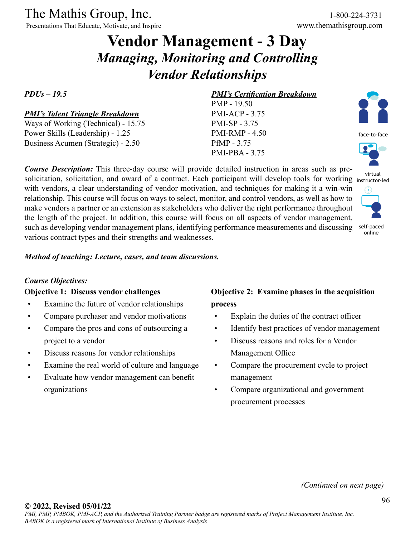Presentations That Educate, Motivate, and Inspire

## **Vendor Management - 3 Day** *Managing, Monitoring and Controlling Vendor Relationships*

#### *PDUs – 19.5*

#### *PMI's Talent Triangle Breakdown*

Ways of Working (Technical) - 15.75 Power Skills (Leadership) - 1.25 Business Acumen (Strategic) - 2.50

*Course Description:* This three-day course will provide detailed instruction in areas such as presolicitation, solicitation, and award of a contract. Each participant will develop tools for working instructor-led with vendors, a clear understanding of vendor motivation, and techniques for making it a win-win relationship. This course will focus on ways to select, monitor, and control vendors, as well as how to make vendors a partner or an extension as stakeholders who deliver the right performance throughout the length of the project. In addition, this course will focus on all aspects of vendor management, such as developing vendor management plans, identifying performance measurements and discussing various contract types and their strengths and weaknesses.

*Method of teaching: Lecture, cases, and team discussions.*

#### *Course Objectives:*

#### **Objective 1: Discuss vendor challenges**

- Examine the future of vendor relationships
- Compare purchaser and vendor motivations
- Compare the pros and cons of outsourcing a project to a vendor
- Discuss reasons for vendor relationships
- Examine the real world of culture and language
- Evaluate how vendor management can benefit organizations

#### *PMI's Certification Breakdown*

PMP - 19.50 PMI-ACP - 3.75 PMI-SP - 3.75 PMI-RMP - 4.50 PfMP - 3.75 PMI-PBA - 3.75



face-to-face



virtual



## **Objective 2: Examine phases in the acquisition process**

- Explain the duties of the contract officer
- Identify best practices of vendor management
- Discuss reasons and roles for a Vendor Management Office
- Compare the procurement cycle to project management
- Compare organizational and government procurement processes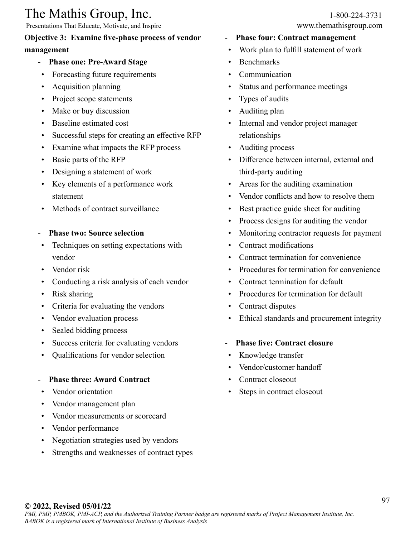Presentations That Educate, Motivate, and Inspire www.themathisgroup.com

## **Objective 3: Examine five-phase process of vendor**

#### **management**

- **Phase one: Pre-Award Stage**
- Forecasting future requirements
- Acquisition planning
- Project scope statements
- Make or buy discussion
- Baseline estimated cost
- Successful steps for creating an effective RFP
- Examine what impacts the RFP process
- Basic parts of the RFP
- Designing a statement of work
- Key elements of a performance work statement
- Methods of contract surveillance
- **Phase two: Source selection**
- Techniques on setting expectations with vendor
- Vendor risk
- Conducting a risk analysis of each vendor
- Risk sharing
- Criteria for evaluating the vendors
- Vendor evaluation process
- Sealed bidding process
- Success criteria for evaluating vendors
- Qualifications for vendor selection
- **Phase three: Award Contract**
- Vendor orientation
- Vendor management plan
- Vendor measurements or scorecard
- Vendor performance
- Negotiation strategies used by vendors
- Strengths and weaknesses of contract types
- **Phase four: Contract management**
- Work plan to fulfill statement of work
- Benchmarks
- **Communication**
- Status and performance meetings
- Types of audits
- Auditing plan
- Internal and vendor project manager relationships
- Auditing process
- Difference between internal, external and third-party auditing
- Areas for the auditing examination
- Vendor conflicts and how to resolve them
- Best practice guide sheet for auditing
- Process designs for auditing the vendor
- Monitoring contractor requests for payment
- Contract modifications
- Contract termination for convenience
- Procedures for termination for convenience
- Contract termination for default
- Procedures for termination for default
- Contract disputes
- Ethical standards and procurement integrity

#### - **Phase five: Contract closure**

- Knowledge transfer
- Vendor/customer handoff
- Contract closeout
- Steps in contract closeout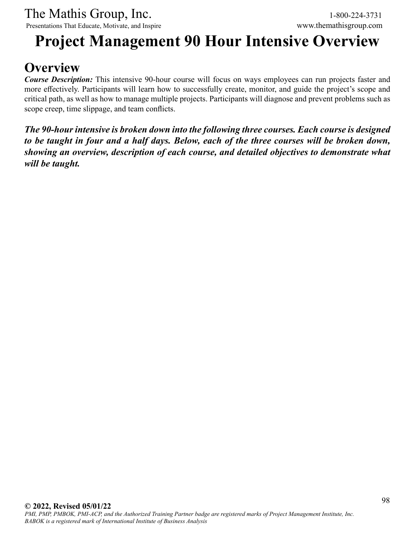## **Project Management 90 Hour Intensive Overview**

## **Overview**

*Course Description:* This intensive 90-hour course will focus on ways employees can run projects faster and more effectively. Participants will learn how to successfully create, monitor, and guide the project's scope and critical path, as well as how to manage multiple projects. Participants will diagnose and prevent problems such as scope creep, time slippage, and team conflicts.

*The 90-hour intensive is broken down into the following three courses. Each course is designed to be taught in four and a half days. Below, each of the three courses will be broken down, showing an overview, description of each course, and detailed objectives to demonstrate what will be taught.*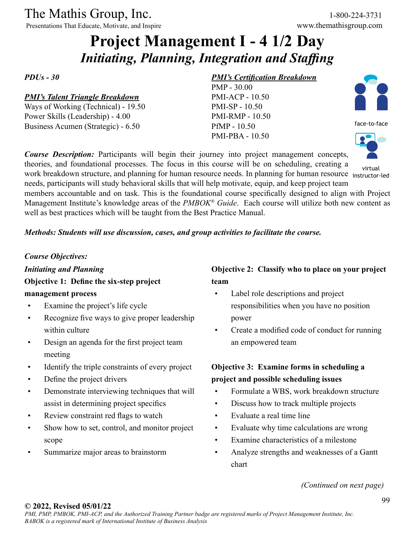Presentations That Educate, Motivate, and Inspire

## **Project Management I - 4 1/2 Day** *Initiating, Planning, Integration and Staffing*

*PDUs - 30*

#### *PMI's Talent Triangle Breakdown*

Ways of Working (Technical) - 19.50 Power Skills (Leadership) - 4.00 Business Acumen (Strategic) - 6.50

#### *PMI's Certification Breakdown*

PMP - 30.00 PMI-ACP - 10.50 PMI-SP - 10.50 PMI-RMP - 10.50 PfMP - 10.50 PMI-PBA - 10.50



face-to-face



virtual

work breakdown structure, and planning for human resource needs. In planning for human resource instructor-led needs, participants will study behavioral skills that will help motivate, equip, and keep project team members accountable and on task. This is the foundational course specifically designed to align with Project Management Institute's knowledge areas of the *PMBOK® Guide*. Each course will utilize both new content as well as best practices which will be taught from the Best Practice Manual.

*Course Description:* Participants will begin their journey into project management concepts, theories, and foundational processes. The focus in this course will be on scheduling, creating a

#### *Methods: Students will use discussion, cases, and group activities to facilitate the course.*

#### *Course Objectives:*

*Initiating and Planning* **Objective 1: Define the six-step project management process**

- Examine the project's life cycle
- Recognize five ways to give proper leadership within culture
- Design an agenda for the first project team meeting
- Identify the triple constraints of every project
- Define the project drivers
- Demonstrate interviewing techniques that will assist in determining project specifics
- Review constraint red flags to watch
- Show how to set, control, and monitor project scope
- Summarize major areas to brainstorm

#### **Objective 2: Classify who to place on your project team**

- Label role descriptions and project responsibilities when you have no position power
- Create a modified code of conduct for running an empowered team

## **Objective 3: Examine forms in scheduling a project and possible scheduling issues**

- Formulate a WBS, work breakdown structure
- Discuss how to track multiple projects
- Evaluate a real time line
- Evaluate why time calculations are wrong
- Examine characteristics of a milestone
- Analyze strengths and weaknesses of a Gantt chart

*(Continued on next page)*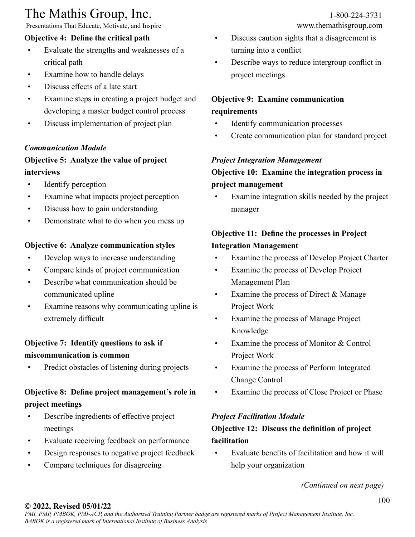Presentations That Educate, Motivate, and Inspire

### **Objective 4: Define the critical path**

- Evaluate the strengths and weaknesses of a critical path
- Examine how to handle delays
- Discuss effects of a late start
- Examine steps in creating a project budget and developing a master budget control process
- Discuss implementation of project plan

#### *Communication Module*

### **Objective 5: Analyze the value of project interviews**

- Identify perception
- Examine what impacts project perception
- Discuss how to gain understanding
- Demonstrate what to do when you mess up

#### **Objective 6: Analyze communication styles**

- Develop ways to increase understanding
- Compare kinds of project communication
- Describe what communication should be communicated upline
- Examine reasons why communicating upline is extremely difficult

## **Objective 7: Identify questions to ask if miscommunication is common**

Predict obstacles of listening during projects

## **Objective 8: Define project management's role in project meetings**

- Describe ingredients of effective project meetings
- Evaluate receiving feedback on performance
- Design responses to negative project feedback
- Compare techniques for disagreeing

- Discuss caution sights that a disagreement is turning into a conflict
- Describe ways to reduce intergroup conflict in project meetings

## **Objective 9: Examine communication requirements**

- Identify communication processes
- Create communication plan for standard project

#### *Project Integration Management*

### **Objective 10: Examine the integration process in project management**

Examine integration skills needed by the project manager

## **Objective 11: Define the processes in Project Integration Management**

- Examine the process of Develop Project Charter
- Examine the process of Develop Project Management Plan
- Examine the process of Direct & Manage Project Work
- Examine the process of Manage Project Knowledge
- Examine the process of Monitor & Control Project Work
- Examine the process of Perform Integrated Change Control
- Examine the process of Close Project or Phase

### *Project Facilitation Module*

## **Objective 12: Discuss the definition of project facilitation**

• Evaluate benefits of facilitation and how it will help your organization

*(Continued on next page)*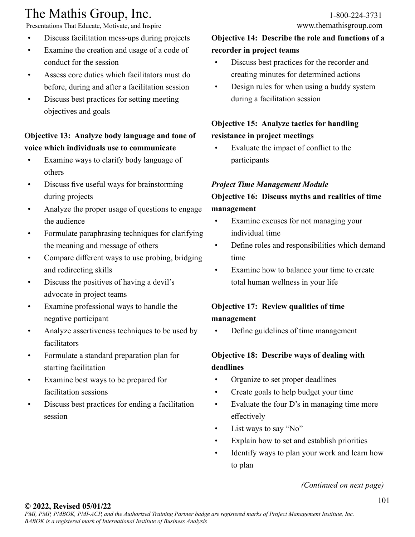Presentations That Educate, Motivate, and Inspire

- Discuss facilitation mess-ups during projects
- Examine the creation and usage of a code of conduct for the session
- Assess core duties which facilitators must do before, during and after a facilitation session
- Discuss best practices for setting meeting objectives and goals

## **Objective 13: Analyze body language and tone of voice which individuals use to communicate**

- Examine ways to clarify body language of others
- Discuss five useful ways for brainstorming during projects
- Analyze the proper usage of questions to engage the audience
- Formulate paraphrasing techniques for clarifying the meaning and message of others
- Compare different ways to use probing, bridging and redirecting skills
- Discuss the positives of having a devil's advocate in project teams
- Examine professional ways to handle the negative participant
- Analyze assertiveness techniques to be used by facilitators
- Formulate a standard preparation plan for starting facilitation
- Examine best ways to be prepared for facilitation sessions
- Discuss best practices for ending a facilitation session

## **Objective 14: Describe the role and functions of a recorder in project teams**

- Discuss best practices for the recorder and creating minutes for determined actions
- Design rules for when using a buddy system during a facilitation session

## **Objective 15: Analyze tactics for handling resistance in project meetings**

• Evaluate the impact of conflict to the participants

#### *Project Time Management Module*

## **Objective 16: Discuss myths and realities of time management**

- Examine excuses for not managing your individual time
- Define roles and responsibilities which demand time
- Examine how to balance your time to create total human wellness in your life

## **Objective 17: Review qualities of time management**

• Define guidelines of time management

## **Objective 18: Describe ways of dealing with deadlines**

- Organize to set proper deadlines
- Create goals to help budget your time
- Evaluate the four D's in managing time more effectively
- List ways to say "No"
- Explain how to set and establish priorities
- Identify ways to plan your work and learn how to plan

*(Continued on next page)*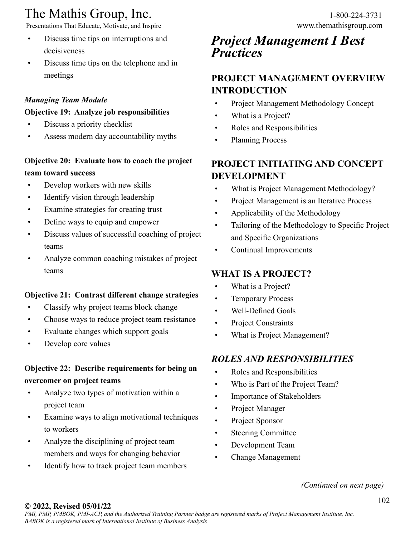Presentations That Educate, Motivate, and Inspire www.themathisgroup.com

- Discuss time tips on interruptions and decisiveness
- Discuss time tips on the telephone and in meetings

## *Managing Team Module*

### **Objective 19: Analyze job responsibilities**

- Discuss a priority checklist
- Assess modern day accountability myths

## **Objective 20: Evaluate how to coach the project team toward success**

- Develop workers with new skills
- Identify vision through leadership
- Examine strategies for creating trust
- Define ways to equip and empower
- Discuss values of successful coaching of project teams
- Analyze common coaching mistakes of project teams

## **Objective 21: Contrast different change strategies**

- Classify why project teams block change
- Choose ways to reduce project team resistance
- Evaluate changes which support goals
- Develop core values

## **Objective 22: Describe requirements for being an overcomer on project teams**

- Analyze two types of motivation within a project team
- Examine ways to align motivational techniques to workers
- Analyze the disciplining of project team members and ways for changing behavior
- Identify how to track project team members

## *Project Management I Best Practices*

## **PROJECT MANAGEMENT OVERVIEW INTRODUCTION**

- Project Management Methodology Concept
- What is a Project?
- Roles and Responsibilities
- Planning Process

## **PROJECT INITIATING AND CONCEPT DEVELOPMENT**

- What is Project Management Methodology?
- Project Management is an Iterative Process
- Applicability of the Methodology
- Tailoring of the Methodology to Specific Project and Specific Organizations
- Continual Improvements

## **WHAT IS A PROJECT?**

- What is a Project?
- Temporary Process
- Well-Defined Goals
- Project Constraints
- What is Project Management?

## *ROLES AND RESPONSIBILITIES*

- Roles and Responsibilities
- Who is Part of the Project Team?
- Importance of Stakeholders
- Project Manager
- Project Sponsor
- Steering Committee
- Development Team
- Change Management

*(Continued on next page)*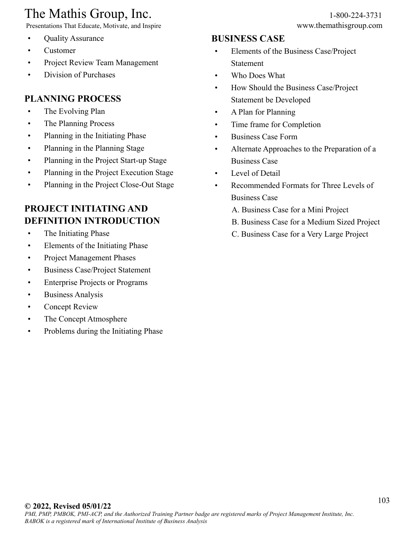Presentations That Educate, Motivate, and Inspire www.themathisgroup.com

- Quality Assurance
- Customer
- Project Review Team Management
- Division of Purchases

## **PLANNING PROCESS**

- The Evolving Plan
- The Planning Process
- Planning in the Initiating Phase
- Planning in the Planning Stage
- Planning in the Project Start-up Stage
- Planning in the Project Execution Stage
- Planning in the Project Close-Out Stage

## **PROJECT INITIATING AND DEFINITION INTRODUCTION**

- The Initiating Phase
- Elements of the Initiating Phase
- Project Management Phases
- Business Case/Project Statement
- Enterprise Projects or Programs
- Business Analysis
- Concept Review
- The Concept Atmosphere
- Problems during the Initiating Phase

#### **BUSINESS CASE**

- Elements of the Business Case/Project Statement
- Who Does What
- How Should the Business Case/Project Statement be Developed
- A Plan for Planning
- Time frame for Completion
- Business Case Form
- Alternate Approaches to the Preparation of a Business Case
- Level of Detail
- Recommended Formats for Three Levels of Business Case
	- A. Business Case for a Mini Project
	- B. Business Case for a Medium Sized Project
	- C. Business Case for a Very Large Project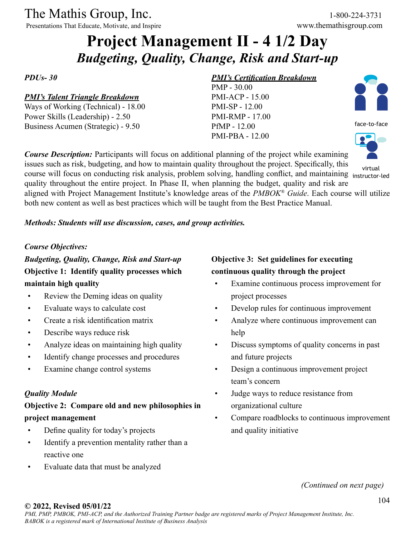Presentations That Educate, Motivate, and Inspire www.themathisgroup.com

## **Project Management II - 4 1/2 Day** *Budgeting, Quality, Change, Risk and Start-up*

*PDUs- 30*

#### *PMI's Talent Triangle Breakdown*

Ways of Working (Technical) - 18.00 Power Skills (Leadership) - 2.50 Business Acumen (Strategic) - 9.50

#### *PMI's Certification Breakdown*

PMP - 30.00 PMI-ACP - 15.00 PMI-SP - 12.00 PMI-RMP - 17.00 PfMP - 12.00 PMI-PBA - 12.00



face-to-face



issues such as risk, budgeting, and how to maintain quality throughout the project. Specifically, this course will focus on conducting risk analysis, problem solving, handling conflict, and maintaining instructor-led quality throughout the entire project. In Phase II, when planning the budget, quality and risk are aligned with Project Management Institute's knowledge areas of the *PMBOK® Guide*. Each course will utilize both new content as well as best practices which will be taught from the Best Practice Manual. virtual

*Course Description:* Participants will focus on additional planning of the project while examining

#### *Methods: Students will use discussion, cases, and group activities.*

#### *Course Objectives:*

*Budgeting, Quality, Change, Risk and Start-up* **Objective 1: Identify quality processes which maintain high quality**

- Review the Deming ideas on quality
- Evaluate ways to calculate cost
- Create a risk identification matrix
- Describe ways reduce risk
- Analyze ideas on maintaining high quality
- Identify change processes and procedures
- Examine change control systems

#### *Quality Module*

## **Objective 2: Compare old and new philosophies in project management**

- Define quality for today's projects
- Identify a prevention mentality rather than a reactive one
- Evaluate data that must be analyzed

## **Objective 3: Set guidelines for executing continuous quality through the project**

- Examine continuous process improvement for project processes
- Develop rules for continuous improvement
- Analyze where continuous improvement can help
- Discuss symptoms of quality concerns in past and future projects
- Design a continuous improvement project team's concern
- Judge ways to reduce resistance from organizational culture
- Compare roadblocks to continuous improvement and quality initiative

*(Continued on next page)*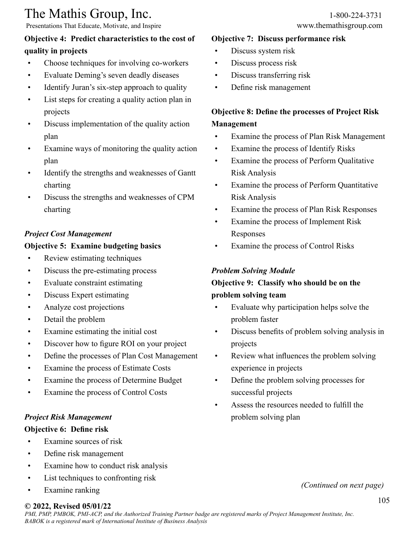Presentations That Educate, Motivate, and Inspire www.themathisgroup.com

### **Objective 4: Predict characteristics to the cost of quality in projects**

- Choose techniques for involving co-workers
- Evaluate Deming's seven deadly diseases
- Identify Juran's six-step approach to quality
- List steps for creating a quality action plan in projects
- Discuss implementation of the quality action plan
- Examine ways of monitoring the quality action plan
- Identify the strengths and weaknesses of Gantt charting
- Discuss the strengths and weaknesses of CPM charting

### *Project Cost Management*

#### **Objective 5: Examine budgeting basics**

- Review estimating techniques
- Discuss the pre-estimating process
- Evaluate constraint estimating
- Discuss Expert estimating
- Analyze cost projections
- Detail the problem
- Examine estimating the initial cost
- Discover how to figure ROI on your project
- Define the processes of Plan Cost Management
- Examine the process of Estimate Costs
- Examine the process of Determine Budget
- Examine the process of Control Costs

### *Project Risk Management*

#### **Objective 6: Define risk**

- Examine sources of risk
- Define risk management
- Examine how to conduct risk analysis
- List techniques to confronting risk
- Examine ranking

## **© 2022, Revised 05/01/22**

#### **Objective 7: Discuss performance risk**

- Discuss system risk
- Discuss process risk
- Discuss transferring risk
- Define risk management

## **Objective 8: Define the processes of Project Risk Management**

- Examine the process of Plan Risk Management
- Examine the process of Identify Risks
- Examine the process of Perform Qualitative Risk Analysis
- Examine the process of Perform Quantitative Risk Analysis
- Examine the process of Plan Risk Responses
- Examine the process of Implement Risk Responses
- Examine the process of Control Risks

### *Problem Solving Module*

## **Objective 9: Classify who should be on the problem solving team**

- Evaluate why participation helps solve the problem faster
- Discuss benefits of problem solving analysis in projects
- Review what influences the problem solving experience in projects
- Define the problem solving processes for successful projects
- Assess the resources needed to fulfill the problem solving plan

*(Continued on next page)*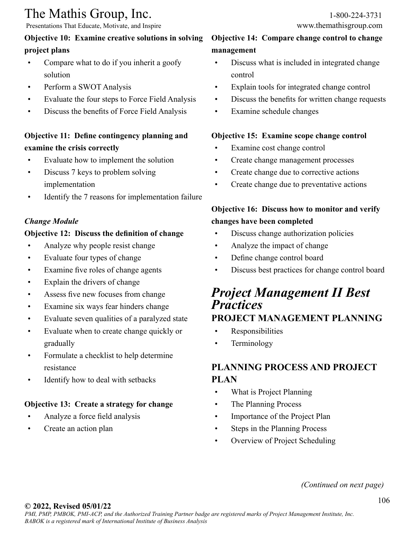Presentations That Educate, Motivate, and Inspire www.themathisgroup.com

### **Objective 10: Examine creative solutions in solving project plans**

- Compare what to do if you inherit a goofy solution
- Perform a SWOT Analysis
- Evaluate the four steps to Force Field Analysis
- Discuss the benefits of Force Field Analysis

## **Objective 11: Define contingency planning and examine the crisis correctly**

- Evaluate how to implement the solution
- Discuss 7 keys to problem solving implementation
- Identify the 7 reasons for implementation failure

#### *Change Module*

#### **Objective 12: Discuss the definition of change**

- Analyze why people resist change
- Evaluate four types of change
- Examine five roles of change agents
- Explain the drivers of change
- Assess five new focuses from change
- Examine six ways fear hinders change
- Evaluate seven qualities of a paralyzed state
- Evaluate when to create change quickly or gradually
- Formulate a checklist to help determine resistance
- Identify how to deal with setbacks

## **Objective 13: Create a strategy for change**

- Analyze a force field analysis
- Create an action plan

### **Objective 14: Compare change control to change management**

- Discuss what is included in integrated change control
- Explain tools for integrated change control
- Discuss the benefits for written change requests
- Examine schedule changes

### **Objective 15: Examine scope change control**

- Examine cost change control
- Create change management processes
- Create change due to corrective actions
- Create change due to preventative actions

## **Objective 16: Discuss how to monitor and verify changes have been completed**

- Discuss change authorization policies
- Analyze the impact of change
- Define change control board
- Discuss best practices for change control board

## *Project Management II Best Practices* **PROJECT MANAGEMENT PLANNING**

- Responsibilities
- Terminology

## **PLANNING PROCESS AND PROJECT PLAN**

- What is Project Planning
- The Planning Process
- Importance of the Project Plan
- Steps in the Planning Process
- Overview of Project Scheduling

## *(Continued on next page)*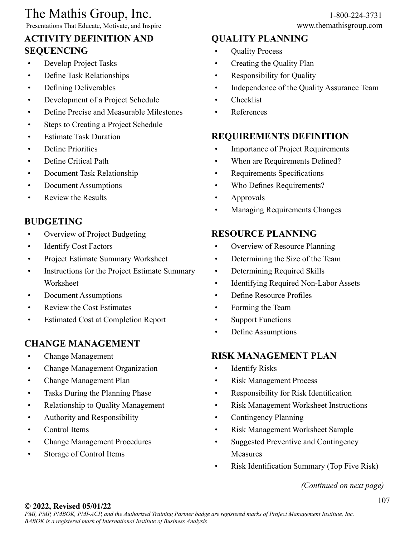Presentations That Educate, Motivate, and Inspire

## **ACTIVITY DEFINITION AND SEQUENCING**

- Develop Project Tasks
- Define Task Relationships
- Defining Deliverables
- Development of a Project Schedule
- Define Precise and Measurable Milestones
- Steps to Creating a Project Schedule
- Estimate Task Duration
- Define Priorities
- Define Critical Path
- Document Task Relationship
- Document Assumptions
- Review the Results

## **BUDGETING**

- Overview of Project Budgeting
- Identify Cost Factors
- Project Estimate Summary Worksheet
- Instructions for the Project Estimate Summary Worksheet
- Document Assumptions
- Review the Cost Estimates
- Estimated Cost at Completion Report

## **CHANGE MANAGEMENT**

- Change Management
- Change Management Organization
- Change Management Plan
- Tasks During the Planning Phase
- Relationship to Quality Management
- Authority and Responsibility
- Control Items
- Change Management Procedures
- Storage of Control Items

### **QUALITY PLANNING**

- Quality Process
- Creating the Quality Plan
- Responsibility for Quality
- Independence of the Quality Assurance Team
- Checklist
- References

### **REQUIREMENTS DEFINITION**

- Importance of Project Requirements
- When are Requirements Defined?
- Requirements Specifications
- Who Defines Requirements?
- Approvals
- Managing Requirements Changes

### **RESOURCE PLANNING**

- Overview of Resource Planning
- Determining the Size of the Team
- Determining Required Skills
- Identifying Required Non-Labor Assets
- Define Resource Profiles
- Forming the Team
- Support Functions
- Define Assumptions

### **RISK MANAGEMENT PLAN**

- Identify Risks
- Risk Management Process
- Responsibility for Risk Identification
- Risk Management Worksheet Instructions
- Contingency Planning
- Risk Management Worksheet Sample
- Suggested Preventive and Contingency Measures
- Risk Identification Summary (Top Five Risk)

*(Continued on next page)*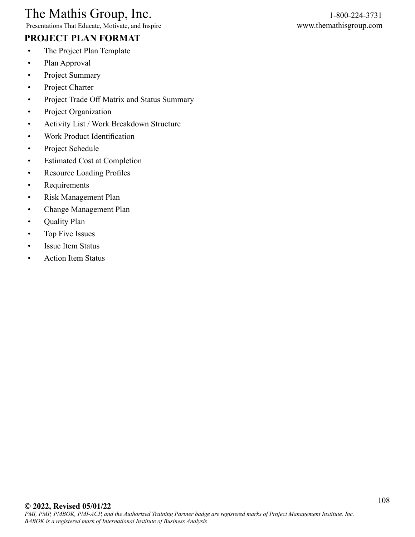Presentations That Educate, Motivate, and Inspire www.themathisgroup.com

## **PROJECT PLAN FORMAT**

- The Project Plan Template
- Plan Approval
- Project Summary
- Project Charter
- Project Trade Off Matrix and Status Summary
- Project Organization
- Activity List / Work Breakdown Structure
- Work Product Identification
- Project Schedule
- Estimated Cost at Completion
- Resource Loading Profiles
- Requirements
- Risk Management Plan
- Change Management Plan
- Quality Plan
- Top Five Issues
- Issue Item Status
- Action Item Status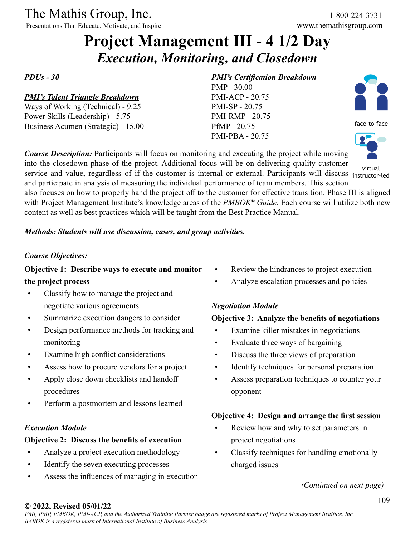Presentations That Educate, Motivate, and Inspire

# **Project Management III - 4 1/2 Day** *Execution, Monitoring, and Closedown*

*PDUs - 30*

#### *PMI's Talent Triangle Breakdown*

Ways of Working (Technical) - 9.25 Power Skills (Leadership) - 5.75 Business Acumen (Strategic) - 15.00

#### *PMI's Certification Breakdown*

PMP - 30.00 PMI-ACP - 20.75 PMI-SP - 20.75 PMI-RMP - 20.75 PfMP - 20.75 PMI-PBA - 20.75



face-to-face



instructor-led

service and value, regardless of if the customer is internal or external. Participants will discuss instructorand participate in analysis of measuring the individual performance of team members. This section also focuses on how to properly hand the project off to the customer for effective transition. Phase III is aligned with Project Management Institute's knowledge areas of the *PMBOK® Guide*. Each course will utilize both new content as well as best practices which will be taught from the Best Practice Manual.

*Course Description:* Participants will focus on monitoring and executing the project while moving into the closedown phase of the project. Additional focus will be on delivering quality customer

#### *Methods: Students will use discussion, cases, and group activities.*

#### *Course Objectives:*

### **Objective 1: Describe ways to execute and monitor the project process**

- Classify how to manage the project and negotiate various agreements
- Summarize execution dangers to consider
- Design performance methods for tracking and monitoring
- Examine high conflict considerations
- Assess how to procure vendors for a project
- Apply close down checklists and handoff procedures
- Perform a postmortem and lessons learned

#### *Execution Module*

#### **Objective 2: Discuss the benefits of execution**

- Analyze a project execution methodology
- Identify the seven executing processes
- Assess the influences of managing in execution
- Review the hindrances to project execution
- Analyze escalation processes and policies

#### *Negotiation Module*

#### **Objective 3: Analyze the benefits of negotiations**

- Examine killer mistakes in negotiations
- Evaluate three ways of bargaining
- Discuss the three views of preparation
- Identify techniques for personal preparation
- Assess preparation techniques to counter your opponent

#### **Objective 4: Design and arrange the first session**

- Review how and why to set parameters in project negotiations
- Classify techniques for handling emotionally charged issues

*(Continued on next page)*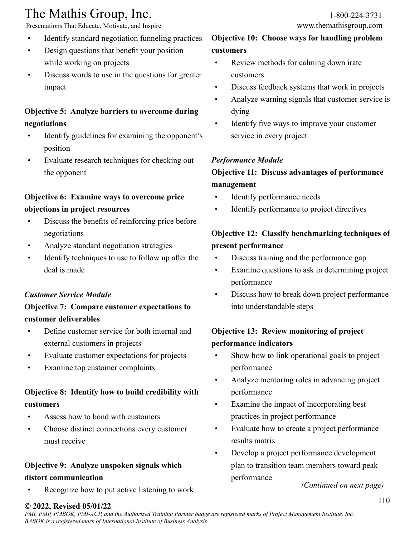Presentations That Educate, Motivate, and Inspire www.themathisgroup.com

- Identify standard negotiation funneling practices
- Design questions that benefit your position while working on projects
- Discuss words to use in the questions for greater impact

## **Objective 5: Analyze barriers to overcome during negotiations**

- Identify guidelines for examining the opponent's position
- Evaluate research techniques for checking out the opponent

## **Objective 6: Examine ways to overcome price objections in project resources**

- Discuss the benefits of reinforcing price before negotiations
- Analyze standard negotiation strategies
- Identify techniques to use to follow up after the deal is made

### *Customer Service Module*

## **Objective 7: Compare customer expectations to customer deliverables**

- Define customer service for both internal and external customers in projects
- Evaluate customer expectations for projects
- Examine top customer complaints

## **Objective 8: Identify how to build credibility with customers**

- Assess how to bond with customers
- Choose distinct connections every customer must receive

### **Objective 9: Analyze unspoken signals which**

#### **distort communication**

Recognize how to put active listening to work

## **Objective 10: Choose ways for handling problem customers**

- Review methods for calming down irate customers
- Discuss feedback systems that work in projects
- Analyze warning signals that customer service is dying
- Identify five ways to improve your customer service in every project

#### *Performance Module*

### **Objective 11: Discuss advantages of performance management**

- Identify performance needs
- Identify performance to project directives

## **Objective 12: Classify benchmarking techniques of present performance**

- Discuss training and the performance gap
- Examine questions to ask in determining project performance
- Discuss how to break down project performance into understandable steps

## **Objective 13: Review monitoring of project performance indicators**

- Show how to link operational goals to project performance
- Analyze mentoring roles in advancing project performance
- Examine the impact of incorporating best practices in project performance
- Evaluate how to create a project performance results matrix
- Develop a project performance development plan to transition team members toward peak performance

*(Continued on next page)*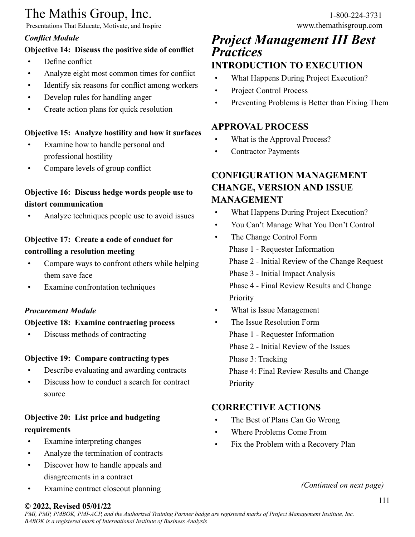Presentations That Educate, Motivate, and Inspire

### *Conflict Module*

## **Objective 14: Discuss the positive side of conflict**

- Define conflict
- Analyze eight most common times for conflict
- Identify six reasons for conflict among workers
- Develop rules for handling anger
- Create action plans for quick resolution

### **Objective 15: Analyze hostility and how it surfaces**

- Examine how to handle personal and professional hostility
- Compare levels of group conflict

## **Objective 16: Discuss hedge words people use to distort communication**

• Analyze techniques people use to avoid issues

## **Objective 17: Create a code of conduct for controlling a resolution meeting**

- Compare ways to confront others while helping them save face
- Examine confrontation techniques

### *Procurement Module*

### **Objective 18: Examine contracting process**

• Discuss methods of contracting

### **Objective 19: Compare contracting types**

- Describe evaluating and awarding contracts
- Discuss how to conduct a search for contract source

## **Objective 20: List price and budgeting requirements**

- Examine interpreting changes
- Analyze the termination of contracts
- Discover how to handle appeals and disagreements in a contract
- Examine contract closeout planning

## *Project Management III Best Practices* **INTRODUCTION TO EXECUTION**

- What Happens During Project Execution?
- Project Control Process
- Preventing Problems is Better than Fixing Them

## **APPROVAL PROCESS**

- What is the Approval Process?
- Contractor Payments

## **CONFIGURATION MANAGEMENT CHANGE, VERSION AND ISSUE MANAGEMENT**

- What Happens During Project Execution?
- You Can't Manage What You Don't Control
- The Change Control Form Phase 1 - Requester Information Phase 2 - Initial Review of the Change Request Phase 3 - Initial Impact Analysis Phase 4 - Final Review Results and Change Priority
- What is Issue Management
- The Issue Resolution Form Phase 1 - Requester Information Phase 2 - Initial Review of the Issues Phase 3: Tracking Phase 4: Final Review Results and Change Priority

## **CORRECTIVE ACTIONS**

- The Best of Plans Can Go Wrong
- Where Problems Come From
- Fix the Problem with a Recovery Plan

*(Continued on next page)*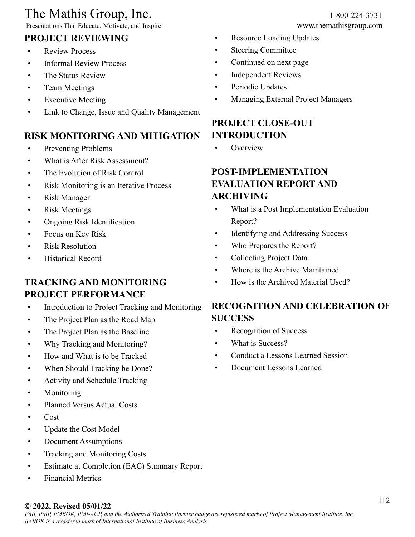Presentations That Educate, Motivate, and Inspire

## **PROJECT REVIEWING**

- Review Process
- Informal Review Process
- The Status Review
- Team Meetings
- Executive Meeting
- Link to Change, Issue and Quality Management

## **RISK MONITORING AND MITIGATION**

- Preventing Problems
- What is After Risk Assessment?
- The Evolution of Risk Control
- Risk Monitoring is an Iterative Process
- Risk Manager
- Risk Meetings
- Ongoing Risk Identification
- Focus on Key Risk
- Risk Resolution
- Historical Record

## **TRACKING AND MONITORING PROJECT PERFORMANCE**

- Introduction to Project Tracking and Monitoring
- The Project Plan as the Road Map
- The Project Plan as the Baseline
- Why Tracking and Monitoring?
- How and What is to be Tracked
- When Should Tracking be Done?
- Activity and Schedule Tracking
- Monitoring
- Planned Versus Actual Costs
- Cost
- Update the Cost Model
- Document Assumptions
- Tracking and Monitoring Costs
- Estimate at Completion (EAC) Summary Report
- Financial Metrics

- Resource Loading Updates
- Steering Committee
- Continued on next page
- Independent Reviews
- Periodic Updates
- Managing External Project Managers

## **PROJECT CLOSE-OUT INTRODUCTION**

• Overview

## **POST-IMPLEMENTATION EVALUATION REPORT AND ARCHIVING**

- What is a Post Implementation Evaluation Report?
- Identifying and Addressing Success
- Who Prepares the Report?
- Collecting Project Data
- Where is the Archive Maintained
- How is the Archived Material Used?

## **RECOGNITION AND CELEBRATION OF SUCCESS**

- Recognition of Success
- What is Success?
- Conduct a Lessons Learned Session
- Document Lessons Learned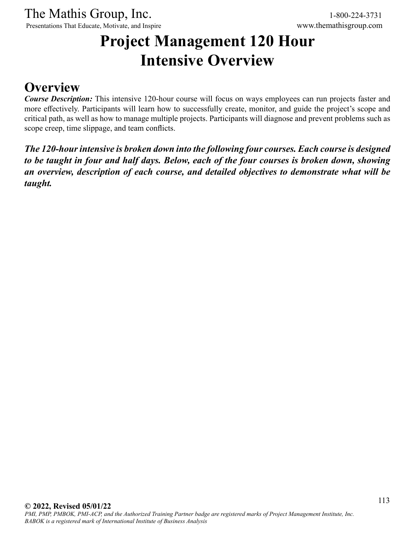Presentations That Educate, Motivate, and Inspire www.themathisgroup.com

# **Project Management 120 Hour Intensive Overview**

## **Overview**

*Course Description:* This intensive 120-hour course will focus on ways employees can run projects faster and more effectively. Participants will learn how to successfully create, monitor, and guide the project's scope and critical path, as well as how to manage multiple projects. Participants will diagnose and prevent problems such as scope creep, time slippage, and team conflicts.

*The 120-hour intensive is broken down into the following four courses. Each course is designed to be taught in four and half days. Below, each of the four courses is broken down, showing an overview, description of each course, and detailed objectives to demonstrate what will be taught.*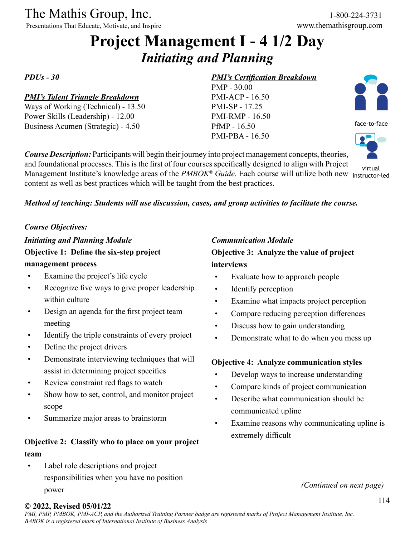Presentations That Educate, Motivate, and Inspire

# **Project Management I - 4 1/2 Day** *Initiating and Planning*

*PDUs - 30*

#### *PMI's Talent Triangle Breakdown*

Ways of Working (Technical) - 13.50 Power Skills (Leadership) - 12.00 Business Acumen (Strategic) - 4.50

#### *PMI's Certification Breakdown*

PMP - 30.00 PMI-ACP - 16.50 PMI-SP - 17.25 PMI-RMP - 16.50 PfMP - 16.50 PMI-PBA - 16.50



face-to-face

virtual

*Course Description:* Participants will begin their journey into project management concepts, theories, and foundational processes. This is the first of four courses specifically designed to align with Project Management Institute's knowledge areas of the *PMBOK® Guide*. Each course will utilize both new instructor-ledcontent as well as best practices which will be taught from the best practices.

#### *Method of teaching: Students will use discussion, cases, and group activities to facilitate the course.*

#### *Course Objectives:*

*Initiating and Planning Module* **Objective 1: Define the six-step project management process**

- Examine the project's life cycle
- Recognize five ways to give proper leadership within culture
- Design an agenda for the first project team meeting
- Identify the triple constraints of every project
- Define the project drivers
- Demonstrate interviewing techniques that will assist in determining project specifics
- Review constraint red flags to watch
- Show how to set, control, and monitor project scope
- Summarize major areas to brainstorm

## **Objective 2: Classify who to place on your project team**

Label role descriptions and project responsibilities when you have no position power

#### *Communication Module*

**Objective 3: Analyze the value of project interviews**

- Evaluate how to approach people
- Identify perception
- Examine what impacts project perception
- Compare reducing perception differences
- Discuss how to gain understanding
- Demonstrate what to do when you mess up

#### **Objective 4: Analyze communication styles**

- Develop ways to increase understanding
- Compare kinds of project communication
- Describe what communication should be communicated upline
- Examine reasons why communicating upline is extremely difficult

*(Continued on next page)*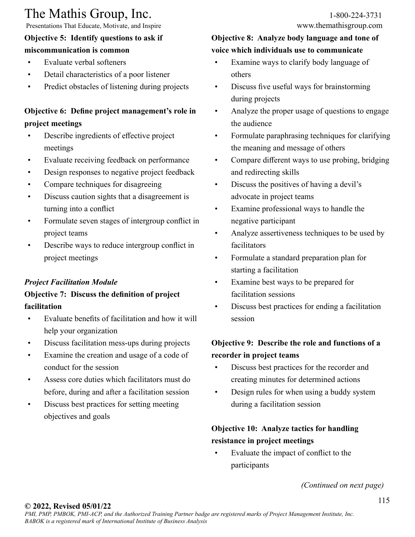Presentations That Educate, Motivate, and Inspire

## **Objective 5: Identify questions to ask if**

## **miscommunication is common**

- Evaluate verbal softeners
- Detail characteristics of a poor listener
- Predict obstacles of listening during projects

## **Objective 6: Define project management's role in project meetings**

- Describe ingredients of effective project meetings
- Evaluate receiving feedback on performance
- Design responses to negative project feedback
- Compare techniques for disagreeing
- Discuss caution sights that a disagreement is turning into a conflict
- Formulate seven stages of intergroup conflict in project teams
- Describe ways to reduce intergroup conflict in project meetings

## *Project Facilitation Module*

## **Objective 7: Discuss the definition of project facilitation**

- Evaluate benefits of facilitation and how it will help your organization
- Discuss facilitation mess-ups during projects
- Examine the creation and usage of a code of conduct for the session
- Assess core duties which facilitators must do before, during and after a facilitation session
- Discuss best practices for setting meeting objectives and goals

## **Objective 8: Analyze body language and tone of voice which individuals use to communicate**

- Examine ways to clarify body language of others
- Discuss five useful ways for brainstorming during projects
- Analyze the proper usage of questions to engage the audience
- Formulate paraphrasing techniques for clarifying the meaning and message of others
- Compare different ways to use probing, bridging and redirecting skills
- Discuss the positives of having a devil's advocate in project teams
- Examine professional ways to handle the negative participant
- Analyze assertiveness techniques to be used by facilitators
- Formulate a standard preparation plan for starting a facilitation
- Examine best ways to be prepared for facilitation sessions
- Discuss best practices for ending a facilitation session

## **Objective 9: Describe the role and functions of a recorder in project teams**

- Discuss best practices for the recorder and creating minutes for determined actions
- Design rules for when using a buddy system during a facilitation session

## **Objective 10: Analyze tactics for handling resistance in project meetings**

• Evaluate the impact of conflict to the participants

*(Continued on next page)*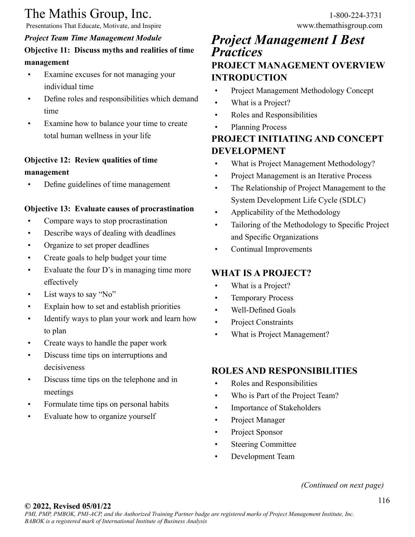Presentations That Educate, Motivate, and Inspire www.themathisgroup.com

## *Project Team Time Management Module* **Objective 11: Discuss myths and realities of time management**

- Examine excuses for not managing your individual time
- Define roles and responsibilities which demand time
- Examine how to balance your time to create total human wellness in your life

## **Objective 12: Review qualities of time management**

• Define guidelines of time management

#### **Objective 13: Evaluate causes of procrastination**

- Compare ways to stop procrastination
- Describe ways of dealing with deadlines
- Organize to set proper deadlines
- Create goals to help budget your time
- Evaluate the four D's in managing time more effectively
- List ways to say "No"
- Explain how to set and establish priorities
- Identify ways to plan your work and learn how to plan
- Create ways to handle the paper work
- Discuss time tips on interruptions and decisiveness
- Discuss time tips on the telephone and in meetings
- Formulate time tips on personal habits
- Evaluate how to organize yourself

## *Project Management I Best Practices* **PROJECT MANAGEMENT OVERVIEW INTRODUCTION**

- Project Management Methodology Concept
- What is a Project?
- Roles and Responsibilities
- Planning Process

## **PROJECT INITIATING AND CONCEPT DEVELOPMENT**

- What is Project Management Methodology?
- Project Management is an Iterative Process
- The Relationship of Project Management to the System Development Life Cycle (SDLC)
- Applicability of the Methodology
- Tailoring of the Methodology to Specific Project and Specific Organizations
- Continual Improvements

### **WHAT IS A PROJECT?**

- What is a Project?
- Temporary Process
- Well-Defined Goals
- Project Constraints
- What is Project Management?

## **ROLES AND RESPONSIBILITIES**

- Roles and Responsibilities
- Who is Part of the Project Team?
- Importance of Stakeholders
- Project Manager
- Project Sponsor
- **Steering Committee**
- Development Team

#### *(Continued on next page)*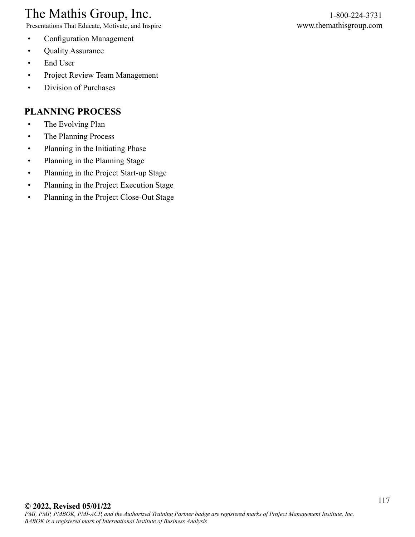Presentations That Educate, Motivate, and Inspire www.themathisgroup.com

- Configuration Management
- Quality Assurance
- End User
- Project Review Team Management
- Division of Purchases

## **PLANNING PROCESS**

- The Evolving Plan
- The Planning Process
- Planning in the Initiating Phase
- Planning in the Planning Stage
- Planning in the Project Start-up Stage
- Planning in the Project Execution Stage
- Planning in the Project Close-Out Stage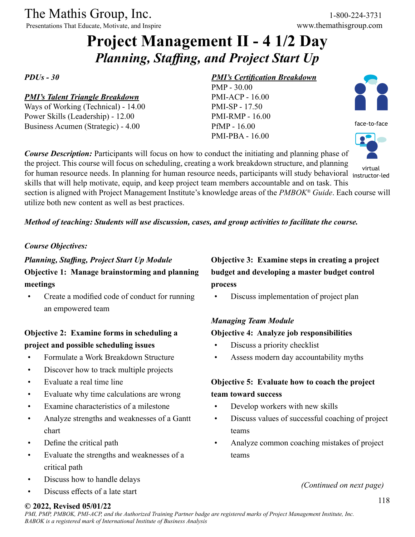Presentations That Educate, Motivate, and Inspire

# **Project Management II - 4 1/2 Day** *Planning, Staffing, and Project Start Up*

*PDUs - 30*

#### *PMI's Talent Triangle Breakdown*

Ways of Working (Technical) - 14.00 Power Skills (Leadership) - 12.00 Business Acumen (Strategic) - 4.00

#### *PMI's Certification Breakdown*

PMP - 30.00 PMI-ACP - 16.00 PMI-SP - 17.50 PMI-RMP - 16.00 PfMP - 16.00 PMI-PBA - 16.00



face-to-face



instructor-led

with the contract of the contract of the contract of the contract of the contract of the contract of the virtual virtual of the contract of the contract of the contract of the contract of the contract of the contract of th skills that will help motivate, equip, and keep project team members accountable and on task. This section is aligned with Project Management Institute's knowledge areas of the *PMBOK® Guide*. Each course will utilize both new content as well as best practices.

*Method of teaching: Students will use discussion, cases, and group activities to facilitate the course.*

*Course Description:* Participants will focus on how to conduct the initiating and planning phase of the project. This course will focus on scheduling, creating a work breakdown structure, and planning

#### *Course Objectives:*

*Planning, Staffing, Project Start Up Module* **Objective 1: Manage brainstorming and planning meetings**

• Create a modified code of conduct for running an empowered team

## **Objective 2: Examine forms in scheduling a project and possible scheduling issues**

- Formulate a Work Breakdown Structure
- Discover how to track multiple projects
- Evaluate a real time line
- Evaluate why time calculations are wrong
- Examine characteristics of a milestone
- Analyze strengths and weaknesses of a Gantt chart
- Define the critical path
- Evaluate the strengths and weaknesses of a critical path
- Discuss how to handle delays
- Discuss effects of a late start

## **Objective 3: Examine steps in creating a project budget and developing a master budget control process**

• Discuss implementation of project plan

### *Managing Team Module*

#### **Objective 4: Analyze job responsibilities**

- Discuss a priority checklist
- Assess modern day accountability myths

## **Objective 5: Evaluate how to coach the project team toward success**

- Develop workers with new skills
- Discuss values of successful coaching of project teams
- Analyze common coaching mistakes of project teams

*(Continued on next page)*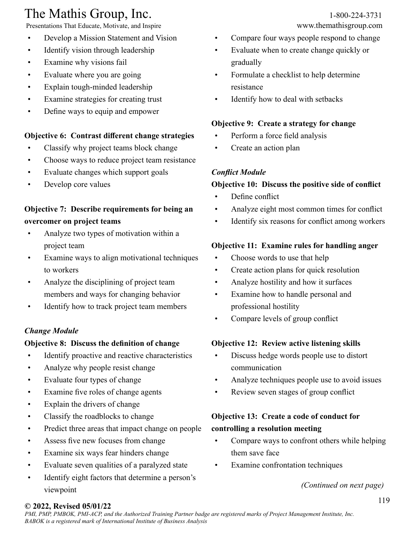Presentations That Educate, Motivate, and Inspire www.themathisgroup.com

- Develop a Mission Statement and Vision
- Identify vision through leadership
- Examine why visions fail
- Evaluate where you are going
- Explain tough-minded leadership
- Examine strategies for creating trust
- Define ways to equip and empower

## **Objective 6: Contrast different change strategies**

- Classify why project teams block change
- Choose ways to reduce project team resistance
- Evaluate changes which support goals
- Develop core values

## **Objective 7: Describe requirements for being an overcomer on project teams**

- Analyze two types of motivation within a project team
- Examine ways to align motivational techniques to workers
- Analyze the disciplining of project team members and ways for changing behavior
- Identify how to track project team members

## *Change Module*

## **Objective 8: Discuss the definition of change**

- Identify proactive and reactive characteristics
- Analyze why people resist change
- Evaluate four types of change
- Examine five roles of change agents
- Explain the drivers of change
- Classify the roadblocks to change
- Predict three areas that impact change on people
- Assess five new focuses from change
- Examine six ways fear hinders change
- Evaluate seven qualities of a paralyzed state
- Identify eight factors that determine a person's viewpoint

- Compare four ways people respond to change
- Evaluate when to create change quickly or gradually
- Formulate a checklist to help determine resistance
- Identify how to deal with setbacks

## **Objective 9: Create a strategy for change**

- Perform a force field analysis
- Create an action plan

## *Conflict Module*

## **Objective 10: Discuss the positive side of conflict**

- Define conflict
- Analyze eight most common times for conflict
- Identify six reasons for conflict among workers

## **Objective 11: Examine rules for handling anger**

- Choose words to use that help
- Create action plans for quick resolution
- Analyze hostility and how it surfaces
- Examine how to handle personal and professional hostility
- Compare levels of group conflict

## **Objective 12: Review active listening skills**

- Discuss hedge words people use to distort communication
- Analyze techniques people use to avoid issues
- Review seven stages of group conflict

## **Objective 13: Create a code of conduct for controlling a resolution meeting**

- Compare ways to confront others while helping them save face
- Examine confrontation techniques

*(Continued on next page)*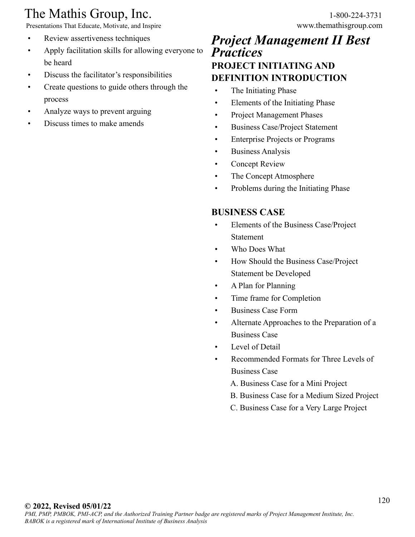Presentations That Educate, Motivate, and Inspire www.themathisgroup.com

- Review assertiveness techniques
- Apply facilitation skills for allowing everyone to be heard
- Discuss the facilitator's responsibilities
- Create questions to guide others through the process
- Analyze ways to prevent arguing
- Discuss times to make amends

## *Project Management II Best Practices* **PROJECT INITIATING AND DEFINITION INTRODUCTION**

- The Initiating Phase
- Elements of the Initiating Phase
- Project Management Phases
- Business Case/Project Statement
- Enterprise Projects or Programs
- Business Analysis
- Concept Review
- The Concept Atmosphere
- Problems during the Initiating Phase

## **BUSINESS CASE**

- Elements of the Business Case/Project Statement
- Who Does What
- How Should the Business Case/Project Statement be Developed
- A Plan for Planning
- Time frame for Completion
- Business Case Form
- Alternate Approaches to the Preparation of a Business Case
- Level of Detail
- Recommended Formats for Three Levels of Business Case
	- A. Business Case for a Mini Project
	- B. Business Case for a Medium Sized Project
	- C. Business Case for a Very Large Project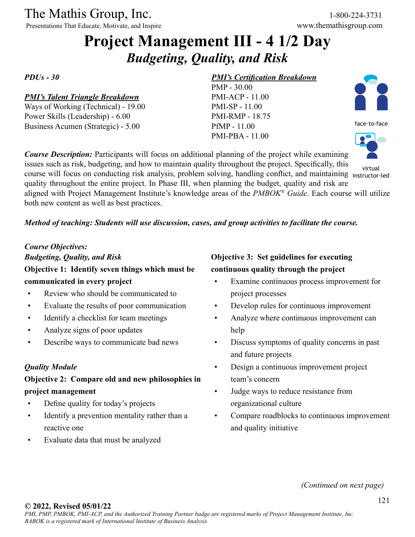Presentations That Educate, Motivate, and Inspire

# **Project Management III - 4 1/2 Day** *Budgeting, Quality, and Risk*

*PDUs - 30*

#### *PMI's Talent Triangle Breakdown*

Ways of Working (Technical) - 19.00 Power Skills (Leadership) - 6.00 Business Acumen (Strategic) - 5.00

#### *PMI's Certification Breakdown*

PMP - 30.00 PMI-ACP - 11.00 PMI-SP - 11.00 PMI-RMP - 18.75 PfMP - 11.00 PMI-PBA - 11.00



face-to-face



issues such as risk, budgeting, and how to maintain quality throughout the project. Specifically, this course will focus on conducting risk analysis, problem solving, handling conflict, and maintaining instructor-led quality throughout the entire project. In Phase III, when planning the budget, quality and risk are aligned with Project Management Institute's knowledge areas of the *PMBOK® Guide*. Each course will utilize both new content as well as best practices. virtual

#### *Method of teaching: Students will use discussion, cases, and group activities to facilitate the course.*

*Course Description:* Participants will focus on additional planning of the project while examining

## *Course Objectives: Budgeting, Quality, and Risk* **Objective 1: Identify seven things which must be communicated in every project**

- Review who should be communicated to
- Evaluate the results of poor communication
- Identify a checklist for team meetings
- Analyze signs of poor updates
- Describe ways to communicate bad news

#### *Quality Module*

## **Objective 2: Compare old and new philosophies in project management**

- Define quality for today's projects
- Identify a prevention mentality rather than a reactive one
- Evaluate data that must be analyzed

## **Objective 3: Set guidelines for executing continuous quality through the project**

- Examine continuous process improvement for project processes
- Develop rules for continuous improvement
- Analyze where continuous improvement can help
- Discuss symptoms of quality concerns in past and future projects
- Design a continuous improvement project team's concern
- Judge ways to reduce resistance from organizational culture
- Compare roadblocks to continuous improvement and quality initiative

*(Continued on next page)*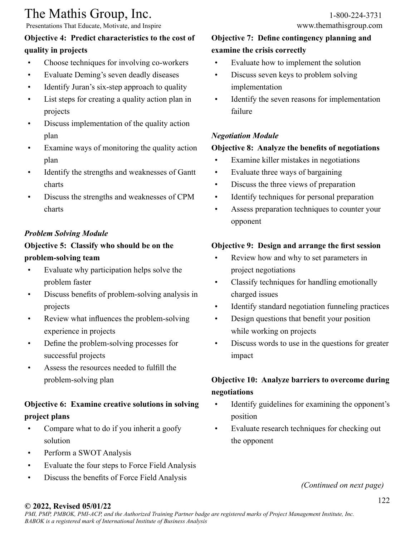Presentations That Educate, Motivate, and Inspire

## **Objective 4: Predict characteristics to the cost of quality in projects**

- Choose techniques for involving co-workers
- Evaluate Deming's seven deadly diseases
- Identify Juran's six-step approach to quality
- List steps for creating a quality action plan in projects
- Discuss implementation of the quality action plan
- Examine ways of monitoring the quality action plan
- Identify the strengths and weaknesses of Gantt charts
- Discuss the strengths and weaknesses of CPM charts

## *Problem Solving Module*

## **Objective 5: Classify who should be on the problem-solving team**

- Evaluate why participation helps solve the problem faster
- Discuss benefits of problem-solving analysis in projects
- Review what influences the problem-solving experience in projects
- Define the problem-solving processes for successful projects
- Assess the resources needed to fulfill the problem-solving plan

## **Objective 6: Examine creative solutions in solving project plans**

- Compare what to do if you inherit a goofy solution
- Perform a SWOT Analysis
- Evaluate the four steps to Force Field Analysis
- Discuss the benefits of Force Field Analysis

## **Objective 7: Define contingency planning and examine the crisis correctly**

- Evaluate how to implement the solution
- Discuss seven keys to problem solving implementation
- Identify the seven reasons for implementation failure

## *Negotiation Module*

## **Objective 8: Analyze the benefits of negotiations**

- Examine killer mistakes in negotiations
- Evaluate three ways of bargaining
- Discuss the three views of preparation
- Identify techniques for personal preparation
- Assess preparation techniques to counter your opponent

## **Objective 9: Design and arrange the first session**

- Review how and why to set parameters in project negotiations
- Classify techniques for handling emotionally charged issues
- Identify standard negotiation funneling practices
- Design questions that benefit your position while working on projects
- Discuss words to use in the questions for greater impact

## **Objective 10: Analyze barriers to overcome during negotiations**

- Identify guidelines for examining the opponent's position
- Evaluate research techniques for checking out the opponent

*(Continued on next page)*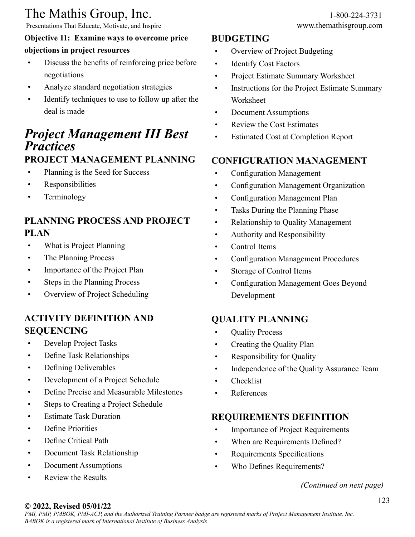Presentations That Educate, Motivate, and Inspire www.themathisgroup.com

## **Objective 11: Examine ways to overcome price objections in project resources**

- Discuss the benefits of reinforcing price before negotiations
- Analyze standard negotiation strategies
- Identify techniques to use to follow up after the deal is made

# *Project Management III Best Practices*

## **PROJECT MANAGEMENT PLANNING**

- Planning is the Seed for Success
- Responsibilities
- Terminology

## **PLANNING PROCESS AND PROJECT PLAN**

- What is Project Planning
- The Planning Process
- Importance of the Project Plan
- Steps in the Planning Process
- Overview of Project Scheduling

## **ACTIVITY DEFINITION AND SEQUENCING**

- Develop Project Tasks
- Define Task Relationships
- Defining Deliverables
- Development of a Project Schedule
- Define Precise and Measurable Milestones
- Steps to Creating a Project Schedule
- Estimate Task Duration
- Define Priorities
- Define Critical Path
- Document Task Relationship
- Document Assumptions
- Review the Results

## **BUDGETING**

- Overview of Project Budgeting
- Identify Cost Factors
- Project Estimate Summary Worksheet
- Instructions for the Project Estimate Summary Worksheet
- Document Assumptions
- Review the Cost Estimates
- **Estimated Cost at Completion Report**

## **CONFIGURATION MANAGEMENT**

- Configuration Management
- Configuration Management Organization
- Configuration Management Plan
- Tasks During the Planning Phase
- Relationship to Quality Management
- Authority and Responsibility
- Control Items
- Configuration Management Procedures
- Storage of Control Items
- Configuration Management Goes Beyond Development

## **QUALITY PLANNING**

- Quality Process
- Creating the Quality Plan
- Responsibility for Quality
- Independence of the Quality Assurance Team
- **Checklist**
- References

## **REQUIREMENTS DEFINITION**

- Importance of Project Requirements
- When are Requirements Defined?
- Requirements Specifications
- Who Defines Requirements?

#### *(Continued on next page)*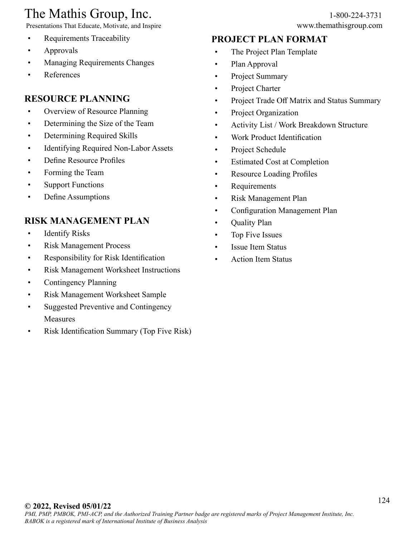Presentations That Educate, Motivate, and Inspire

- Requirements Traceability
- Approvals
- Managing Requirements Changes
- References

## **RESOURCE PLANNING**

- Overview of Resource Planning
- Determining the Size of the Team
- Determining Required Skills
- Identifying Required Non-Labor Assets
- Define Resource Profiles
- Forming the Team
- Support Functions
- Define Assumptions

## **RISK MANAGEMENT PLAN**

- Identify Risks
- Risk Management Process
- Responsibility for Risk Identification
- Risk Management Worksheet Instructions
- Contingency Planning
- Risk Management Worksheet Sample
- Suggested Preventive and Contingency Measures
- Risk Identification Summary (Top Five Risk)

## **PROJECT PLAN FORMAT**

- The Project Plan Template
- Plan Approval
- Project Summary
- Project Charter
- Project Trade Off Matrix and Status Summary
- Project Organization
- Activity List / Work Breakdown Structure
- Work Product Identification
- Project Schedule
- Estimated Cost at Completion
- Resource Loading Profiles
- Requirements
- Risk Management Plan
- Configuration Management Plan
- Quality Plan
- Top Five Issues
- Issue Item Status
- Action Item Status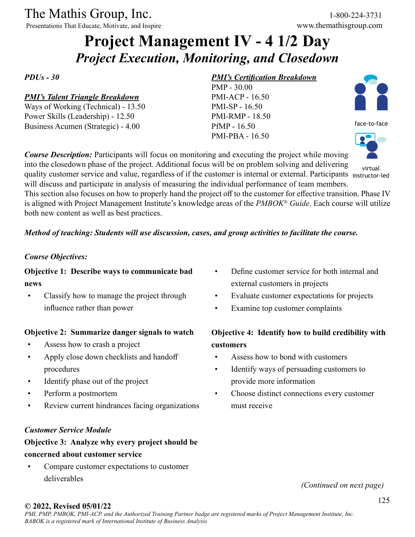Presentations That Educate, Motivate, and Inspire

# **Project Management IV - 4 1/2 Day** *Project Execution, Monitoring, and Closedown*

*PDUs - 30*

#### *PMI's Talent Triangle Breakdown*

Ways of Working (Technical) - 13.50 Power Skills (Leadership) - 12.50 Business Acumen (Strategic) - 4.00

#### *PMI's Certification Breakdown*

PMP - 30.00 PMI-ACP - 16.50 PMI-SP - 16.50 PMI-RMP - 18.50 PfMP - 16.50 PMI-PBA - 16.50



face-to-face



virtual

*Course Description:* Participants will focus on monitoring and executing the project while moving into the closedown phase of the project. Additional focus will be on problem solving and delivering quality customer service and value, regardless of if the customer is internal or external. Participants instructor-led will discuss and participate in analysis of measuring the individual performance of team members.

This section also focuses on how to properly hand the project off to the customer for effective transition. Phase IV is aligned with Project Management Institute's knowledge areas of the *PMBOK® Guide*. Each course will utilize both new content as well as best practices.

#### *Method of teaching: Students will use discussion, cases, and group activities to facilitate the course.*

#### *Course Objectives:*

### **Objective 1: Describe ways to communicate bad news**

• Classify how to manage the project through influence rather than power

#### **Objective 2: Summarize danger signals to watch**

- Assess how to crash a project
- Apply close down checklists and handoff procedures
- Identify phase out of the project
- Perform a postmortem
- Review current hindrances facing organizations

#### *Customer Service Module*

## **Objective 3: Analyze why every project should be concerned about customer service**

• Compare customer expectations to customer deliverables

- Define customer service for both internal and external customers in projects
- Evaluate customer expectations for projects
- Examine top customer complaints

## **Objective 4: Identify how to build credibility with customers**

- Assess how to bond with customers
- Identify ways of persuading customers to provide more information
- Choose distinct connections every customer must receive

*(Continued on next page)*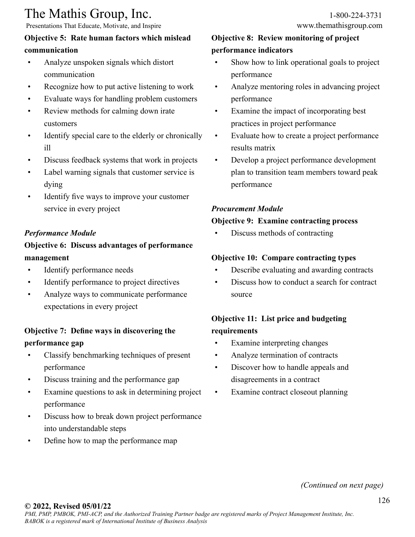Presentations That Educate, Motivate, and Inspire

## **Objective 5: Rate human factors which mislead communication**

- Analyze unspoken signals which distort communication
- Recognize how to put active listening to work
- Evaluate ways for handling problem customers
- Review methods for calming down irate customers
- Identify special care to the elderly or chronically ill
- Discuss feedback systems that work in projects
- Label warning signals that customer service is dying
- Identify five ways to improve your customer service in every project

### *Performance Module*

## **Objective 6: Discuss advantages of performance management**

- Identify performance needs
- Identify performance to project directives
- Analyze ways to communicate performance expectations in every project

## **Objective 7: Define ways in discovering the performance gap**

- Classify benchmarking techniques of present performance
- Discuss training and the performance gap
- Examine questions to ask in determining project performance
- Discuss how to break down project performance into understandable steps
- Define how to map the performance map

## **Objective 8: Review monitoring of project performance indicators**

- Show how to link operational goals to project performance
- Analyze mentoring roles in advancing project performance
- Examine the impact of incorporating best practices in project performance
- Evaluate how to create a project performance results matrix
- Develop a project performance development plan to transition team members toward peak performance

## *Procurement Module*

#### **Objective 9: Examine contracting process**

• Discuss methods of contracting

#### **Objective 10: Compare contracting types**

- Describe evaluating and awarding contracts
- Discuss how to conduct a search for contract source

## **Objective 11: List price and budgeting requirements**

- Examine interpreting changes
- Analyze termination of contracts
- Discover how to handle appeals and disagreements in a contract
- Examine contract closeout planning

*(Continued on next page)*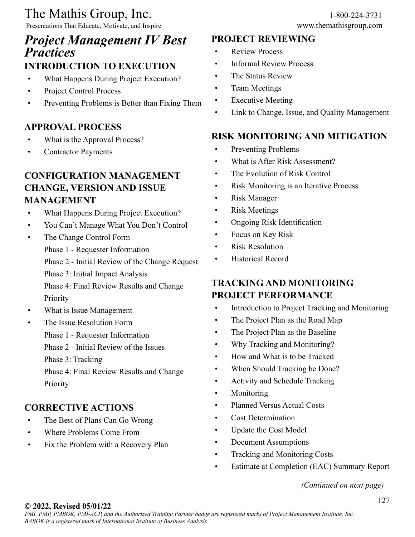Presentations That Educate, Motivate, and Inspire www.themathisgroup.com

## *Project Management IV Best Practices*

## **INTRODUCTION TO EXECUTION**

- What Happens During Project Execution?
- Project Control Process
- Preventing Problems is Better than Fixing Them

## **APPROVAL PROCESS**

- What is the Approval Process?
- Contractor Payments

## **CONFIGURATION MANAGEMENT CHANGE, VERSION AND ISSUE MANAGEMENT**

- What Happens During Project Execution?
- You Can't Manage What You Don't Control
- The Change Control Form
	- Phase 1 Requester Information
	- Phase 2 Initial Review of the Change Request
	- Phase 3: Initial Impact Analysis

Phase 4: Final Review Results and Change Priority

- What is Issue Management
- The Issue Resolution Form
	- Phase 1 Requester Information
	- Phase 2 Initial Review of the Issues

Phase 3: Tracking

Phase 4: Final Review Results and Change Priority

## **CORRECTIVE ACTIONS**

- The Best of Plans Can Go Wrong
- Where Problems Come From
- Fix the Problem with a Recovery Plan

## **PROJECT REVIEWING**

- **Review Process**
- Informal Review Process
- The Status Review
- Team Meetings
- **Executive Meeting**
- Link to Change, Issue, and Quality Management

## **RISK MONITORING AND MITIGATION**

- Preventing Problems
- What is After Risk Assessment?
- The Evolution of Risk Control
- Risk Monitoring is an Iterative Process
- Risk Manager
- Risk Meetings
- Ongoing Risk Identification
- Focus on Key Risk
- Risk Resolution
- Historical Record

## **TRACKING AND MONITORING PROJECT PERFORMANCE**

- Introduction to Project Tracking and Monitoring
- The Project Plan as the Road Map
- The Project Plan as the Baseline
- Why Tracking and Monitoring?
- How and What is to be Tracked
- When Should Tracking be Done?
- Activity and Schedule Tracking
- Monitoring
- Planned Versus Actual Costs
- Cost Determination
- Update the Cost Model
- Document Assumptions
- Tracking and Monitoring Costs
- Estimate at Completion (EAC) Summary Report

*(Continued on next page)*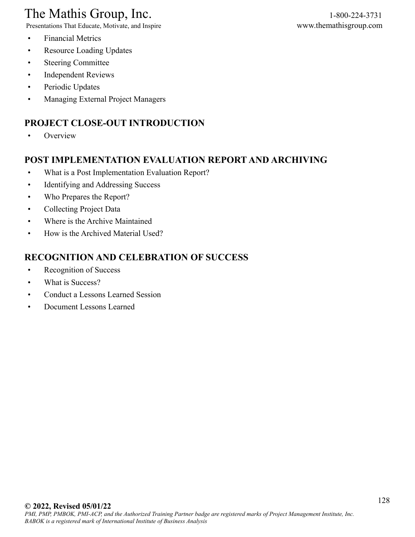# The Mathis Group, Inc.<br>
Presentations That Educate, Motivate, and Inspire<br>
Www.themathisgroup.com

Presentations That Educate, Motivate, and Inspire

- Financial Metrics
- Resource Loading Updates
- Steering Committee
- Independent Reviews
- Periodic Updates
- Managing External Project Managers

## **PROJECT CLOSE-OUT INTRODUCTION**

• Overview

## **POST IMPLEMENTATION EVALUATION REPORT AND ARCHIVING**

- What is a Post Implementation Evaluation Report?
- Identifying and Addressing Success
- Who Prepares the Report?
- Collecting Project Data
- Where is the Archive Maintained
- How is the Archived Material Used?

## **RECOGNITION AND CELEBRATION OF SUCCESS**

- Recognition of Success
- What is Success?
- Conduct a Lessons Learned Session
- Document Lessons Learned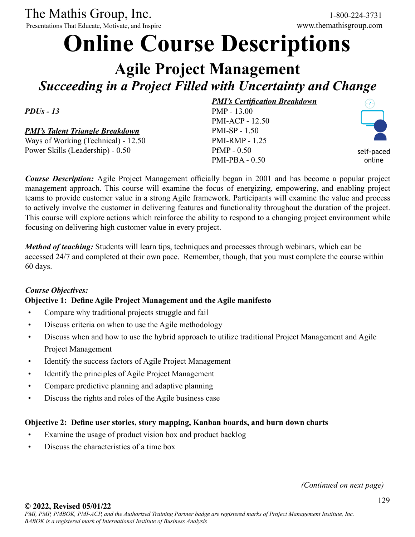Presentations That Educate, Motivate, and Inspire

# **Online Course Descriptions**

# **Agile Project Management** *Succeeding in a Project Filled with Uncertainty and Change*

*PDUs - 13*

*PMI's Talent Triangle Breakdown*

Ways of Working (Technical) - 12.50 Power Skills (Leadership) - 0.50

*PMI's Certification Breakdown* PMP - 13.00 PMI-ACP - 12.50 PMI-SP - 1.50 PMI-RMP - 1.25 PfMP - 0.50 PMI-PBA - 0.50



self-paced online

*Course Description:* Agile Project Management officially began in 2001 and has become a popular project management approach. This course will examine the focus of energizing, empowering, and enabling project teams to provide customer value in a strong Agile framework. Participants will examine the value and process to actively involve the customer in delivering features and functionality throughout the duration of the project. This course will explore actions which reinforce the ability to respond to a changing project environment while focusing on delivering high customer value in every project.

*Method of teaching:* Students will learn tips, techniques and processes through webinars, which can be accessed 24/7 and completed at their own pace. Remember, though, that you must complete the course within 60 days.

#### *Course Objectives:*

#### **Objective 1: Define Agile Project Management and the Agile manifesto**

- Compare why traditional projects struggle and fail
- Discuss criteria on when to use the Agile methodology
- Discuss when and how to use the hybrid approach to utilize traditional Project Management and Agile Project Management
- Identify the success factors of Agile Project Management
- Identify the principles of Agile Project Management
- Compare predictive planning and adaptive planning
- Discuss the rights and roles of the Agile business case

#### **Objective 2: Define user stories, story mapping, Kanban boards, and burn down charts**

- Examine the usage of product vision box and product backlog
- Discuss the characteristics of a time box

*(Continued on next page)*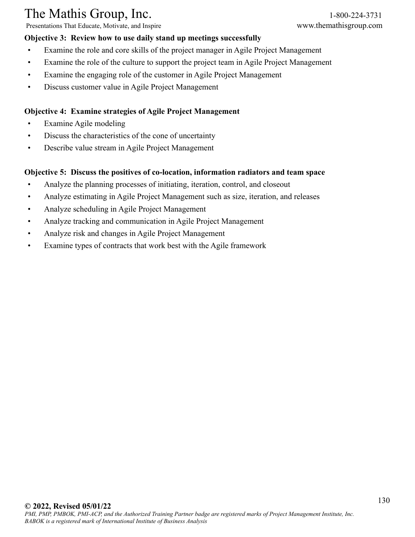Presentations That Educate, Motivate, and Inspire www.themathisgroup.com

#### **Objective 3: Review how to use daily stand up meetings successfully**

- Examine the role and core skills of the project manager in Agile Project Management
- Examine the role of the culture to support the project team in Agile Project Management
- Examine the engaging role of the customer in Agile Project Management
- Discuss customer value in Agile Project Management

#### **Objective 4: Examine strategies of Agile Project Management**

- Examine Agile modeling
- Discuss the characteristics of the cone of uncertainty
- Describe value stream in Agile Project Management

#### **Objective 5: Discuss the positives of co-location, information radiators and team space**

- Analyze the planning processes of initiating, iteration, control, and closeout
- Analyze estimating in Agile Project Management such as size, iteration, and releases
- Analyze scheduling in Agile Project Management
- Analyze tracking and communication in Agile Project Management
- Analyze risk and changes in Agile Project Management
- Examine types of contracts that work best with the Agile framework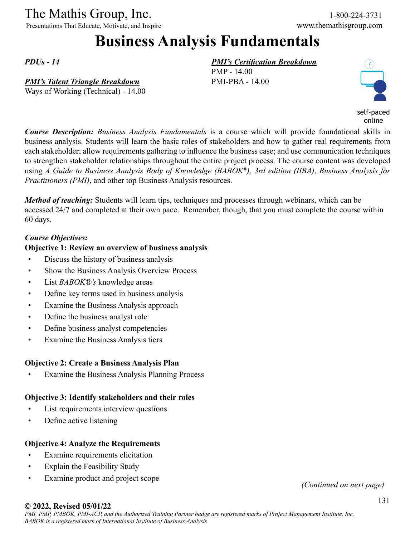Presentations That Educate, Motivate, and Inspire www.themathisgroup.com

# **Business Analysis Fundamentals**

*PDUs - 14*

#### *PMI's Talent Triangle Breakdown*

Ways of Working (Technical) - 14.00

#### *PMI's Certification Breakdown*

PMP - 14.00 PMI-PBA - 14.00



self-paced online

*Course Description: Business Analysis Fundamentals* is a course which will provide foundational skills in business analysis. Students will learn the basic roles of stakeholders and how to gather real requirements from each stakeholder; allow requirements gathering to influence the business case; and use communication techniques to strengthen stakeholder relationships throughout the entire project process. The course content was developed using *A Guide to Business Analysis Body of Knowledge (BABOK®)*, *3rd edition (IIBA)*, *Business Analysis for Practitioners (PMI)*, and other top Business Analysis resources.

*Method of teaching:* Students will learn tips, techniques and processes through webinars, which can be accessed 24/7 and completed at their own pace. Remember, though, that you must complete the course within 60 days.

#### *Course Objectives:*

#### **Objective 1: Review an overview of business analysis**

- Discuss the history of business analysis
- Show the Business Analysis Overview Process
- List *BABOK®'s* knowledge areas
- Define key terms used in business analysis
- Examine the Business Analysis approach
- Define the business analyst role
- Define business analyst competencies
- Examine the Business Analysis tiers

#### **Objective 2: Create a Business Analysis Plan**

Examine the Business Analysis Planning Process

#### **Objective 3: Identify stakeholders and their roles**

- List requirements interview questions
- Define active listening

#### **Objective 4: Analyze the Requirements**

- Examine requirements elicitation
- Explain the Feasibility Study
- Examine product and project scope *(Continued on next page)*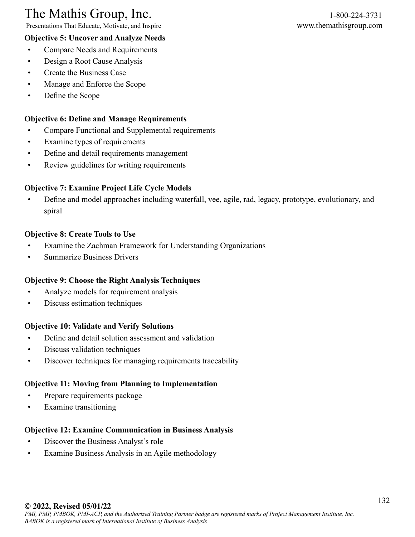Presentations That Educate, Motivate, and Inspire www.themathisgroup.com

- **Objective 5: Uncover and Analyze Needs** • Compare Needs and Requirements
- Design a Root Cause Analysis
- Create the Business Case
- Manage and Enforce the Scope
- Define the Scope

## **Objective 6: Define and Manage Requirements**

- Compare Functional and Supplemental requirements
- Examine types of requirements
- Define and detail requirements management
- Review guidelines for writing requirements

## **Objective 7: Examine Project Life Cycle Models**

• Define and model approaches including waterfall, vee, agile, rad, legacy, prototype, evolutionary, and spiral

## **Objective 8: Create Tools to Use**

- Examine the Zachman Framework for Understanding Organizations
- Summarize Business Drivers

## **Objective 9: Choose the Right Analysis Techniques**

- Analyze models for requirement analysis
- Discuss estimation techniques

### **Objective 10: Validate and Verify Solutions**

- Define and detail solution assessment and validation
- Discuss validation techniques
- Discover techniques for managing requirements traceability

## **Objective 11: Moving from Planning to Implementation**

- Prepare requirements package
- Examine transitioning

## **Objective 12: Examine Communication in Business Analysis**

- Discover the Business Analyst's role
- Examine Business Analysis in an Agile methodology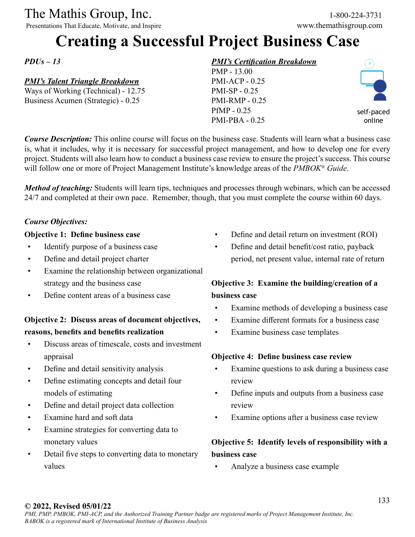Presentations That Educate, Motivate, and Inspire

# **Creating a Successful Project Business Case**

*PDUs – 13*

#### *PMI's Talent Triangle Breakdown*

Ways of Working (Technical) - 12.75 Business Acumen (Strategic) - 0.25

#### *PMI's Certification Breakdown*

PMP - 13.00 PMI-ACP - 0.25 PMI-SP - 0.25 PMI-RMP - 0.25 PfMP - 0.25 PMI-PBA - 0.25



self-paced online

*Course Description:* This online course will focus on the business case. Students will learn what a business case is, what it includes, why it is necessary for successful project management, and how to develop one for every project. Students will also learn how to conduct a business case review to ensure the project's success. This course will follow one or more of Project Management Institute's knowledge areas of the *PMBOK® Guide*.

*Method of teaching:* Students will learn tips, techniques and processes through webinars, which can be accessed 24/7 and completed at their own pace. Remember, though, that you must complete the course within 60 days.

#### *Course Objectives:*

#### **Objective 1: Define business case**

- Identify purpose of a business case
- Define and detail project charter
- Examine the relationship between organizational strategy and the business case
- Define content areas of a business case

## **Objective 2: Discuss areas of document objectives, reasons, benefits and benefits realization**

- Discuss areas of timescale, costs and investment appraisal
- Define and detail sensitivity analysis
- Define estimating concepts and detail four models of estimating
- Define and detail project data collection
- Examine hard and soft data
- Examine strategies for converting data to monetary values
- Detail five steps to converting data to monetary values
- Define and detail return on investment (ROI)
- Define and detail benefit/cost ratio, payback period, net present value, internal rate of return

## **Objective 3: Examine the building/creation of a business case**

- Examine methods of developing a business case
- Examine different formats for a business case
- Examine business case templates

#### **Objective 4: Define business case review**

- Examine questions to ask during a business case review
- Define inputs and outputs from a business case review
- Examine options after a business case review

## **Objective 5: Identify levels of responsibility with a business case**

• Analyze a business case example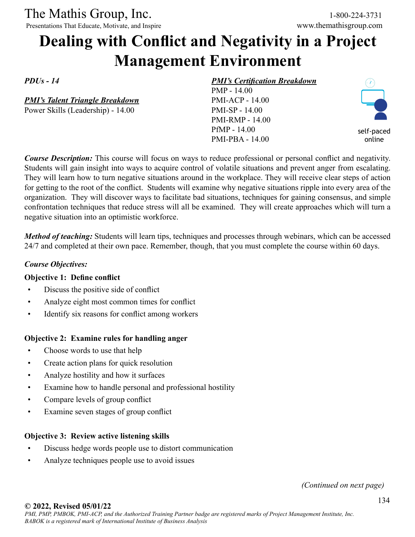Presentations That Educate, Motivate, and Inspire www.themathisgroup.com

# **Dealing with Conflict and Negativity in a Project Management Environment**

*PDUs - 14*

*PMI's Talent Triangle Breakdown* Power Skills (Leadership) - 14.00

#### *PMI's Certification Breakdown*

PMP - 14.00 PMI-ACP - 14.00 PMI-SP - 14.00 PMI-RMP - 14.00 PfMP - 14.00 PMI-PBA - 14.00



*Course Description:* This course will focus on ways to reduce professional or personal conflict and negativity. Students will gain insight into ways to acquire control of volatile situations and prevent anger from escalating. They will learn how to turn negative situations around in the workplace. They will receive clear steps of action for getting to the root of the conflict. Students will examine why negative situations ripple into every area of the organization. They will discover ways to facilitate bad situations, techniques for gaining consensus, and simple confrontation techniques that reduce stress will all be examined. They will create approaches which will turn a negative situation into an optimistic workforce.

*Method of teaching:* Students will learn tips, techniques and processes through webinars, which can be accessed 24/7 and completed at their own pace. Remember, though, that you must complete the course within 60 days.

#### *Course Objectives:*

#### **Objective 1: Define conflict**

- Discuss the positive side of conflict
- Analyze eight most common times for conflict
- Identify six reasons for conflict among workers

#### **Objective 2: Examine rules for handling anger**

- Choose words to use that help
- Create action plans for quick resolution
- Analyze hostility and how it surfaces
- Examine how to handle personal and professional hostility
- Compare levels of group conflict
- Examine seven stages of group conflict

#### **Objective 3: Review active listening skills**

- Discuss hedge words people use to distort communication
- Analyze techniques people use to avoid issues

*(Continued on next page)*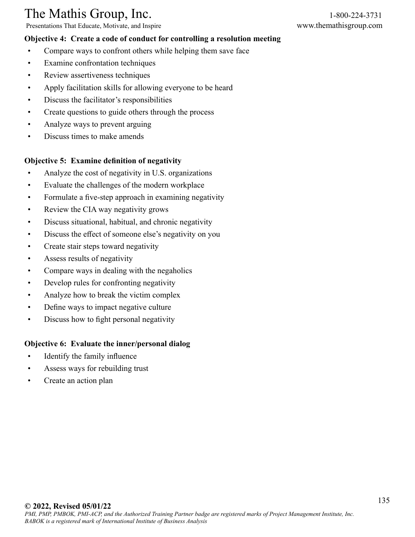Presentations That Educate, Motivate, and Inspire www.themathisgroup.com

#### **Objective 4: Create a code of conduct for controlling a resolution meeting**

- Compare ways to confront others while helping them save face
- Examine confrontation techniques
- Review assertiveness techniques
- Apply facilitation skills for allowing everyone to be heard
- Discuss the facilitator's responsibilities
- Create questions to guide others through the process
- Analyze ways to prevent arguing
- Discuss times to make amends

#### **Objective 5: Examine definition of negativity**

- Analyze the cost of negativity in U.S. organizations
- Evaluate the challenges of the modern workplace
- Formulate a five-step approach in examining negativity
- Review the CIA way negativity grows
- Discuss situational, habitual, and chronic negativity
- Discuss the effect of someone else's negativity on you
- Create stair steps toward negativity
- Assess results of negativity
- Compare ways in dealing with the negaholics
- Develop rules for confronting negativity
- Analyze how to break the victim complex
- Define ways to impact negative culture
- Discuss how to fight personal negativity

#### **Objective 6: Evaluate the inner/personal dialog**

- Identify the family influence
- Assess ways for rebuilding trust
- Create an action plan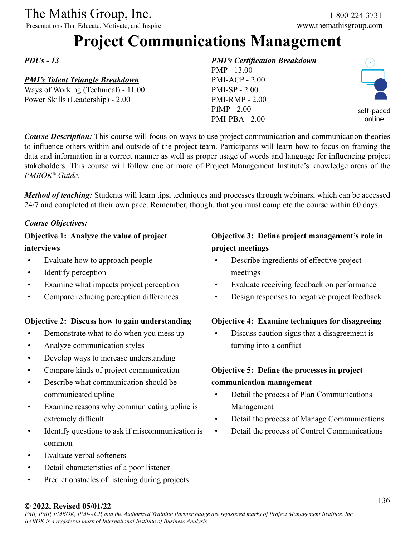Presentations That Educate, Motivate, and Inspire

# **Project Communications Management**

*PDUs - 13*

## *PMI's Talent Triangle Breakdown*

Ways of Working (Technical) - 11.00 Power Skills (Leadership) - 2.00

## *PMI's Certification Breakdown*

PMP - 13.00 PMI-ACP - 2.00 PMI-SP - 2.00 PMI-RMP - 2.00 PfMP - 2.00 PMI-PBA - 2.00



self-paced online

*Course Description:* This course will focus on ways to use project communication and communication theories to influence others within and outside of the project team. Participants will learn how to focus on framing the data and information in a correct manner as well as proper usage of words and language for influencing project stakeholders. This course will follow one or more of Project Management Institute's knowledge areas of the *PMBOK® Guide*.

*Method of teaching:* Students will learn tips, techniques and processes through webinars, which can be accessed 24/7 and completed at their own pace. Remember, though, that you must complete the course within 60 days.

#### *Course Objectives:*

### **Objective 1: Analyze the value of project interviews**

- Evaluate how to approach people
- Identify perception
- Examine what impacts project perception
- Compare reducing perception differences

#### **Objective 2: Discuss how to gain understanding**

- Demonstrate what to do when you mess up
- Analyze communication styles
- Develop ways to increase understanding
- Compare kinds of project communication
- Describe what communication should be communicated upline
- Examine reasons why communicating upline is extremely difficult
- Identify questions to ask if miscommunication is common
- Evaluate verbal softeners
- Detail characteristics of a poor listener
- Predict obstacles of listening during projects

## **Objective 3: Define project management's role in project meetings**

- Describe ingredients of effective project meetings
- Evaluate receiving feedback on performance
- Design responses to negative project feedback

#### **Objective 4: Examine techniques for disagreeing**

• Discuss caution signs that a disagreement is turning into a conflict

## **Objective 5: Define the processes in project communication management**

- Detail the process of Plan Communications Management
- Detail the process of Manage Communications
- Detail the process of Control Communications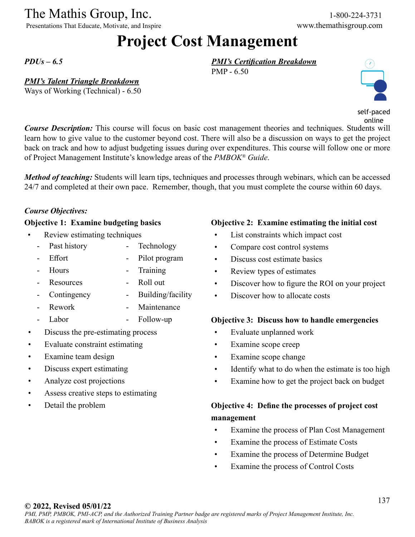Presentations That Educate, Motivate, and Inspire

# **Project Cost Management**

*PDUs – 6.5*

#### *PMI's Talent Triangle Breakdown*

Ways of Working (Technical) - 6.50

*PMI's Certification Breakdown* PMP - 6.50



self-paced online

*Course Description:* This course will focus on basic cost management theories and techniques. Students will learn how to give value to the customer beyond cost. There will also be a discussion on ways to get the project back on track and how to adjust budgeting issues during over expenditures. This course will follow one or more of Project Management Institute's knowledge areas of the *PMBOK® Guide*.

*Method of teaching:* Students will learn tips, techniques and processes through webinars, which can be accessed 24/7 and completed at their own pace. Remember, though, that you must complete the course within 60 days.

#### *Course Objectives:*

Effort

#### **Objective 1: Examine budgeting basics**

- Review estimating techniques
	- Past history - Technology
		- Pilot program

Roll out

- Hours **Training**
- **Resources** 
	- **Contingency** - Building/facility
- Rework **Maintenance**
- Labor Follow-up
- Discuss the pre-estimating process
- Evaluate constraint estimating
- Examine team design
- Discuss expert estimating
- Analyze cost projections
- Assess creative steps to estimating
- Detail the problem

#### **Objective 2: Examine estimating the initial cost**

- List constraints which impact cost
- Compare cost control systems
- Discuss cost estimate basics
- Review types of estimates
- Discover how to figure the ROI on your project
- Discover how to allocate costs

#### **Objective 3: Discuss how to handle emergencies**

- Evaluate unplanned work
- Examine scope creep
- Examine scope change
- Identify what to do when the estimate is too high
- Examine how to get the project back on budget

## **Objective 4: Define the processes of project cost management**

- Examine the process of Plan Cost Management
- Examine the process of Estimate Costs
- Examine the process of Determine Budget
- Examine the process of Control Costs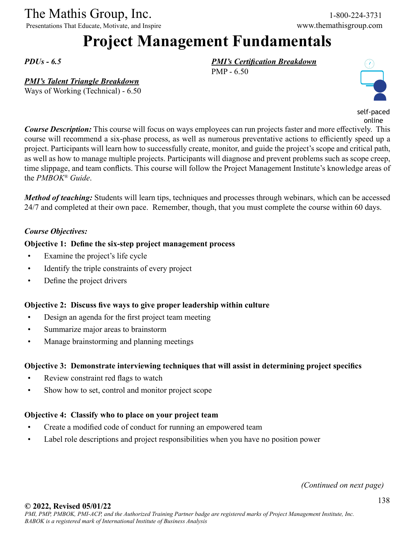Presentations That Educate, Motivate, and Inspire www.themathisgroup.com

# **Project Management Fundamentals**

*PDUs - 6.5*

#### *PMI's Talent Triangle Breakdown*

Ways of Working (Technical) - 6.50

*PMI's Certification Breakdown* PMP - 6.50



self-paced online

*Course Description:* This course will focus on ways employees can run projects faster and more effectively. This course will recommend a six-phase process, as well as numerous preventative actions to efficiently speed up a project. Participants will learn how to successfully create, monitor, and guide the project's scope and critical path, as well as how to manage multiple projects. Participants will diagnose and prevent problems such as scope creep, time slippage, and team conflicts. This course will follow the Project Management Institute's knowledge areas of the *PMBOK® Guide*.

*Method of teaching:* Students will learn tips, techniques and processes through webinars, which can be accessed 24/7 and completed at their own pace. Remember, though, that you must complete the course within 60 days.

#### *Course Objectives:*

#### **Objective 1: Define the six-step project management process**

- Examine the project's life cycle
- Identify the triple constraints of every project
- Define the project drivers

#### **Objective 2: Discuss five ways to give proper leadership within culture**

- Design an agenda for the first project team meeting
- Summarize major areas to brainstorm
- Manage brainstorming and planning meetings

#### **Objective 3: Demonstrate interviewing techniques that will assist in determining project specifics**

- Review constraint red flags to watch
- Show how to set, control and monitor project scope

#### **Objective 4: Classify who to place on your project team**

- Create a modified code of conduct for running an empowered team
- Label role descriptions and project responsibilities when you have no position power

*(Continued on next page)*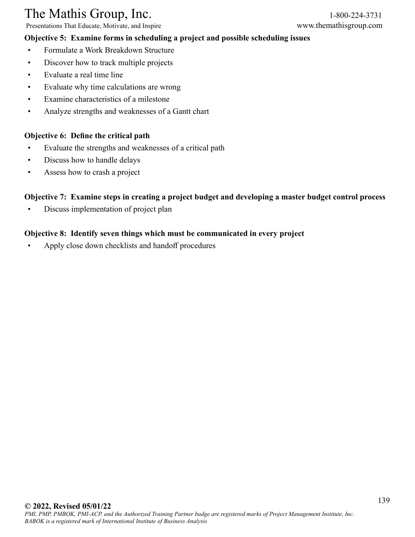Presentations That Educate, Motivate, and Inspire www.themathisgroup.com

#### **Objective 5: Examine forms in scheduling a project and possible scheduling issues**

- 
- Formulate a Work Breakdown Structure
- Discover how to track multiple projects
- Evaluate a real time line
- Evaluate why time calculations are wrong
- Examine characteristics of a milestone
- Analyze strengths and weaknesses of a Gantt chart

#### **Objective 6: Define the critical path**

- Evaluate the strengths and weaknesses of a critical path
- Discuss how to handle delays
- Assess how to crash a project

#### **Objective 7: Examine steps in creating a project budget and developing a master budget control process**

• Discuss implementation of project plan

#### **Objective 8: Identify seven things which must be communicated in every project**

• Apply close down checklists and handoff procedures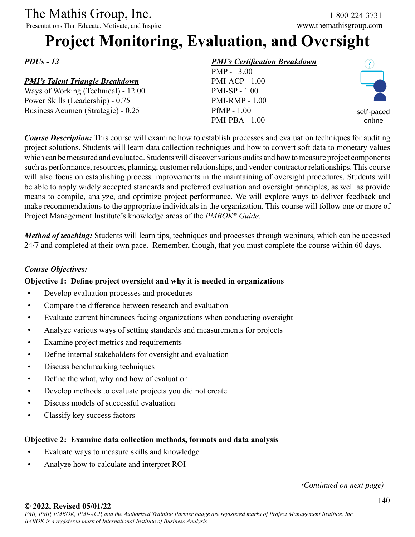Presentations That Educate, Motivate, and Inspire www.themathisgroup.com

# **Project Monitoring, Evaluation, and Oversight**

*PDUs - 13*

## *PMI's Talent Triangle Breakdown*

Ways of Working (Technical) - 12.00 Power Skills (Leadership) - 0.75 Business Acumen (Strategic) - 0.25

## *PMI's Certification Breakdown*

PMP - 13.00 PMI-ACP - 1.00 PMI-SP - 1.00 PMI-RMP - 1.00 PfMP - 1.00 PMI-PBA - 1.00



self-paced online

*Course Description:* This course will examine how to establish processes and evaluation techniques for auditing project solutions. Students will learn data collection techniques and how to convert soft data to monetary values which can be measured and evaluated. Students will discover various audits and how to measure project components such as performance, resources, planning, customer relationships, and vendor-contractor relationships. This course will also focus on establishing process improvements in the maintaining of oversight procedures. Students will be able to apply widely accepted standards and preferred evaluation and oversight principles, as well as provide means to compile, analyze, and optimize project performance. We will explore ways to deliver feedback and make recommendations to the appropriate individuals in the organization. This course will follow one or more of Project Management Institute's knowledge areas of the *PMBOK® Guide*.

*Method of teaching:* Students will learn tips, techniques and processes through webinars, which can be accessed 24/7 and completed at their own pace. Remember, though, that you must complete the course within 60 days.

#### *Course Objectives:*

### **Objective 1: Define project oversight and why it is needed in organizations**

- Develop evaluation processes and procedures
- Compare the difference between research and evaluation
- Evaluate current hindrances facing organizations when conducting oversight
- Analyze various ways of setting standards and measurements for projects
- Examine project metrics and requirements
- Define internal stakeholders for oversight and evaluation
- Discuss benchmarking techniques
- Define the what, why and how of evaluation
- Develop methods to evaluate projects you did not create
- Discuss models of successful evaluation
- Classify key success factors

### **Objective 2: Examine data collection methods, formats and data analysis**

- Evaluate ways to measure skills and knowledge
- Analyze how to calculate and interpret ROI

*(Continued on next page)*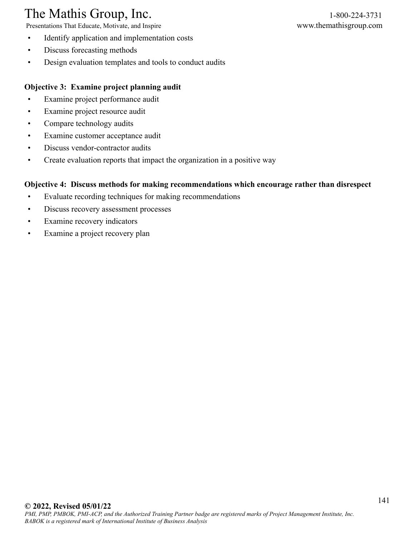Presentations That Educate, Motivate, and Inspire www.themathisgroup.com

- Identify application and implementation costs
- Discuss forecasting methods
- Design evaluation templates and tools to conduct audits

#### **Objective 3: Examine project planning audit**

- Examine project performance audit
- Examine project resource audit
- Compare technology audits
- Examine customer acceptance audit
- Discuss vendor-contractor audits
- Create evaluation reports that impact the organization in a positive way

#### **Objective 4: Discuss methods for making recommendations which encourage rather than disrespect**

- Evaluate recording techniques for making recommendations
- Discuss recovery assessment processes
- Examine recovery indicators
- Examine a project recovery plan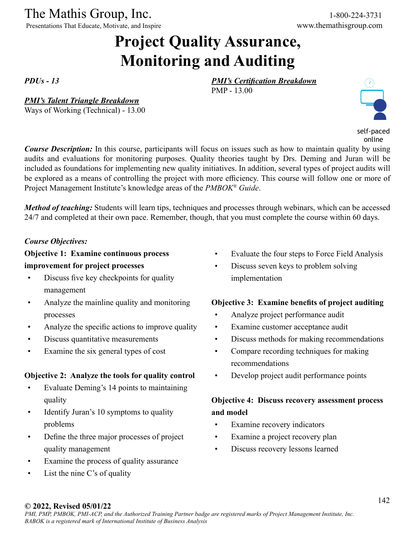Presentations That Educate, Motivate, and Inspire

# **Project Quality Assurance, Monitoring and Auditing**

*PDUs - 13*

*PMI's Talent Triangle Breakdown*

Ways of Working (Technical) - 13.00

*PMI's Certification Breakdown*

PMP - 13.00



self-paced online

*Course Description:* In this course, participants will focus on issues such as how to maintain quality by using audits and evaluations for monitoring purposes. Quality theories taught by Drs. Deming and Juran will be included as foundations for implementing new quality initiatives. In addition, several types of project audits will be explored as a means of controlling the project with more efficiency. This course will follow one or more of Project Management Institute's knowledge areas of the *PMBOK® Guide*.

*Method of teaching:* Students will learn tips, techniques and processes through webinars, which can be accessed 24/7 and completed at their own pace. Remember, though, that you must complete the course within 60 days.

#### *Course Objectives:*

**Objective 1: Examine continuous process improvement for project processes**

- Discuss five key checkpoints for quality management
- Analyze the mainline quality and monitoring processes
- Analyze the specific actions to improve quality
- Discuss quantitative measurements
- Examine the six general types of cost

#### **Objective 2: Analyze the tools for quality control**

- Evaluate Deming's 14 points to maintaining quality
- Identify Juran's 10 symptoms to quality problems
- Define the three major processes of project quality management
- Examine the process of quality assurance
- List the nine  $C$ 's of quality
- Evaluate the four steps to Force Field Analysis
- Discuss seven keys to problem solving implementation

#### **Objective 3: Examine benefits of project auditing**

- Analyze project performance audit
- Examine customer acceptance audit
- Discuss methods for making recommendations
- Compare recording techniques for making recommendations
- Develop project audit performance points

## **Objective 4: Discuss recovery assessment process and model**

- Examine recovery indicators
- Examine a project recovery plan
- Discuss recovery lessons learned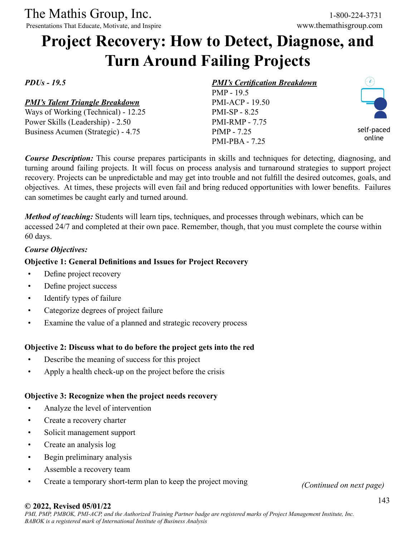Presentations That Educate, Motivate, and Inspire

# **Project Recovery: How to Detect, Diagnose, and Turn Around Failing Projects**

*PDUs - 19.5*

#### *PMI's Talent Triangle Breakdown*

Ways of Working (Technical) - 12.25 Power Skills (Leadership) - 2.50 Business Acumen (Strategic) - 4.75

#### *PMI's Certification Breakdown* PMP - 19.5

PMI-ACP - 19.50 PMI-SP - 8.25 PMI-RMP - 7.75 PfMP - 7.25 PMI-PBA - 7.25



*Course Description:* This course prepares participants in skills and techniques for detecting, diagnosing, and turning around failing projects. It will focus on process analysis and turnaround strategies to support project recovery. Projects can be unpredictable and may get into trouble and not fulfill the desired outcomes, goals, and objectives. At times, these projects will even fail and bring reduced opportunities with lower benefits. Failures can sometimes be caught early and turned around.

*Method of teaching:* Students will learn tips, techniques, and processes through webinars, which can be accessed 24/7 and completed at their own pace. Remember, though, that you must complete the course within 60 days.

#### *Course Objectives:*

#### **Objective 1: General Definitions and Issues for Project Recovery**

- Define project recovery
- Define project success
- Identify types of failure
- Categorize degrees of project failure
- Examine the value of a planned and strategic recovery process

#### **Objective 2: Discuss what to do before the project gets into the red**

- Describe the meaning of success for this project
- Apply a health check-up on the project before the crisis

#### **Objective 3: Recognize when the project needs recovery**

- Analyze the level of intervention
- Create a recovery charter
- Solicit management support
- Create an analysis log
- Begin preliminary analysis
- Assemble a recovery team
- Create a temporary short-term plan to keep the project moving *(Continued on next page)*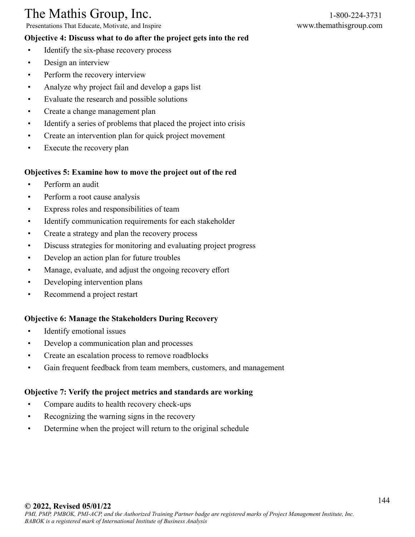Presentations That Educate, Motivate, and Inspire www.themathisgroup.com

#### **Objective 4: Discuss what to do after the project gets into the red**

- Identify the six-phase recovery process
- Design an interview
- Perform the recovery interview
- Analyze why project fail and develop a gaps list
- Evaluate the research and possible solutions
- Create a change management plan
- Identify a series of problems that placed the project into crisis
- Create an intervention plan for quick project movement
- Execute the recovery plan

#### **Objectives 5: Examine how to move the project out of the red**

- Perform an audit
- Perform a root cause analysis
- Express roles and responsibilities of team
- Identify communication requirements for each stakeholder
- Create a strategy and plan the recovery process
- Discuss strategies for monitoring and evaluating project progress
- Develop an action plan for future troubles
- Manage, evaluate, and adjust the ongoing recovery effort
- Developing intervention plans
- Recommend a project restart

#### **Objective 6: Manage the Stakeholders During Recovery**

- Identify emotional issues
- Develop a communication plan and processes
- Create an escalation process to remove roadblocks
- Gain frequent feedback from team members, customers, and management

#### **Objective 7: Verify the project metrics and standards are working**

- Compare audits to health recovery check-ups
- Recognizing the warning signs in the recovery
- Determine when the project will return to the original schedule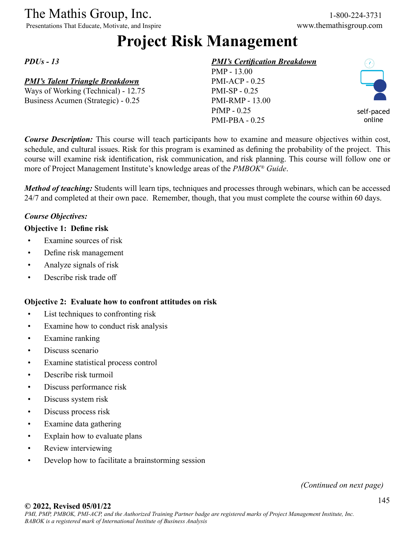Presentations That Educate, Motivate, and Inspire www.themathisgroup.com

# **Project Risk Management**

*PDUs - 13*

# *PMI's Talent Triangle Breakdown*

Ways of Working (Technical) - 12.75 Business Acumen (Strategic) - 0.25

# *PMI's Certification Breakdown*

PMP - 13.00 PMI-ACP - 0.25 PMI-SP - 0.25 PMI-RMP - 13.00 PfMP - 0.25 PMI-PBA - 0.25



*Course Description:* This course will teach participants how to examine and measure objectives within cost, schedule, and cultural issues. Risk for this program is examined as defining the probability of the project. This course will examine risk identification, risk communication, and risk planning. This course will follow one or more of Project Management Institute's knowledge areas of the *PMBOK® Guide*.

*Method of teaching:* Students will learn tips, techniques and processes through webinars, which can be accessed 24/7 and completed at their own pace. Remember, though, that you must complete the course within 60 days.

# *Course Objectives:*

# **Objective 1: Define risk**

- Examine sources of risk
- Define risk management
- Analyze signals of risk
- Describe risk trade off

# **Objective 2: Evaluate how to confront attitudes on risk**

- List techniques to confronting risk
- Examine how to conduct risk analysis
- Examine ranking
- Discuss scenario
- Examine statistical process control
- Describe risk turmoil
- Discuss performance risk
- Discuss system risk
- Discuss process risk
- Examine data gathering
- Explain how to evaluate plans
- Review interviewing
- Develop how to facilitate a brainstorming session

*(Continued on next page)*

#### **© 2022, Revised 05/01/22**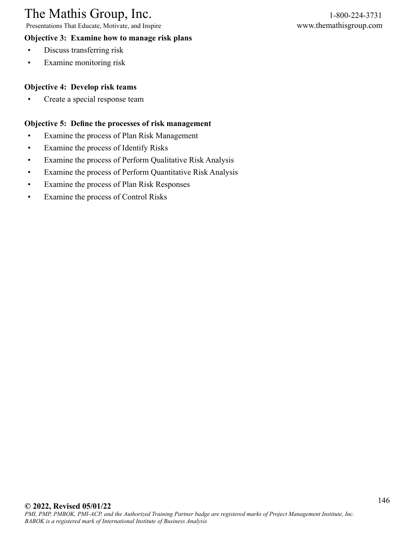Presentations That Educate, Motivate, and Inspire www.themathisgroup.com

# **Objective 3: Examine how to manage risk plans**

- Discuss transferring risk
- Examine monitoring risk

# **Objective 4: Develop risk teams**

• Create a special response team

### **Objective 5: Define the processes of risk management**

- Examine the process of Plan Risk Management
- Examine the process of Identify Risks
- Examine the process of Perform Qualitative Risk Analysis
- Examine the process of Perform Quantitative Risk Analysis
- Examine the process of Plan Risk Responses
- Examine the process of Control Risks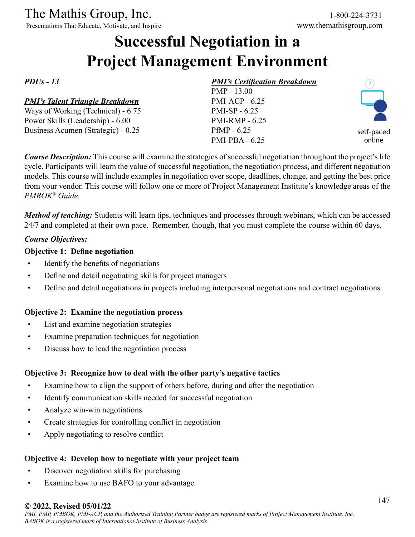The Mathis Group, Inc.<br>
Presentations That Educate, Motivate, and Inspire<br>
Www.themathisgroup.com

Presentations That Educate, Motivate, and Inspire

# **Successful Negotiation in a Project Management Environment**

*PDUs - 13*

### *PMI's Talent Triangle Breakdown*

Ways of Working (Technical) - 6.75 Power Skills (Leadership) - 6.00 Business Acumen (Strategic) - 0.25

# *PMI's Certification Breakdown*

PMP - 13.00 PMI-ACP - 6.25 PMI-SP - 6.25 PMI-RMP - 6.25 PfMP - 6.25 PMI-PBA - 6.25



*Course Description:* This course will examine the strategies of successful negotiation throughout the project's life cycle. Participants will learn the value of successful negotiation, the negotiation process, and different negotiation models. This course will include examples in negotiation over scope, deadlines, change, and getting the best price from your vendor. This course will follow one or more of Project Management Institute's knowledge areas of the *PMBOK® Guide*.

*Method of teaching:* Students will learn tips, techniques and processes through webinars, which can be accessed 24/7 and completed at their own pace. Remember, though, that you must complete the course within 60 days.

### *Course Objectives:*

### **Objective 1: Define negotiation**

- Identify the benefits of negotiations
- Define and detail negotiating skills for project managers
- Define and detail negotiations in projects including interpersonal negotiations and contract negotiations

# **Objective 2: Examine the negotiation process**

- List and examine negotiation strategies
- Examine preparation techniques for negotiation
- Discuss how to lead the negotiation process

# **Objective 3: Recognize how to deal with the other party's negative tactics**

- Examine how to align the support of others before, during and after the negotiation
- Identify communication skills needed for successful negotiation
- Analyze win-win negotiations
- Create strategies for controlling conflict in negotiation
- Apply negotiating to resolve conflict

# **Objective 4: Develop how to negotiate with your project team**

- Discover negotiation skills for purchasing
- Examine how to use BAFO to your advantage

#### **© 2022, Revised 05/01/22**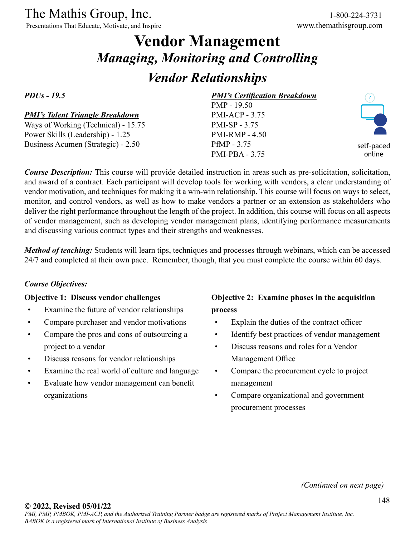Presentations That Educate, Motivate, and Inspire www.themathisgroup.com

# **Vendor Management** *Managing, Monitoring and Controlling*

# *Vendor Relationships*

*PDUs - 19.5*

# *PMI's Talent Triangle Breakdown*

Ways of Working (Technical) - 15.75 Power Skills (Leadership) - 1.25 Business Acumen (Strategic) - 2.50

# *PMI's Certification Breakdown*

PMP - 19.50 PMI-ACP - 3.75 PMI-SP - 3.75 PMI-RMP - 4.50 PfMP - 3.75 PMI-PBA - 3.75



self-paced online

*Course Description:* This course will provide detailed instruction in areas such as pre-solicitation, solicitation, and award of a contract. Each participant will develop tools for working with vendors, a clear understanding of vendor motivation, and techniques for making it a win-win relationship. This course will focus on ways to select, monitor, and control vendors, as well as how to make vendors a partner or an extension as stakeholders who deliver the right performance throughout the length of the project. In addition, this course will focus on all aspects of vendor management, such as developing vendor management plans, identifying performance measurements and discussing various contract types and their strengths and weaknesses.

*Method of teaching*: Students will learn tips, techniques and processes through webinars, which can be accessed 24/7 and completed at their own pace. Remember, though, that you must complete the course within 60 days.

# *Course Objectives:*

#### **Objective 1: Discuss vendor challenges**

- Examine the future of vendor relationships
- Compare purchaser and vendor motivations
- Compare the pros and cons of outsourcing a project to a vendor
- Discuss reasons for vendor relationships
- Examine the real world of culture and language
- Evaluate how vendor management can benefit organizations

# **Objective 2: Examine phases in the acquisition process**

- Explain the duties of the contract officer
- Identify best practices of vendor management
- Discuss reasons and roles for a Vendor Management Office
- Compare the procurement cycle to project management
- Compare organizational and government procurement processes

*(Continued on next page)*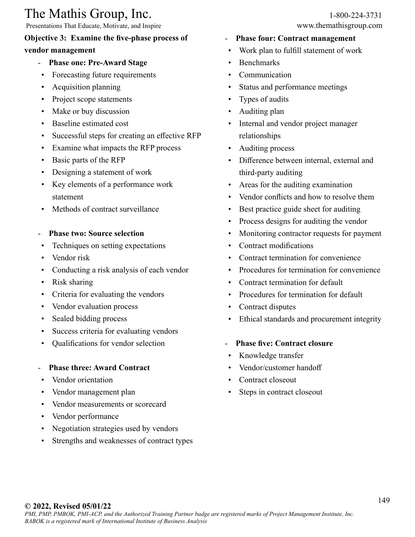Presentations That Educate, Motivate, and Inspire www.themathisgroup.com

# **Objective 3: Examine the five-phase process of**

# **vendor management**

- **Phase one: Pre-Award Stage**
- Forecasting future requirements
- Acquisition planning
- Project scope statements
- Make or buy discussion
- Baseline estimated cost
- Successful steps for creating an effective RFP
- Examine what impacts the RFP process
- Basic parts of the RFP
- Designing a statement of work
- Key elements of a performance work statement
- Methods of contract surveillance
- **Phase two: Source selection**
- Techniques on setting expectations
- Vendor risk
- Conducting a risk analysis of each vendor
- Risk sharing
- Criteria for evaluating the vendors
- Vendor evaluation process
- Sealed bidding process
- Success criteria for evaluating vendors
- Qualifications for vendor selection
- **Phase three: Award Contract**
- Vendor orientation
- Vendor management plan
- Vendor measurements or scorecard
- Vendor performance
- Negotiation strategies used by vendors
- Strengths and weaknesses of contract types
- **Phase four: Contract management**
- Work plan to fulfill statement of work
- Benchmarks
- **Communication**
- Status and performance meetings
- Types of audits
- Auditing plan
- Internal and vendor project manager relationships
- Auditing process
- Difference between internal, external and third-party auditing
- Areas for the auditing examination
- Vendor conflicts and how to resolve them
- Best practice guide sheet for auditing
- Process designs for auditing the vendor
- Monitoring contractor requests for payment
- Contract modifications
- Contract termination for convenience
- Procedures for termination for convenience
- Contract termination for default
- Procedures for termination for default
- Contract disputes
- Ethical standards and procurement integrity
- **Phase five: Contract closure**
- Knowledge transfer
- Vendor/customer handoff
- Contract closeout
- Steps in contract closeout